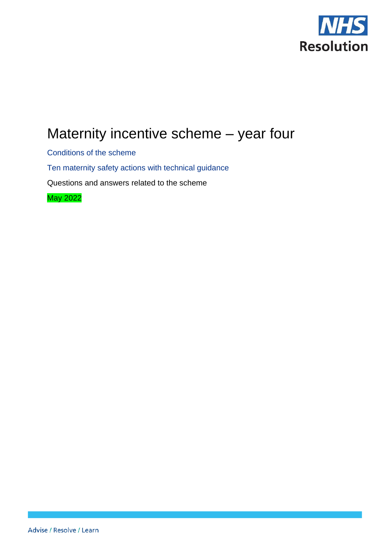

## Maternity incentive scheme – year four

Conditions of the scheme

Ten maternity safety actions with technical guidance

Questions and answers related to the scheme

May 2022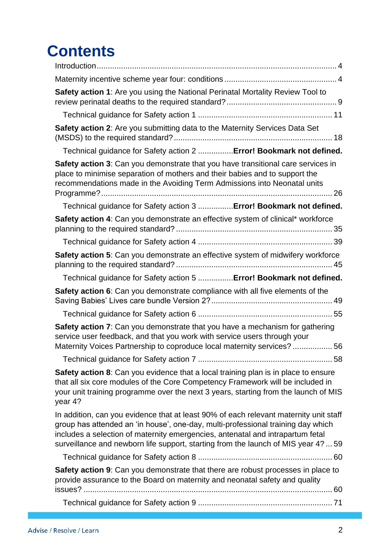# **Contents**

| Safety action 1: Are you using the National Perinatal Mortality Review Tool to                                                                                                                                                                                                                                                                    |
|---------------------------------------------------------------------------------------------------------------------------------------------------------------------------------------------------------------------------------------------------------------------------------------------------------------------------------------------------|
|                                                                                                                                                                                                                                                                                                                                                   |
| Safety action 2: Are you submitting data to the Maternity Services Data Set                                                                                                                                                                                                                                                                       |
| Technical guidance for Safety action 2 Error! Bookmark not defined.                                                                                                                                                                                                                                                                               |
| Safety action 3: Can you demonstrate that you have transitional care services in<br>place to minimise separation of mothers and their babies and to support the<br>recommendations made in the Avoiding Term Admissions into Neonatal units                                                                                                       |
| Technical guidance for Safety action 3 Error! Bookmark not defined.                                                                                                                                                                                                                                                                               |
| Safety action 4: Can you demonstrate an effective system of clinical* workforce                                                                                                                                                                                                                                                                   |
|                                                                                                                                                                                                                                                                                                                                                   |
| Safety action 5: Can you demonstrate an effective system of midwifery workforce                                                                                                                                                                                                                                                                   |
| Technical guidance for Safety action 5 Error! Bookmark not defined.                                                                                                                                                                                                                                                                               |
| Safety action 6: Can you demonstrate compliance with all five elements of the                                                                                                                                                                                                                                                                     |
|                                                                                                                                                                                                                                                                                                                                                   |
| Safety action 7: Can you demonstrate that you have a mechanism for gathering<br>service user feedback, and that you work with service users through your<br>Maternity Voices Partnership to coproduce local maternity services?  56                                                                                                               |
|                                                                                                                                                                                                                                                                                                                                                   |
| Safety action 8: Can you evidence that a local training plan is in place to ensure<br>that all six core modules of the Core Competency Framework will be included in<br>your unit training programme over the next 3 years, starting from the launch of MIS<br>year 4?                                                                            |
| In addition, can you evidence that at least 90% of each relevant maternity unit staff<br>group has attended an 'in house', one-day, multi-professional training day which<br>includes a selection of maternity emergencies, antenatal and intrapartum fetal<br>surveillance and newborn life support, starting from the launch of MIS year 4?  59 |
|                                                                                                                                                                                                                                                                                                                                                   |
| Safety action 9: Can you demonstrate that there are robust processes in place to<br>provide assurance to the Board on maternity and neonatal safety and quality                                                                                                                                                                                   |
|                                                                                                                                                                                                                                                                                                                                                   |
|                                                                                                                                                                                                                                                                                                                                                   |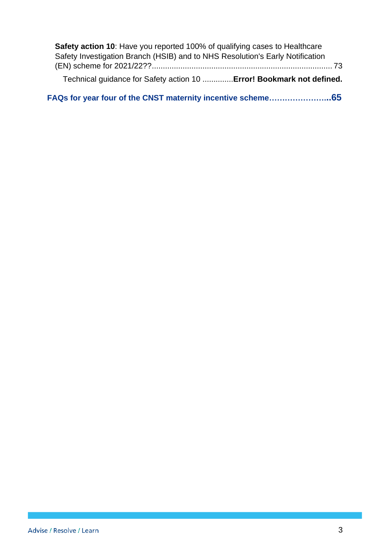<span id="page-2-0"></span>**Safety action 10:** Have you reported 100% of qualifying cases to Healthcare [Safety Investigation Branch \(HSIB\) and to NHS Resolution's Early Notification](#page-72-0)  [\(EN\) scheme for 2021/22??..................................................................................](#page-72-0) 73 Technical guidance for Safety action 10 ..............**Error! Bookmark not defined.**

**[FAQs for year four of the CNST maternity incentive scheme………………….](#page-77-0)..65**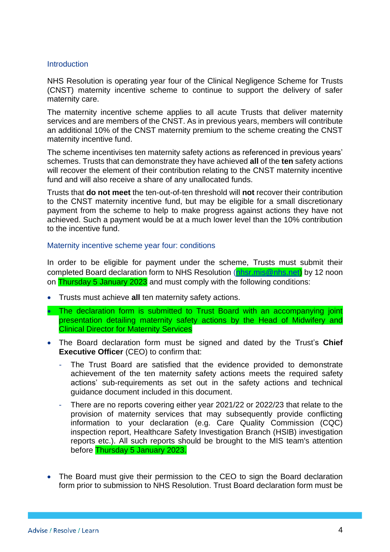#### **Introduction**

NHS Resolution is operating year four of the Clinical Negligence Scheme for Trusts (CNST) maternity incentive scheme to continue to support the delivery of safer maternity care.

The maternity incentive scheme applies to all acute Trusts that deliver maternity services and are members of the CNST. As in previous years, members will contribute an additional 10% of the CNST maternity premium to the scheme creating the CNST maternity incentive fund.

<span id="page-3-0"></span>The scheme incentivises ten maternity safety actions as referenced in previous years' schemes. Trusts that can demonstrate they have achieved **all** of the **ten** safety actions will recover the element of their contribution relating to the CNST maternity incentive fund and will also receive a share of any unallocated funds.

Trusts that **do not meet** the ten-out-of-ten threshold will **not** recover their contribution to the CNST maternity incentive fund, but may be eligible for a small discretionary payment from the scheme to help to make progress against actions they have not achieved. Such a payment would be at a much lower level than the 10% contribution to the incentive fund.

#### Maternity incentive scheme year four: conditions

In order to be eligible for payment under the scheme, Trusts must submit their completed Board declaration form to NHS Resolution [\(nhsr.mis@nhs.net\)](mailto:nhsr.mis@nhs.net) by 12 noon on Thursday 5 January 2023 and must comply with the following conditions:

- Trusts must achieve **all** ten maternity safety actions.
- The declaration form is submitted to Trust Board with an accompanying joint presentation detailing maternity safety actions by the Head of Midwifery and Clinical Director for Maternity Services
- The Board declaration form must be signed and dated by the Trust's **Chief Executive Officer** (CEO) to confirm that:
	- The Trust Board are satisfied that the evidence provided to demonstrate achievement of the ten maternity safety actions meets the required safety actions' sub-requirements as set out in the safety actions and technical guidance document included in this document.
	- There are no reports covering either year 2021/22 or 2022/23 that relate to the provision of maternity services that may subsequently provide conflicting information to your declaration (e.g. Care Quality Commission (CQC) inspection report, Healthcare Safety Investigation Branch (HSIB) investigation reports etc.). All such reports should be brought to the MIS team's attention before Thursday 5 January 2023.
- The Board must give their permission to the CEO to sign the Board declaration form prior to submission to NHS Resolution. Trust Board declaration form must be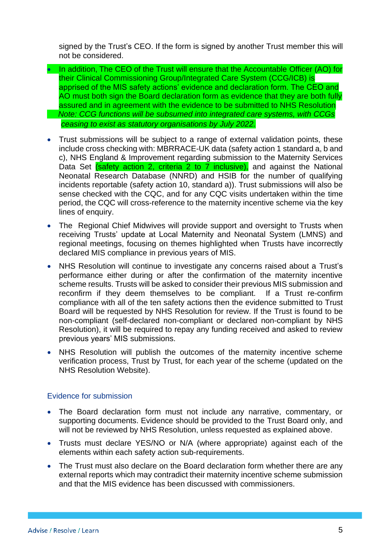signed by the Trust's CEO. If the form is signed by another Trust member this will not be considered.

- In addition, The CEO of the Trust will ensure that the Accountable Officer (AO) for their Clinical Commissioning Group/Integrated Care System (CCG/ICB) is apprised of the MIS safety actions' evidence and declaration form. The CEO and AO must both sign the Board declaration form as evidence that they are both fully assured and in agreement with the evidence to be submitted to NHS Resolution  *Note: CCG functions will be subsumed into integrated care systems, with CCGs ceasing to exist as statutory organisations by July 2022.*
- Trust submissions will be subject to a range of external validation points, these include cross checking with: MBRRACE-UK data (safety action 1 standard a, b and c), NHS England & Improvement regarding submission to the Maternity Services Data Set (safety action 2, criteria 2 to 7 inclusive), and against the National Neonatal Research Database (NNRD) and HSIB for the number of qualifying incidents reportable (safety action 10, standard a)). Trust submissions will also be sense checked with the CQC, and for any CQC visits undertaken within the time period, the CQC will cross-reference to the maternity incentive scheme via the key lines of enquiry.
- The Regional Chief Midwives will provide support and oversight to Trusts when receiving Trusts' update at Local Maternity and Neonatal System (LMNS) and regional meetings, focusing on themes highlighted when Trusts have incorrectly declared MIS compliance in previous years of MIS.
- NHS Resolution will continue to investigate any concerns raised about a Trust's performance either during or after the confirmation of the maternity incentive scheme results. Trusts will be asked to consider their previous MIS submission and reconfirm if they deem themselves to be compliant. If a Trust re-confirm compliance with all of the ten safety actions then the evidence submitted to Trust Board will be requested by NHS Resolution for review. If the Trust is found to be non-compliant (self-declared non-compliant or declared non-compliant by NHS Resolution), it will be required to repay any funding received and asked to review previous years' MIS submissions.
- NHS Resolution will publish the outcomes of the maternity incentive scheme verification process, Trust by Trust, for each year of the scheme (updated on the NHS Resolution Website).

#### Evidence for submission

- The Board declaration form must not include any narrative, commentary, or supporting documents. Evidence should be provided to the Trust Board only, and will not be reviewed by NHS Resolution, unless requested as explained above.
- Trusts must declare YES/NO or N/A (where appropriate) against each of the elements within each safety action sub-requirements.
- The Trust must also declare on the Board declaration form whether there are any external reports which may contradict their maternity incentive scheme submission and that the MIS evidence has been discussed with commissioners.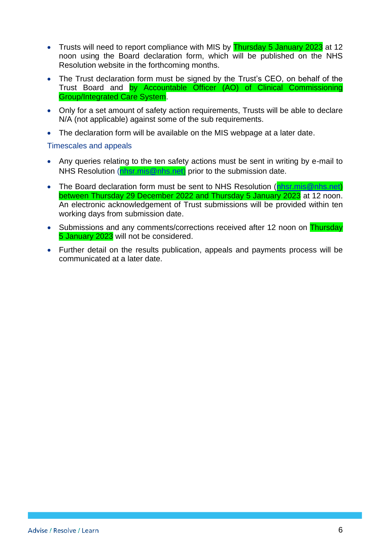- Trusts will need to report compliance with MIS by Thursday 5 January 2023 at 12 noon using the Board declaration form, which will be published on the NHS Resolution website in the forthcoming months.
- The Trust declaration form must be signed by the Trust's CEO, on behalf of the Trust Board and by Accountable Officer (AO) of Clinical Commissioning Group/Integrated Care System.
- Only for a set amount of safety action requirements, Trusts will be able to declare N/A (not applicable) against some of the sub requirements.
- The declaration form will be available on the MIS webpage at a later date.

#### Timescales and appeals

- Any queries relating to the ten safety actions must be sent in writing by e-mail to NHS Resolution [\(nhsr.mis@nhs.net\)](mailto:nhsr.mis@nhs.net) prior to the submission date.
- The Board declaration form must be sent to NHS Resolution [\(nhsr.mis@nhs.net\)](mailto:nhsr.mis@nhs.net) between Thursday 29 December 2022 and Thursday 5 January 2023 at 12 noon. An electronic acknowledgement of Trust submissions will be provided within ten working days from submission date.
- Submissions and any comments/corrections received after 12 noon on Thursday 5 January 2023 will not be considered.
- Further detail on the results publication, appeals and payments process will be communicated at a later date.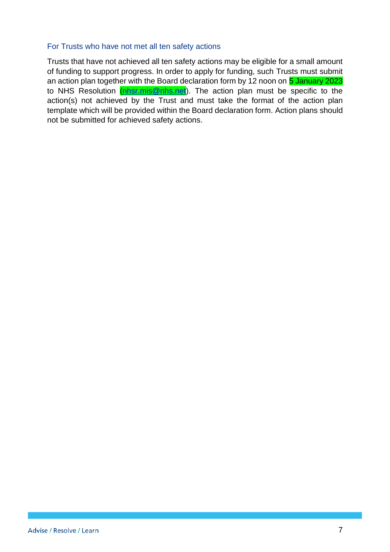#### For Trusts who have not met all ten safety actions

Trusts that have not achieved all ten safety actions may be eligible for a small amount of funding to support progress. In order to apply for funding, such Trusts must submit an action plan together with the Board declaration form by 12 noon on 5 January 2023 to NHS Resolution [\(nhsr.mis@nhs.net\)](mailto:nhsr.mis@nhs.net). The action plan must be specific to the action(s) not achieved by the Trust and must take the format of the action plan template which will be provided within the Board declaration form. Action plans should not be submitted for achieved safety actions.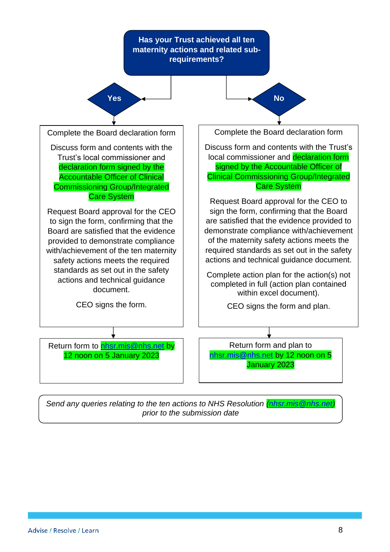

*Send any queries relating to the ten actions to NHS Resolution [\(nhsr.mis@nhs.net\)](mailto:nhsr.mis@nhs.net) prior to the submission date*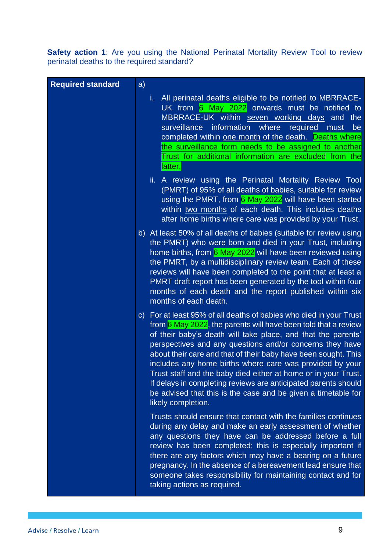<span id="page-8-0"></span>**Safety action 1**: Are you using the National Perinatal Mortality Review Tool to review perinatal deaths to the required standard?

| <b>Required standard</b> | a) |                                                                                                                                                                                                                                                                                                                                                                                                                                                                                                                                                                                                                           |
|--------------------------|----|---------------------------------------------------------------------------------------------------------------------------------------------------------------------------------------------------------------------------------------------------------------------------------------------------------------------------------------------------------------------------------------------------------------------------------------------------------------------------------------------------------------------------------------------------------------------------------------------------------------------------|
|                          |    | i.<br>All perinatal deaths eligible to be notified to MBRRACE-<br>UK from 6 May 2022 onwards must be notified to<br>MBRRACE-UK within seven working days and the<br>surveillance information where required must<br>be<br>completed within one month of the death. Deaths where<br>the surveillance form needs to be assigned to another<br>Trust for additional information are excluded from the<br>latter.                                                                                                                                                                                                             |
|                          |    | ii. A review using the Perinatal Mortality Review Tool<br>(PMRT) of 95% of all deaths of babies, suitable for review<br>using the PMRT, from 6 May 2022 will have been started<br>within two months of each death. This includes deaths<br>after home births where care was provided by your Trust.                                                                                                                                                                                                                                                                                                                       |
|                          |    | b) At least 50% of all deaths of babies (suitable for review using<br>the PMRT) who were born and died in your Trust, including<br>home births, from 6 May 2022 will have been reviewed using<br>the PMRT, by a multidisciplinary review team. Each of these<br>reviews will have been completed to the point that at least a<br>PMRT draft report has been generated by the tool within four<br>months of each death and the report published within six<br>months of each death.                                                                                                                                        |
|                          |    | c) For at least 95% of all deaths of babies who died in your Trust<br>from 6 May 2022, the parents will have been told that a review<br>of their baby's death will take place, and that the parents'<br>perspectives and any questions and/or concerns they have<br>about their care and that of their baby have been sought. This<br>includes any home births where care was provided by your<br>Trust staff and the baby died either at home or in your Trust.<br>If delays in completing reviews are anticipated parents should<br>be advised that this is the case and be given a timetable for<br>likely completion. |
|                          |    | Trusts should ensure that contact with the families continues<br>during any delay and make an early assessment of whether<br>any questions they have can be addressed before a full<br>review has been completed; this is especially important if<br>there are any factors which may have a bearing on a future<br>pregnancy. In the absence of a bereavement lead ensure that<br>someone takes responsibility for maintaining contact and for<br>taking actions as required.                                                                                                                                             |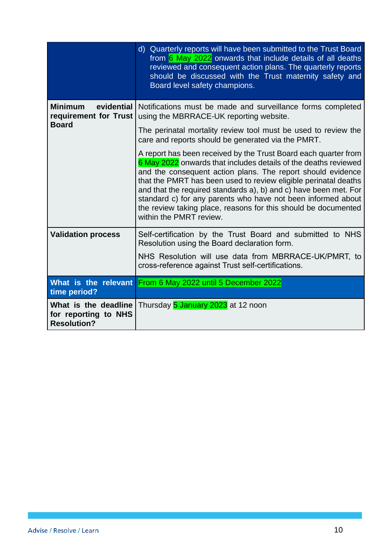<span id="page-9-0"></span>

|                                             | d) Quarterly reports will have been submitted to the Trust Board<br>from 6 May 2022 onwards that include details of all deaths<br>reviewed and consequent action plans. The quarterly reports<br>should be discussed with the Trust maternity safety and<br>Board level safety champions.                                                                                                                                                                                                             |
|---------------------------------------------|-------------------------------------------------------------------------------------------------------------------------------------------------------------------------------------------------------------------------------------------------------------------------------------------------------------------------------------------------------------------------------------------------------------------------------------------------------------------------------------------------------|
| Minimum evidential<br>requirement for Trust | Notifications must be made and surveillance forms completed<br>using the MBRRACE-UK reporting website.                                                                                                                                                                                                                                                                                                                                                                                                |
| <b>Board</b>                                | The perinatal mortality review tool must be used to review the<br>care and reports should be generated via the PMRT.                                                                                                                                                                                                                                                                                                                                                                                  |
|                                             | A report has been received by the Trust Board each quarter from<br>6 May 2022 onwards that includes details of the deaths reviewed<br>and the consequent action plans. The report should evidence<br>that the PMRT has been used to review eligible perinatal deaths<br>and that the required standards a), b) and c) have been met. For<br>standard c) for any parents who have not been informed about<br>the review taking place, reasons for this should be documented<br>within the PMRT review. |
| <b>Validation process</b>                   | Self-certification by the Trust Board and submitted to NHS<br>Resolution using the Board declaration form.                                                                                                                                                                                                                                                                                                                                                                                            |
|                                             | NHS Resolution will use data from MBRRACE-UK/PMRT, to<br>cross-reference against Trust self-certifications.                                                                                                                                                                                                                                                                                                                                                                                           |
| time period?                                | What is the relevant From 6 May 2022 until 5 December 2022                                                                                                                                                                                                                                                                                                                                                                                                                                            |
| for reporting to NHS<br><b>Resolution?</b>  | What is the deadline   Thursday 5 January 2023 at 12 noon                                                                                                                                                                                                                                                                                                                                                                                                                                             |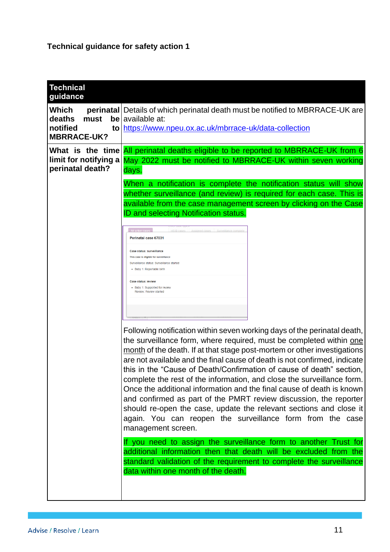### **Technical guidance for safety action 1**

| <b>Technical</b><br>guidance                                     |                                                                                                                                                                                                                                                                                                                                                                                                                                                                                                                                                                                                                                                                                                                                                                   |
|------------------------------------------------------------------|-------------------------------------------------------------------------------------------------------------------------------------------------------------------------------------------------------------------------------------------------------------------------------------------------------------------------------------------------------------------------------------------------------------------------------------------------------------------------------------------------------------------------------------------------------------------------------------------------------------------------------------------------------------------------------------------------------------------------------------------------------------------|
| <b>Which</b><br>deaths<br>must<br>notified<br><b>MBRRACE-UK?</b> | <b>perinatal</b> Details of which perinatal death must be notified to MBRRACE-UK are<br>be available at:<br>to https://www.npeu.ox.ac.uk/mbrrace-uk/data-collection                                                                                                                                                                                                                                                                                                                                                                                                                                                                                                                                                                                               |
| What is the time<br>limit for notifying a<br>perinatal death?    | All perinatal deaths eligible to be reported to MBRRACE-UK from 6<br>May 2022 must be notified to MBRRACE-UK within seven working<br>days.<br>When a notification is complete the notification status will show                                                                                                                                                                                                                                                                                                                                                                                                                                                                                                                                                   |
|                                                                  | whether surveillance (and review) is required for each case. This is<br>available from the case management screen by clicking on the Case<br><b>ID and selecting Notification status.</b>                                                                                                                                                                                                                                                                                                                                                                                                                                                                                                                                                                         |
|                                                                  | Assigned cases<br>Perinatal case 67031<br>Case status: surveillance<br>This case is eligible for surveillance<br>Surveillance status: Surveillance started<br>· Baby 1: Reportable birth<br><b>Case status: review</b><br>. Baby 1: Supported for review<br>Review: Review started                                                                                                                                                                                                                                                                                                                                                                                                                                                                                |
|                                                                  | Following notification within seven working days of the perinatal death,<br>the surveillance form, where required, must be completed within one<br>month of the death. If at that stage post-mortem or other investigations<br>are not available and the final cause of death is not confirmed, indicate<br>this in the "Cause of Death/Confirmation of cause of death" section,<br>complete the rest of the information, and close the surveillance form.<br>Once the additional information and the final cause of death is known<br>and confirmed as part of the PMRT review discussion, the reporter<br>should re-open the case, update the relevant sections and close it<br>again. You can reopen the surveillance form from the case<br>management screen. |
|                                                                  | If you need to assign the surveillance form to another Trust for<br>additional information then that death will be excluded from the<br>standard validation of the requirement to complete the surveillance<br>data within one month of the death.                                                                                                                                                                                                                                                                                                                                                                                                                                                                                                                |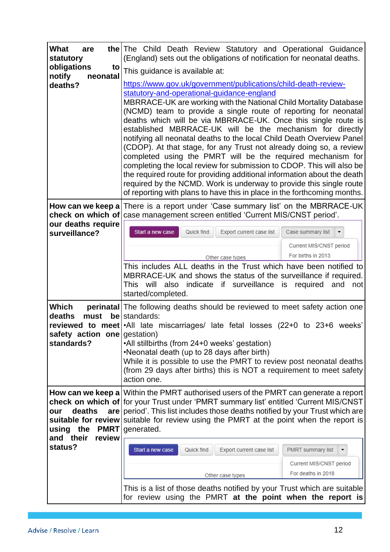| <b>What</b><br>are<br>statutory                                              | the The Child Death Review Statutory and Operational Guidance<br>(England) sets out the obligations of notification for neonatal deaths.                                                                                                                                                                                                                                                                                                                                                                                                                                                                                                                                                                                                                                                                                                                                                                  |
|------------------------------------------------------------------------------|-----------------------------------------------------------------------------------------------------------------------------------------------------------------------------------------------------------------------------------------------------------------------------------------------------------------------------------------------------------------------------------------------------------------------------------------------------------------------------------------------------------------------------------------------------------------------------------------------------------------------------------------------------------------------------------------------------------------------------------------------------------------------------------------------------------------------------------------------------------------------------------------------------------|
| obligations<br>to                                                            | This guidance is available at:                                                                                                                                                                                                                                                                                                                                                                                                                                                                                                                                                                                                                                                                                                                                                                                                                                                                            |
| notify<br>neonatal<br>deaths?                                                | https://www.gov.uk/government/publications/child-death-review-<br>statutory-and-operational-guidance-england<br>MBRRACE-UK are working with the National Child Mortality Database<br>(NCMD) team to provide a single route of reporting for neonatal<br>deaths which will be via MBRRACE-UK. Once this single route is<br>established MBRRACE-UK will be the mechanism for directly<br>notifying all neonatal deaths to the local Child Death Overview Panel<br>(CDOP). At that stage, for any Trust not already doing so, a review<br>completed using the PMRT will be the required mechanism for<br>completing the local review for submission to CDOP. This will also be<br>the required route for providing additional information about the death<br>required by the NCMD. Work is underway to provide this single route<br>of reporting with plans to have this in place in the forthcoming months. |
|                                                                              | How can we keep a There is a report under 'Case summary list' on the MBRRACE-UK<br>check on which of case management screen entitled 'Current MIS/CNST period'.                                                                                                                                                                                                                                                                                                                                                                                                                                                                                                                                                                                                                                                                                                                                           |
| our deaths require<br>surveillance?                                          | Quick find<br>Export current case list<br>Start a new case<br>Case summary list<br>Current MIS/CNST period<br>For births in 2013<br>Other case types                                                                                                                                                                                                                                                                                                                                                                                                                                                                                                                                                                                                                                                                                                                                                      |
|                                                                              | This includes ALL deaths in the Trust which have been notified to<br>MBRRACE-UK and shows the status of the surveillance if required.<br>This will also indicate if surveillance is required<br>and<br>not                                                                                                                                                                                                                                                                                                                                                                                                                                                                                                                                                                                                                                                                                                |
|                                                                              | started/completed.                                                                                                                                                                                                                                                                                                                                                                                                                                                                                                                                                                                                                                                                                                                                                                                                                                                                                        |
| <b>Which</b><br>deaths<br>must<br>safety action one gestation)<br>standards? | <b>perinatal</b> The following deaths should be reviewed to meet safety action one<br>be standards:<br><b>reviewed to meet</b>   All late miscarriages/ late fetal losses (22+0 to 23+6 weeks'<br>•All stillbirths (from 24+0 weeks' gestation)<br>•Neonatal death (up to 28 days after birth)<br>While it is possible to use the PMRT to review post neonatal deaths<br>(from 29 days after births) this is NOT a requirement to meet safety<br>action one.                                                                                                                                                                                                                                                                                                                                                                                                                                              |
| deaths<br>our<br>using the<br>and their<br>review<br>status?                 | How can we keep a Within the PMRT authorised users of the PMRT can generate a report<br><b>check on which of for your Trust under 'PMRT summary list' entitled 'Current MIS/CNST</b><br>are period'. This list includes those deaths notified by your Trust which are<br>suitable for review suitable for review using the PMRT at the point when the report is<br><b>PMRT</b> generated.                                                                                                                                                                                                                                                                                                                                                                                                                                                                                                                 |
|                                                                              | Start a new case<br>Quick find<br>Export current case list<br>PMRT summary list                                                                                                                                                                                                                                                                                                                                                                                                                                                                                                                                                                                                                                                                                                                                                                                                                           |
|                                                                              | Current MIS/CNST period<br>For deaths in 2018<br>Other case types                                                                                                                                                                                                                                                                                                                                                                                                                                                                                                                                                                                                                                                                                                                                                                                                                                         |
|                                                                              | This is a list of those deaths notified by your Trust which are suitable                                                                                                                                                                                                                                                                                                                                                                                                                                                                                                                                                                                                                                                                                                                                                                                                                                  |
|                                                                              | for review using the PMRT at the point when the report is                                                                                                                                                                                                                                                                                                                                                                                                                                                                                                                                                                                                                                                                                                                                                                                                                                                 |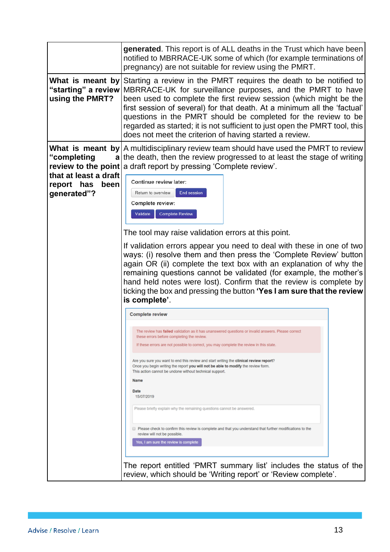|                                                                              | generated. This report is of ALL deaths in the Trust which have been<br>notified to MBRRACE-UK some of which (for example terminations of<br>pregnancy) are not suitable for review using the PMRT.                                                                                                                                                                                                                                                                                                                                                                                                                                                                                                                                                                                                                                                                                                                                                                                                                                                                                                                                                                                                                                                                                                                                                                                                                                                                                                                                                                                                                                                                                                                                                                                                                                                                                 |
|------------------------------------------------------------------------------|-------------------------------------------------------------------------------------------------------------------------------------------------------------------------------------------------------------------------------------------------------------------------------------------------------------------------------------------------------------------------------------------------------------------------------------------------------------------------------------------------------------------------------------------------------------------------------------------------------------------------------------------------------------------------------------------------------------------------------------------------------------------------------------------------------------------------------------------------------------------------------------------------------------------------------------------------------------------------------------------------------------------------------------------------------------------------------------------------------------------------------------------------------------------------------------------------------------------------------------------------------------------------------------------------------------------------------------------------------------------------------------------------------------------------------------------------------------------------------------------------------------------------------------------------------------------------------------------------------------------------------------------------------------------------------------------------------------------------------------------------------------------------------------------------------------------------------------------------------------------------------------|
| "starting" a review<br>using the PMRT?                                       | What is meant by Starting a review in the PMRT requires the death to be notified to<br>MBRRACE-UK for surveillance purposes, and the PMRT to have<br>been used to complete the first review session (which might be the<br>first session of several) for that death. At a minimum all the 'factual'<br>questions in the PMRT should be completed for the review to be<br>regarded as started; it is not sufficient to just open the PMRT tool, this<br>does not meet the criterion of having started a review.                                                                                                                                                                                                                                                                                                                                                                                                                                                                                                                                                                                                                                                                                                                                                                                                                                                                                                                                                                                                                                                                                                                                                                                                                                                                                                                                                                      |
| "completing<br>that at least a draft<br>report<br>has<br>been<br>generated"? | <b>What is meant by</b> $ A $ multidisciplinary review team should have used the PMRT to review<br>$a$ the death, then the review progressed to at least the stage of writing<br><b>review to the point</b> a draft report by pressing 'Complete review'.<br><b>Continue review later:</b><br>Return to overview<br><b>End session</b><br><b>Complete review:</b><br>Validate<br><b>Complete Review</b><br>The tool may raise validation errors at this point.<br>If validation errors appear you need to deal with these in one of two<br>ways: (i) resolve them and then press the 'Complete Review' button<br>again OR (ii) complete the text box with an explanation of why the<br>remaining questions cannot be validated (for example, the mother's<br>hand held notes were lost). Confirm that the review is complete by<br>ticking the box and pressing the button 'Yes I am sure that the review<br>is complete'.<br><b>Complete review</b><br>The review has failed validation as it has unanswered questions or invalid answers. Please correct<br>these errors before completing the review.<br>If these errors are not possible to correct, you may complete the review in this state.<br>Are you sure you want to end this review and start writing the clinical review report?<br>Once you begin writing the report you will not be able to modify the review form.<br>This action cannot be undone without technical support.<br>Name<br>Date<br>15/07/2019<br>Please briefly explain why the remaining questions cannot be answered.<br>Please check to confirm this review is complete and that you understand that further modifications to the<br>review will not be possible.<br>Yes, I am sure the review is complete<br>The report entitled 'PMRT summary list' includes the status of the<br>review, which should be 'Writing report' or 'Review complete'. |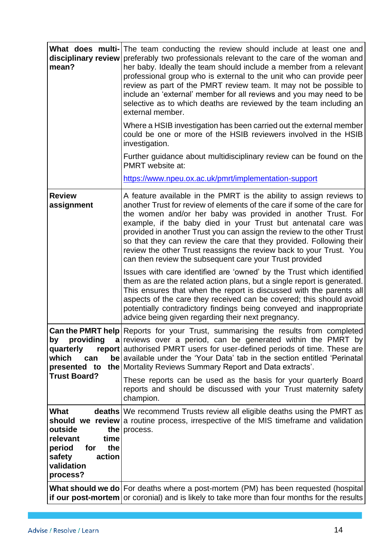| disciplinary review<br>mean?                                                                              | What does multi-The team conducting the review should include at least one and<br>preferably two professionals relevant to the care of the woman and<br>her baby. Ideally the team should include a member from a relevant<br>professional group who is external to the unit who can provide peer<br>review as part of the PMRT review team. It may not be possible to<br>include an 'external' member for all reviews and you may need to be<br>selective as to which deaths are reviewed by the team including an<br>external member.                               |
|-----------------------------------------------------------------------------------------------------------|-----------------------------------------------------------------------------------------------------------------------------------------------------------------------------------------------------------------------------------------------------------------------------------------------------------------------------------------------------------------------------------------------------------------------------------------------------------------------------------------------------------------------------------------------------------------------|
|                                                                                                           | Where a HSIB investigation has been carried out the external member<br>could be one or more of the HSIB reviewers involved in the HSIB<br>investigation.                                                                                                                                                                                                                                                                                                                                                                                                              |
|                                                                                                           | Further guidance about multidisciplinary review can be found on the<br>PMRT website at:                                                                                                                                                                                                                                                                                                                                                                                                                                                                               |
|                                                                                                           | https://www.npeu.ox.ac.uk/pmrt/implementation-support                                                                                                                                                                                                                                                                                                                                                                                                                                                                                                                 |
| <b>Review</b><br>assignment                                                                               | A feature available in the PMRT is the ability to assign reviews to<br>another Trust for review of elements of the care if some of the care for<br>the women and/or her baby was provided in another Trust. For<br>example, if the baby died in your Trust but antenatal care was<br>provided in another Trust you can assign the review to the other Trust<br>so that they can review the care that they provided. Following their<br>review the other Trust reassigns the review back to your Trust. You<br>can then review the subsequent care your Trust provided |
|                                                                                                           | Issues with care identified are 'owned' by the Trust which identified<br>them as are the related action plans, but a single report is generated.<br>This ensures that when the report is discussed with the parents all<br>aspects of the care they received can be covered; this should avoid<br>potentially contradictory findings being conveyed and inappropriate<br>advice being given regarding their next pregnancy.                                                                                                                                           |
| by<br>quarterly<br>which<br>can<br>presented to<br><b>Trust Board?</b>                                    | Can the PMRT help Reports for your Trust, summarising the results from completed<br><b>providing</b> a reviews over a period, can be generated within the PMRT by<br><b>report</b> authorised PMRT users for user-defined periods of time. These are<br>be available under the 'Your Data' tab in the section entitled 'Perinatal<br>the Mortality Reviews Summary Report and Data extracts'.                                                                                                                                                                         |
|                                                                                                           | These reports can be used as the basis for your quarterly Board<br>reports and should be discussed with your Trust maternity safety<br>champion.                                                                                                                                                                                                                                                                                                                                                                                                                      |
| What<br>outside<br>relevant<br>time<br>the<br>period<br>for<br>safety<br>action<br>validation<br>process? | deaths We recommend Trusts review all eligible deaths using the PMRT as<br>should we review a routine process, irrespective of the MIS timeframe and validation<br>the process.                                                                                                                                                                                                                                                                                                                                                                                       |
|                                                                                                           | What should we do For deaths where a post-mortem (PM) has been requested (hospital<br>if our post-mortem or coronial) and is likely to take more than four months for the results                                                                                                                                                                                                                                                                                                                                                                                     |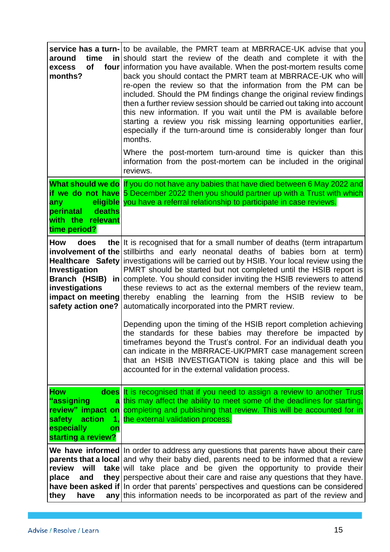| time<br>around<br>of<br>excess<br>months?                                             | <b>service has a turn-</b> to be available, the PMRT team at MBRRACE-UK advise that you<br>in should start the review of the death and complete it with the<br>four information you have available. When the post-mortem results come<br>back you should contact the PMRT team at MBRRACE-UK who will<br>re-open the review so that the information from the PM can be<br>included. Should the PM findings change the original review findings<br>then a further review session should be carried out taking into account<br>this new information. If you wait until the PM is available before<br>starting a review you risk missing learning opportunities earlier,<br>especially if the turn-around time is considerably longer than four<br>months.<br>Where the post-mortem turn-around time is quicker than this<br>information from the post-mortem can be included in the original<br>reviews. |
|---------------------------------------------------------------------------------------|--------------------------------------------------------------------------------------------------------------------------------------------------------------------------------------------------------------------------------------------------------------------------------------------------------------------------------------------------------------------------------------------------------------------------------------------------------------------------------------------------------------------------------------------------------------------------------------------------------------------------------------------------------------------------------------------------------------------------------------------------------------------------------------------------------------------------------------------------------------------------------------------------------|
| any<br>deaths<br>perinatal<br>with the relevant<br>time period?                       | What should we do If you do not have any babies that have died between 6 May 2022 and<br><b>if we do not have</b> 5 December 2022 then you should partner up with a Trust with which<br>eligible you have a referral relationship to participate in case reviews.                                                                                                                                                                                                                                                                                                                                                                                                                                                                                                                                                                                                                                      |
| How<br>does<br>Investigation<br>investigations                                        | the It is recognised that for a small number of deaths (term intrapartum<br><b>involvement of the</b> stillbirths and early neonatal deaths of babies born at term)<br>Healthcare Safety investigations will be carried out by HSIB. Your local review using the<br>PMRT should be started but not completed until the HSIB report is<br><b>Branch</b> (HSIB) in complete. You should consider inviting the HSIB reviewers to attend<br>these reviews to act as the external members of the review team,<br><b>impact on meeting</b> thereby enabling the learning from the HSIB review to be<br>safety action one? automatically incorporated into the PMRT review.                                                                                                                                                                                                                                   |
|                                                                                       | Depending upon the timing of the HSIB report completion achieving<br>the standards for these babies may therefore be impacted by<br>timeframes beyond the Trust's control. For an individual death you<br>can indicate in the MBRRACE-UK/PMRT case management screen<br>that an HSIB INVESTIGATION is taking place and this will be<br>accounted for in the external validation process.                                                                                                                                                                                                                                                                                                                                                                                                                                                                                                               |
| <b>How</b><br>assigning<br>action<br>safety<br>especially<br>on<br>starting a review? | does it is recognised that if you need to assign a review to another Trust<br>a this may affect the ability to meet some of the deadlines for starting,<br><b>review" impact on</b> completing and publishing that review. This will be accounted for in<br>1, the external validation process.                                                                                                                                                                                                                                                                                                                                                                                                                                                                                                                                                                                                        |
| review<br>will<br>place<br>and<br>they<br>have                                        | We have informed In order to address any questions that parents have about their care<br>parents that a local and why their baby died, parents need to be informed that a review<br><b>take</b> will take place and be given the opportunity to provide their<br>they perspective about their care and raise any questions that they have.<br>have been asked if In order that parents' perspectives and questions can be considered<br>any this information needs to be incorporated as part of the review and                                                                                                                                                                                                                                                                                                                                                                                        |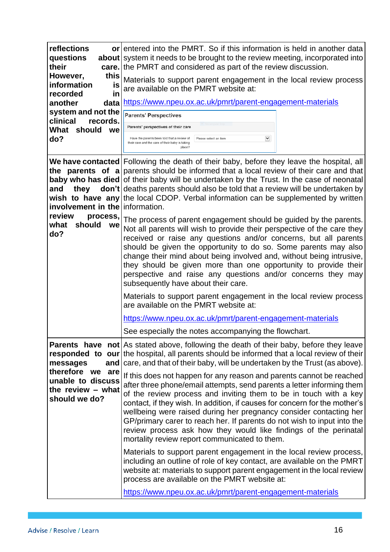| reflections<br>questions<br>their<br>However,<br>this<br>information<br>is<br>recorded<br>in<br>another<br>system and not the<br>clinical<br>records.<br>What should<br>we<br>do? | or entered into the PMRT. So if this information is held in another data<br><b>about</b> system it needs to be brought to the review meeting, incorporated into<br><b>care.</b> the PMRT and considered as part of the review discussion.<br>Materials to support parent engagement in the local review process<br>are available on the PMRT website at:<br>data https://www.npeu.ox.ac.uk/pmrt/parent-engagement-materials<br><b>Parents' Perspectives</b><br>Parents' perspectives of their care<br>$\check{ }$<br>Have the parents been told that a review of<br>Please select an item<br>their care and the care of their baby is taking |
|-----------------------------------------------------------------------------------------------------------------------------------------------------------------------------------|----------------------------------------------------------------------------------------------------------------------------------------------------------------------------------------------------------------------------------------------------------------------------------------------------------------------------------------------------------------------------------------------------------------------------------------------------------------------------------------------------------------------------------------------------------------------------------------------------------------------------------------------|
| and<br>they<br><b>involvement in the information.</b><br>review<br>should<br>what<br>we<br>do?                                                                                    | We have contacted Following the death of their baby, before they leave the hospital, all<br>the parents of a parents should be informed that a local review of their care and that<br><b>baby who has died</b> of their baby will be undertaken by the Trust. In the case of neonatal<br>$\frac{1}{1}$ deaths parents should also be told that a review will be undertaken by<br>wish to have any the local CDOP. Verbal information can be supplemented by written                                                                                                                                                                          |
|                                                                                                                                                                                   | process, The process of parent engagement should be guided by the parents.<br>Not all parents will wish to provide their perspective of the care they<br>received or raise any questions and/or concerns, but all parents<br>should be given the opportunity to do so. Some parents may also<br>change their mind about being involved and, without being intrusive,<br>they should be given more than one opportunity to provide their<br>perspective and raise any questions and/or concerns they may<br>subsequently have about their care.                                                                                               |
|                                                                                                                                                                                   | Materials to support parent engagement in the local review process<br>are available on the PMRT website at:                                                                                                                                                                                                                                                                                                                                                                                                                                                                                                                                  |
|                                                                                                                                                                                   | https://www.npeu.ox.ac.uk/pmrt/parent-engagement-materials                                                                                                                                                                                                                                                                                                                                                                                                                                                                                                                                                                                   |
|                                                                                                                                                                                   | See especially the notes accompanying the flowchart.                                                                                                                                                                                                                                                                                                                                                                                                                                                                                                                                                                                         |
| messages<br>therefore we are<br>unable to discuss<br>the review - what<br>should we do?                                                                                           | <b>Parents have not</b> As stated above, following the death of their baby, before they leave<br>responded to our the hospital, all parents should be informed that a local review of their<br>and care, and that of their baby, will be undertaken by the Trust (as above).                                                                                                                                                                                                                                                                                                                                                                 |
|                                                                                                                                                                                   | If this does not happen for any reason and parents cannot be reached<br>after three phone/email attempts, send parents a letter informing them<br>of the review process and inviting them to be in touch with a key<br>contact, if they wish. In addition, if causes for concern for the mother's<br>wellbeing were raised during her pregnancy consider contacting her<br>GP/primary carer to reach her. If parents do not wish to input into the<br>review process ask how they would like findings of the perinatal<br>mortality review report communicated to them.                                                                      |
|                                                                                                                                                                                   | Materials to support parent engagement in the local review process,<br>including an outline of role of key contact, are available on the PMRT<br>website at: materials to support parent engagement in the local review<br>process are available on the PMRT website at:                                                                                                                                                                                                                                                                                                                                                                     |
|                                                                                                                                                                                   | https://www.npeu.ox.ac.uk/pmrt/parent-engagement-materials                                                                                                                                                                                                                                                                                                                                                                                                                                                                                                                                                                                   |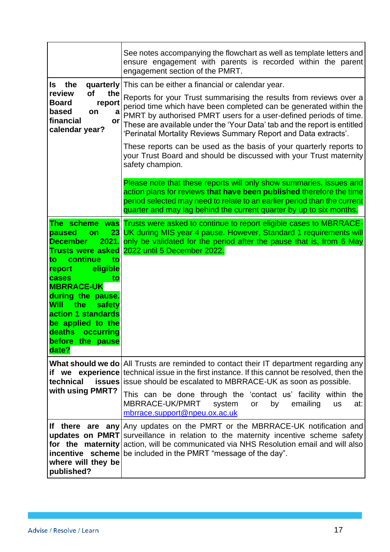<span id="page-16-0"></span>

|                                                                                                                                                                                                                                                                                     | See notes accompanying the flowchart as well as template letters and<br>ensure engagement with parents is recorded within the parent<br>engagement section of the PMRT.                                                                                                                                                                                                                                                                         |
|-------------------------------------------------------------------------------------------------------------------------------------------------------------------------------------------------------------------------------------------------------------------------------------|-------------------------------------------------------------------------------------------------------------------------------------------------------------------------------------------------------------------------------------------------------------------------------------------------------------------------------------------------------------------------------------------------------------------------------------------------|
| the<br>ls.                                                                                                                                                                                                                                                                          | <b>quarterly</b> This can be either a financial or calendar year.                                                                                                                                                                                                                                                                                                                                                                               |
| the<br>review<br>Οf<br><b>Board</b><br>report<br>based<br>on<br>a<br>financial<br>or<br>calendar year?                                                                                                                                                                              | Reports for your Trust summarising the results from reviews over a<br>period time which have been completed can be generated within the<br>PMRT by authorised PMRT users for a user-defined periods of time.<br>These are available under the 'Your Data' tab and the report is entitled<br>'Perinatal Mortality Reviews Summary Report and Data extracts'.                                                                                     |
|                                                                                                                                                                                                                                                                                     | These reports can be used as the basis of your quarterly reports to<br>your Trust Board and should be discussed with your Trust maternity<br>safety champion.                                                                                                                                                                                                                                                                                   |
|                                                                                                                                                                                                                                                                                     | Please note that these reports will only show summaries, issues and                                                                                                                                                                                                                                                                                                                                                                             |
|                                                                                                                                                                                                                                                                                     | action plans for reviews that have been published therefore the time<br>period selected may need to relate to an earlier period than the current<br>quarter and may lag behind the current quarter by up to six months.                                                                                                                                                                                                                         |
| paused<br><b>on</b><br><b>December</b><br>continue<br>to<br>to<br>eligible<br><b>report</b><br>cases<br>to<br><b>MBRRACE-UK</b><br>during the pause.<br>Will<br>the<br>safety<br>action 1 standards<br>be applied to the<br><b>deaths</b><br>occurring<br>before the pause<br>date? | <b>The scheme was</b> Trusts were asked to continue to report eligible cases to MBRRACE-<br>23 UK during MIS year 4 pause. However, Standard 1 requirements will<br>2021. only be validated for the period after the pause that is, from 6 May<br><b>Trusts were asked 2022 until 5 December 2022.</b>                                                                                                                                          |
| technical<br>with using PMRT?                                                                                                                                                                                                                                                       | What should we do All Trusts are reminded to contact their IT department regarding any<br>if we experience technical issue in the first instance. If this cannot be resolved, then the<br><b>issues</b> issue should be escalated to MBRRACE-UK as soon as possible.<br>This can be done through the 'contact us' facility within the<br>MBRRACE-UK/PMRT<br>system<br>by<br>emailing<br>at:<br>or<br><b>us</b><br>mbrrace.support@npeu.ox.ac.uk |
| where will they be<br>published?                                                                                                                                                                                                                                                    | If there are any Any updates on the PMRT or the MBRRACE-UK notification and<br>updates on PMRT surveillance in relation to the maternity incentive scheme safety<br>for the maternity action, will be communicated via NHS Resolution email and will also<br><b>incentive</b> scheme be included in the PMRT "message of the day".                                                                                                              |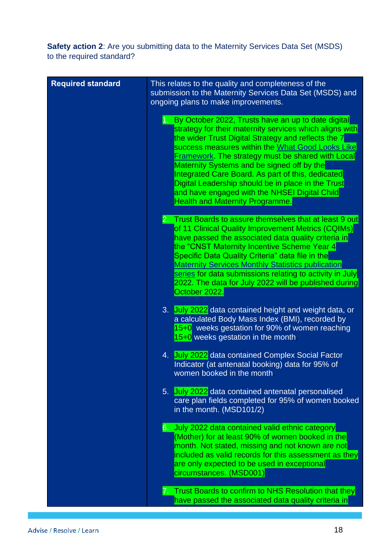**Safety action 2:** Are you submitting data to the Maternity Services Data Set (MSDS) to the required standard?

| <b>Required standard</b> | This relates to the quality and completeness of the<br>submission to the Maternity Services Data Set (MSDS) and<br>ongoing plans to make improvements.                                                                                                                                                                                                                                                                                                                                                                               |
|--------------------------|--------------------------------------------------------------------------------------------------------------------------------------------------------------------------------------------------------------------------------------------------------------------------------------------------------------------------------------------------------------------------------------------------------------------------------------------------------------------------------------------------------------------------------------|
|                          | 1. By October 2022, Trusts have an up to date digital<br>strategy for their maternity services which aligns with<br>the wider Trust Digital Strategy and reflects the 7<br>success measures within the What Good Looks Like<br>Framework. The strategy must be shared with Local<br>Maternity Systems and be signed off by the<br>Integrated Care Board. As part of this, dedicated<br>Digital Leadership should be in place in the Trust<br>and have engaged with the NHSEI Digital Child<br><b>Health and Maternity Programme.</b> |
|                          | 2. Trust Boards to assure themselves that at least 9 out<br>of 11 Clinical Quality Improvement Metrics (CQIMs)<br>have passed the associated data quality criteria in<br>the "CNST Maternity Incentive Scheme Year 4<br>Specific Data Quality Criteria" data file in the<br><b>Maternity Services Monthly Statistics publication</b><br>series for data submissions relating to activity in July<br>2022. The data for July 2022 will be published during<br>October 2022.                                                           |
|                          | 3. July 2022 data contained height and weight data, or<br>a calculated Body Mass Index (BMI), recorded by<br>15+0 weeks gestation for 90% of women reaching<br>15+0 weeks gestation in the month.                                                                                                                                                                                                                                                                                                                                    |
|                          | 4. July 2022 data contained Complex Social Factor<br>Indicator (at antenatal booking) data for 95% of<br>women booked in the month.                                                                                                                                                                                                                                                                                                                                                                                                  |
|                          | 5. July 2022 data contained antenatal personalised<br>care plan fields completed for 95% of women booked<br>in the month. (MSD101/2)                                                                                                                                                                                                                                                                                                                                                                                                 |
|                          | 6. July 2022 data contained valid ethnic category<br>(Mother) for at least 90% of women booked in the<br>month. Not stated, missing and not known are not<br>included as valid records for this assessment as they<br>are only expected to be used in exceptional<br>circumstances. (MSD001)                                                                                                                                                                                                                                         |
|                          | 7. Trust Boards to confirm to NHS Resolution that they<br>have passed the associated data quality criteria in                                                                                                                                                                                                                                                                                                                                                                                                                        |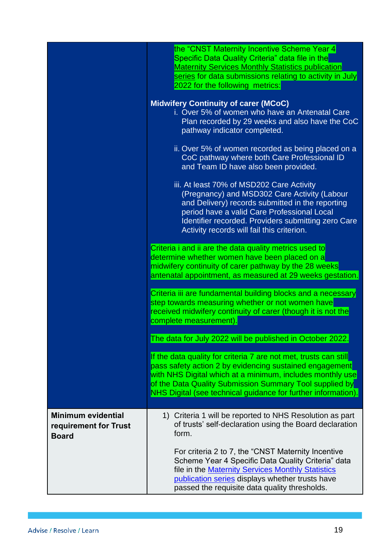|                                                                    | the "CNST Maternity Incentive Scheme Year 4<br>Specific Data Quality Criteria" data file in the<br><b>Maternity Services Monthly Statistics publication</b><br>series for data submissions relating to activity in July<br>2022 for the following metrics:<br><b>Midwifery Continuity of carer (MCoC)</b><br>i. Over 5% of women who have an Antenatal Care<br>Plan recorded by 29 weeks and also have the CoC<br>pathway indicator completed.<br>ii. Over 5% of women recorded as being placed on a<br>CoC pathway where both Care Professional ID<br>and Team ID have also been provided.<br>iii. At least 70% of MSD202 Care Activity<br>(Pregnancy) and MSD302 Care Activity (Labour<br>and Delivery) records submitted in the reporting<br>period have a valid Care Professional Local<br>Identifier recorded. Providers submitting zero Care<br>Activity records will fail this criterion.<br>Criteria i and ii are the data quality metrics used to<br>determine whether women have been placed on a |
|--------------------------------------------------------------------|-------------------------------------------------------------------------------------------------------------------------------------------------------------------------------------------------------------------------------------------------------------------------------------------------------------------------------------------------------------------------------------------------------------------------------------------------------------------------------------------------------------------------------------------------------------------------------------------------------------------------------------------------------------------------------------------------------------------------------------------------------------------------------------------------------------------------------------------------------------------------------------------------------------------------------------------------------------------------------------------------------------|
|                                                                    | midwifery continuity of carer pathway by the 28 weeks<br>antenatal appointment, as measured at 29 weeks gestation.<br>Criteria iii are fundamental building blocks and a necessary<br>step towards measuring whether or not women have<br>received midwifery continuity of carer (though it is not the<br>complete measurement).<br>The data for July 2022 will be published in October 2022.<br>If the data quality for criteria 7 are not met, trusts can still<br>pass safety action 2 by evidencing sustained engagement<br>with NHS Digital which at a minimum, includes monthly use<br>of the Data Quality Submission Summary Tool supplied by<br>NHS Digital (see technical guidance for further information).                                                                                                                                                                                                                                                                                       |
| <b>Minimum evidential</b><br>requirement for Trust<br><b>Board</b> | 1) Criteria 1 will be reported to NHS Resolution as part<br>of trusts' self-declaration using the Board declaration<br>form.<br>For criteria 2 to 7, the "CNST Maternity Incentive"<br>Scheme Year 4 Specific Data Quality Criteria" data<br>file in the <b>Maternity Services Monthly Statistics</b><br>publication series displays whether trusts have<br>passed the requisite data quality thresholds.                                                                                                                                                                                                                                                                                                                                                                                                                                                                                                                                                                                                   |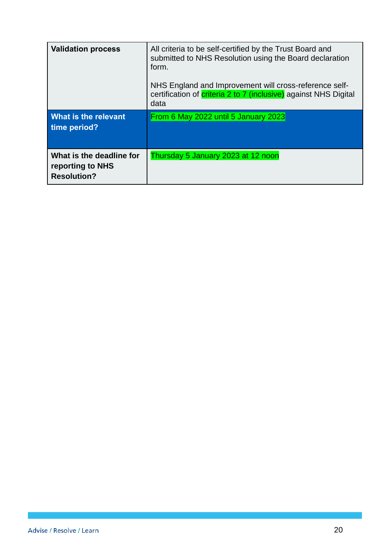| <b>Validation process</b>                                          | All criteria to be self-certified by the Trust Board and<br>submitted to NHS Resolution using the Board declaration<br>form.<br>NHS England and Improvement will cross-reference self-<br>certification of <i>criteria</i> 2 to 7 (inclusive) against NHS Digital<br>data |
|--------------------------------------------------------------------|---------------------------------------------------------------------------------------------------------------------------------------------------------------------------------------------------------------------------------------------------------------------------|
| What is the relevant<br>time period?                               | From 6 May 2022 until 5 January 2023                                                                                                                                                                                                                                      |
| What is the deadline for<br>reporting to NHS<br><b>Resolution?</b> | Thursday 5 January 2023 at 12 noon                                                                                                                                                                                                                                        |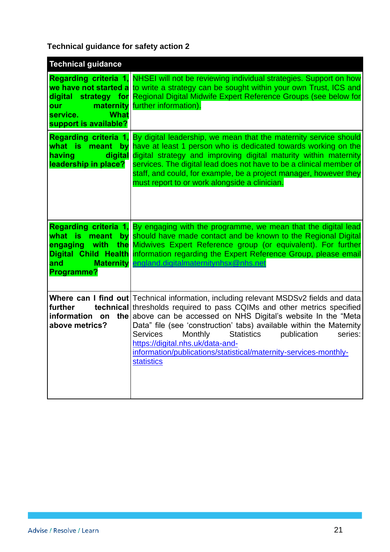#### **Technical guidance for safety action 2**

| <b>Technical guidance</b>                                     |                                                                                                                                                                                                                                                                                                                                                                                                                                                                                                                         |
|---------------------------------------------------------------|-------------------------------------------------------------------------------------------------------------------------------------------------------------------------------------------------------------------------------------------------------------------------------------------------------------------------------------------------------------------------------------------------------------------------------------------------------------------------------------------------------------------------|
| our<br>service.<br><b>What</b><br>support is available?       | Regarding criteria 1, NHSEI will not be reviewing individual strategies. Support on how<br>we have not started a to write a strategy can be sought within your own Trust, ICS and<br>digital strategy for Regional Digital Midwife Expert Reference Groups (see below for<br>maternity further information).                                                                                                                                                                                                            |
| what is meant by<br>having<br>digital<br>leadership in place? | <b>Regarding criteria 1,</b> By digital leadership, we mean that the maternity service should<br>have at least 1 person who is dedicated towards working on the<br>digital strategy and improving digital maturity within maternity<br>services. The digital lead does not have to be a clinical member of<br>staff, and could, for example, be a project manager, however they<br>must report to or work alongside a clinician.                                                                                        |
| what is<br>with<br>engaging<br>and<br><b>Programme?</b>       | <b>Regarding criteria 1,</b> By engaging with the programme, we mean that the digital lead<br>meant by should have made contact and be known to the Regional Digital<br>the Midwives Expert Reference group (or equivalent). For further<br>Digital Child Health information regarding the Expert Reference Group, please email<br>Maternity england.digitalmaternitynhsx@nhs.net                                                                                                                                       |
| further<br>information on<br>above metrics?                   | Where can I find out   Technical information, including relevant MSDSv2 fields and data<br>technical thresholds required to pass CQIMs and other metrics specified<br>the above can be accessed on NHS Digital's website In the "Meta"<br>Data" file (see 'construction' tabs) available within the Maternity<br><b>Services</b><br>Monthly<br><b>Statistics</b><br>publication<br>series:<br>https://digital.nhs.uk/data-and-<br>information/publications/statistical/maternity-services-monthly-<br><b>statistics</b> |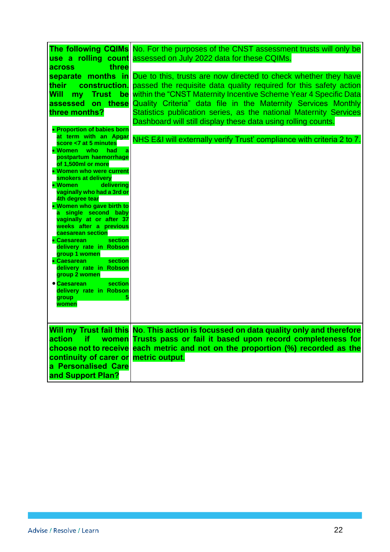| three<br>across<br><b>their</b><br>Will<br><b>Trust</b><br>my<br>on<br>assessed<br>three months?                                                                                                                                                                                                                                                                                                                                                                                                                                                                                                                                            | The following CQIMs No. For the purposes of the CNST assessment trusts will only be<br>use a rolling count assessed on July 2022 data for these CQIMs.<br>separate months in Due to this, trusts are now directed to check whether they have<br><b>construction.</b> passed the requisite data quality required for this safety action<br><b>be</b> within the "CNST Maternity Incentive Scheme Year 4 Specific Data<br><b>these</b> Quality Criteria" data file in the Maternity Services Monthly<br>Statistics publication series, as the national Maternity Services |
|---------------------------------------------------------------------------------------------------------------------------------------------------------------------------------------------------------------------------------------------------------------------------------------------------------------------------------------------------------------------------------------------------------------------------------------------------------------------------------------------------------------------------------------------------------------------------------------------------------------------------------------------|-------------------------------------------------------------------------------------------------------------------------------------------------------------------------------------------------------------------------------------------------------------------------------------------------------------------------------------------------------------------------------------------------------------------------------------------------------------------------------------------------------------------------------------------------------------------------|
| • Proportion of babies born<br>at term with an Apgar<br>score <7 at 5 minutes<br>• Women<br>who<br>had<br>postpartum haemorrhage<br>of 1,500ml or more<br>• Women who were current<br>smokers at delivery<br>• Women<br>delivering<br>vaginally who had a 3rd or<br>4th degree tear<br>• Women who gave birth to<br>a single second baby<br>vaginally at or after 37<br>weeks after a previous<br>caesarean section<br>• Caesarean<br>section<br>delivery rate in Robson<br>group 1 women<br>• Caesarean<br>section<br>delivery rate in Robson<br>group 2 women<br>• Caesarean<br>section<br>delivery rate in Robson<br>5<br>group<br>women | Dashboard will still display these data using rolling counts.<br>NHS E&I will externally verify Trust' compliance with criteria 2 to 7.                                                                                                                                                                                                                                                                                                                                                                                                                                 |
| if<br>action<br>continuity of carer or metric output.<br>a Personalised Care<br>and Support Plan?                                                                                                                                                                                                                                                                                                                                                                                                                                                                                                                                           | Will my Trust fail this No. This action is focussed on data quality only and therefore<br>women Trusts pass or fail it based upon record completeness for<br>choose not to receive each metric and not on the proportion (%) recorded as the                                                                                                                                                                                                                                                                                                                            |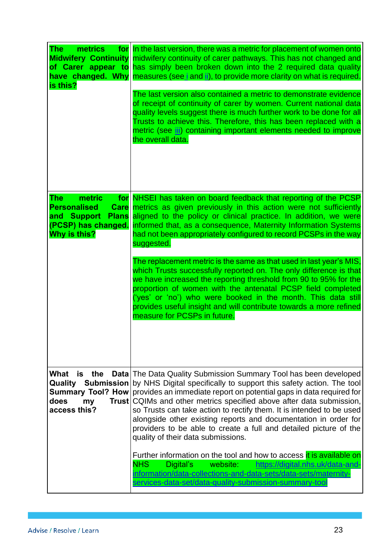| The<br><b>metrics</b><br>is this?                                          | for In the last version, there was a metric for placement of women onto<br>Midwifery Continuity midwifery continuity of carer pathways. This has not changed and<br>of Carer appear to has simply been broken down into the 2 required data quality<br>have changed. Why measures (see i and ii), to provide more clarity on what is required.<br>The last version also contained a metric to demonstrate evidence<br>of receipt of continuity of carer by women. Current national data<br>quality levels suggest there is much further work to be done for all<br>Trusts to achieve this. Therefore, this has been replaced with a<br>metric (see iii) containing important elements needed to improve<br>the overall data.                                                                                                                                                                  |
|----------------------------------------------------------------------------|-----------------------------------------------------------------------------------------------------------------------------------------------------------------------------------------------------------------------------------------------------------------------------------------------------------------------------------------------------------------------------------------------------------------------------------------------------------------------------------------------------------------------------------------------------------------------------------------------------------------------------------------------------------------------------------------------------------------------------------------------------------------------------------------------------------------------------------------------------------------------------------------------|
| <b>The</b><br>metric<br><b>Personalised</b><br>and Support<br>Why is this? | for NHSEI has taken on board feedback that reporting of the PCSP<br><b>Care</b> metrics as given previously in this action were not sufficiently<br><b>Plans</b> aligned to the policy or clinical practice. In addition, we were<br>(PCSP) has changed. informed that, as a consequence, Maternity Information Systems<br>had not been appropriately configured to record PCSPs in the way<br>suggested.<br>The replacement metric is the same as that used in last year's MIS,<br>which Trusts successfully reported on. The only difference is that<br>we have increased the reporting threshold from 90 to 95% for the<br>proportion of women with the antenatal PCSP field completed<br>('yes' or 'no') who were booked in the month. This data still<br>provides useful insight and will contribute towards a more refined<br>measure for PCSPs in future.                              |
| What<br>is<br>the<br>does<br>my<br>access this?                            | <b>Data</b> The Data Quality Submission Summary Tool has been developed<br><b>Quality</b> Submission by NHS Digital specifically to support this safety action. The tool<br><b>Summary Tool? How</b> provides an immediate report on potential gaps in data required for<br><b>Trust</b> CQIMs and other metrics specified above after data submission,<br>so Trusts can take action to rectify them. It is intended to be used<br>alongside other existing reports and documentation in order for<br>providers to be able to create a full and detailed picture of the<br>quality of their data submissions.<br>Further information on the tool and how to access it is available on<br>Digital's<br>website:<br>https://digital.nhs.uk/data-and-<br><b>NHS</b><br>information/data-collections-and-data-sets/data-sets/maternity-<br>services-data-set/data-quality-submission-summary-tool |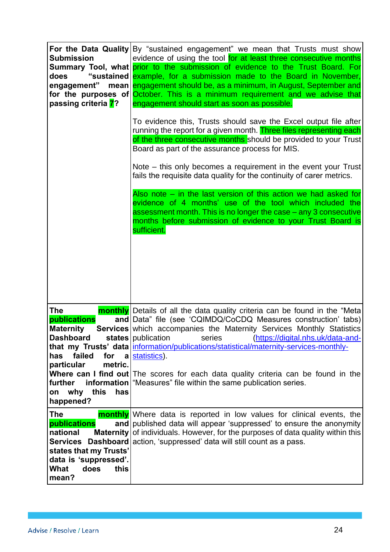| <b>Submission</b><br>does<br>passing criteria 7?                                                                                       | For the Data Quality By "sustained engagement" we mean that Trusts must show<br>evidence of using the tool for at least three consecutive months<br>Summary Tool, what prior to the submission of evidence to the Trust Board. For<br>"sustained example, for a submission made to the Board in November,<br>engagement" mean engagement should be, as a minimum, in August, September and<br>for the purposes of October. This is a minimum requirement and we advise that<br>engagement should start as soon as possible.<br>To evidence this, Trusts should save the Excel output file after<br>running the report for a given month. Three files representing each<br>of the three consecutive months should be provided to your Trust<br>Board as part of the assurance process for MIS.<br>Note – this only becomes a requirement in the event your Trust<br>fails the requisite data quality for the continuity of carer metrics.<br>Also note $-$ in the last version of this action we had asked for<br>evidence of 4 months' use of the tool which included the<br>assessment month. This is no longer the case – any 3 consecutive<br>months before submission of evidence to your Trust Board is<br>sufficient. |
|----------------------------------------------------------------------------------------------------------------------------------------|-----------------------------------------------------------------------------------------------------------------------------------------------------------------------------------------------------------------------------------------------------------------------------------------------------------------------------------------------------------------------------------------------------------------------------------------------------------------------------------------------------------------------------------------------------------------------------------------------------------------------------------------------------------------------------------------------------------------------------------------------------------------------------------------------------------------------------------------------------------------------------------------------------------------------------------------------------------------------------------------------------------------------------------------------------------------------------------------------------------------------------------------------------------------------------------------------------------------------------|
| <b>The</b><br>publications<br><b>Maternity</b><br>failed<br>for<br>has<br>particular<br>metric.                                        | <b>monthly</b> Details of all the data quality criteria can be found in the "Meta<br>and Data" file (see 'CQIMDQ/CoCDQ Measures construction' tabs)<br><b>Services</b> which accompanies the Maternity Services Monthly Statistics<br>Dashboard states   publication series (https://digital.nhs.uk/data-and-<br>that my Trusts' data information/publications/statistical/maternity-services-monthly-<br>a statistics).                                                                                                                                                                                                                                                                                                                                                                                                                                                                                                                                                                                                                                                                                                                                                                                                    |
| further<br>on why this<br>has<br>happened?                                                                                             | <b>Where can I find out</b> The scores for each data quality criteria can be found in the<br><b>information</b>   "Measures" file within the same publication series.                                                                                                                                                                                                                                                                                                                                                                                                                                                                                                                                                                                                                                                                                                                                                                                                                                                                                                                                                                                                                                                       |
| The<br>publications<br>national<br><b>Services</b><br>states that my Trusts'<br>data is 'suppressed'.<br>What<br>does<br>this<br>mean? | <b>monthly</b> Where data is reported in low values for clinical events, the<br>and published data will appear 'suppressed' to ensure the anonymity<br>Maternity of individuals. However, for the purposes of data quality within this<br><b>Dashboard</b> action, 'suppressed' data will still count as a pass.                                                                                                                                                                                                                                                                                                                                                                                                                                                                                                                                                                                                                                                                                                                                                                                                                                                                                                            |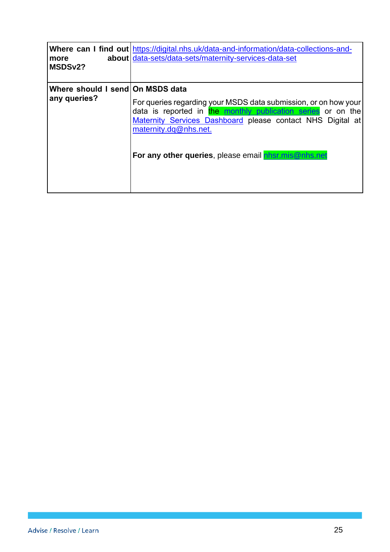| more                                             | Where can I find out https://digital.nhs.uk/data-and-information/data-collections-and-                                                                                                                                                                                                |
|--------------------------------------------------|---------------------------------------------------------------------------------------------------------------------------------------------------------------------------------------------------------------------------------------------------------------------------------------|
| <b>MSDSv2?</b>                                   | about data-sets/data-sets/maternity-services-data-set                                                                                                                                                                                                                                 |
| Where should I send On MSDS data<br>any queries? | For queries regarding your MSDS data submission, or on how your<br>data is reported in the monthly publication series or on the<br>Maternity Services Dashboard please contact NHS Digital at<br>maternity.dq@nhs.net.<br>For any other queries, please email <b>nhsr.mis@nhs.net</b> |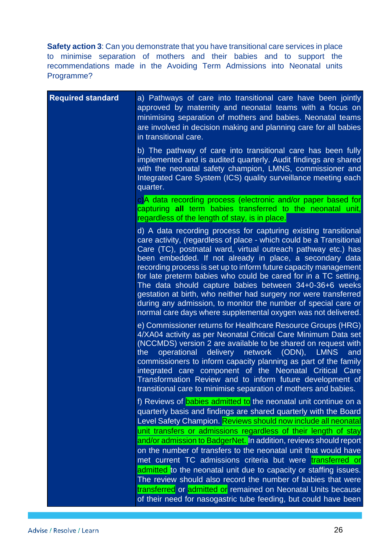<span id="page-25-0"></span>**Safety action 3**: Can you demonstrate that you have transitional care services in place to minimise separation of mothers and their babies and to support the recommendations made in the Avoiding Term Admissions into Neonatal units Programme?

| <b>Required standard</b> | a) Pathways of care into transitional care have been jointly<br>approved by maternity and neonatal teams with a focus on                                                                                                                                                                                                                                                                                                                                                                                                                                                                                                                                                    |
|--------------------------|-----------------------------------------------------------------------------------------------------------------------------------------------------------------------------------------------------------------------------------------------------------------------------------------------------------------------------------------------------------------------------------------------------------------------------------------------------------------------------------------------------------------------------------------------------------------------------------------------------------------------------------------------------------------------------|
|                          | minimising separation of mothers and babies. Neonatal teams<br>are involved in decision making and planning care for all babies<br>in transitional care.                                                                                                                                                                                                                                                                                                                                                                                                                                                                                                                    |
|                          | b) The pathway of care into transitional care has been fully<br>implemented and is audited quarterly. Audit findings are shared<br>with the neonatal safety champion, LMNS, commissioner and<br>Integrated Care System (ICS) quality surveillance meeting each<br>quarter.                                                                                                                                                                                                                                                                                                                                                                                                  |
|                          | c)A data recording process (electronic and/or paper based for<br>capturing all term babies transferred to the neonatal unit,<br>regardless of the length of stay, is in place.                                                                                                                                                                                                                                                                                                                                                                                                                                                                                              |
|                          | d) A data recording process for capturing existing transitional<br>care activity, (regardless of place - which could be a Transitional<br>Care (TC), postnatal ward, virtual outreach pathway etc.) has<br>been embedded. If not already in place, a secondary data<br>recording process is set up to inform future capacity management<br>for late preterm babies who could be cared for in a TC setting.<br>The data should capture babies between 34+0-36+6 weeks<br>gestation at birth, who neither had surgery nor were transferred<br>during any admission, to monitor the number of special care or<br>normal care days where supplemental oxygen was not delivered. |
|                          | e) Commissioner returns for Healthcare Resource Groups (HRG)<br>4/XA04 activity as per Neonatal Critical Care Minimum Data set<br>(NCCMDS) version 2 are available to be shared on request with<br>operational delivery network (ODN),<br>the<br>LMNS and<br>commissioners to inform capacity planning as part of the family<br>integrated care component of the Neonatal Critical Care<br>Transformation Review and to inform future development of<br>transitional care to minimise separation of mothers and babies.                                                                                                                                                     |
|                          | f) Reviews of <b>babies admitted to</b> the neonatal unit continue on a<br>quarterly basis and findings are shared quarterly with the Board<br>Level Safety Champion. Reviews should now include all neonatal<br>unit transfers or admissions regardless of their length of stay                                                                                                                                                                                                                                                                                                                                                                                            |
|                          | and/or admission to BadgerNet. In addition, reviews should report                                                                                                                                                                                                                                                                                                                                                                                                                                                                                                                                                                                                           |
|                          | on the number of transfers to the neonatal unit that would have                                                                                                                                                                                                                                                                                                                                                                                                                                                                                                                                                                                                             |
|                          | met current TC admissions criteria but were transferred or<br>admitted to the neonatal unit due to capacity or staffing issues.                                                                                                                                                                                                                                                                                                                                                                                                                                                                                                                                             |
|                          | The review should also record the number of babies that were                                                                                                                                                                                                                                                                                                                                                                                                                                                                                                                                                                                                                |
|                          | transferred or admitted or remained on Neonatal Units because                                                                                                                                                                                                                                                                                                                                                                                                                                                                                                                                                                                                               |
|                          | of their need for nasogastric tube feeding, but could have been                                                                                                                                                                                                                                                                                                                                                                                                                                                                                                                                                                                                             |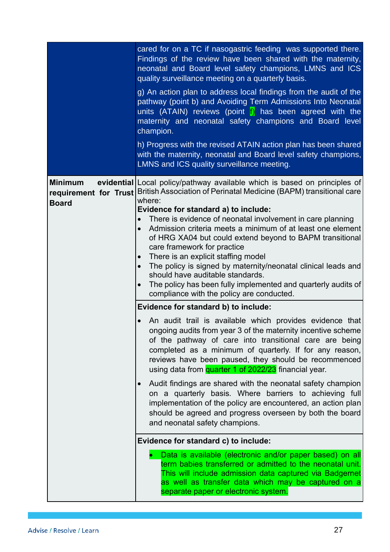|                                | cared for on a TC if nasogastric feeding was supported there.<br>Findings of the review have been shared with the maternity,<br>neonatal and Board level safety champions, LMNS and ICS<br>quality surveillance meeting on a quarterly basis.<br>g) An action plan to address local findings from the audit of the<br>pathway (point b) and Avoiding Term Admissions Into Neonatal<br>units (ATAIN) reviews (point $f$ ) has been agreed with the<br>maternity and neonatal safety champions and Board level<br>champion.<br>h) Progress with the revised ATAIN action plan has been shared<br>with the maternity, neonatal and Board level safety champions, |
|--------------------------------|---------------------------------------------------------------------------------------------------------------------------------------------------------------------------------------------------------------------------------------------------------------------------------------------------------------------------------------------------------------------------------------------------------------------------------------------------------------------------------------------------------------------------------------------------------------------------------------------------------------------------------------------------------------|
|                                | LMNS and ICS quality surveillance meeting.                                                                                                                                                                                                                                                                                                                                                                                                                                                                                                                                                                                                                    |
| <b>Minimum</b><br><b>Board</b> | evidential Local policy/pathway available which is based on principles of<br>requirement for Trust   British Association of Perinatal Medicine (BAPM) transitional care<br>where:                                                                                                                                                                                                                                                                                                                                                                                                                                                                             |
|                                | Evidence for standard a) to include:                                                                                                                                                                                                                                                                                                                                                                                                                                                                                                                                                                                                                          |
|                                | There is evidence of neonatal involvement in care planning                                                                                                                                                                                                                                                                                                                                                                                                                                                                                                                                                                                                    |
|                                | Admission criteria meets a minimum of at least one element<br>$\bullet$<br>of HRG XA04 but could extend beyond to BAPM transitional<br>care framework for practice                                                                                                                                                                                                                                                                                                                                                                                                                                                                                            |
|                                | There is an explicit staffing model<br>$\bullet$                                                                                                                                                                                                                                                                                                                                                                                                                                                                                                                                                                                                              |
|                                | The policy is signed by maternity/neonatal clinical leads and<br>should have auditable standards.                                                                                                                                                                                                                                                                                                                                                                                                                                                                                                                                                             |
|                                | The policy has been fully implemented and quarterly audits of<br>compliance with the policy are conducted.                                                                                                                                                                                                                                                                                                                                                                                                                                                                                                                                                    |
|                                | Evidence for standard b) to include:                                                                                                                                                                                                                                                                                                                                                                                                                                                                                                                                                                                                                          |
|                                | An audit trail is available which provides evidence that<br>ongoing audits from year 3 of the maternity incentive scheme<br>of the pathway of care into transitional care are being<br>completed as a minimum of quarterly. If for any reason,<br>reviews have been paused, they should be recommenced<br>using data from quarter 1 of 2022/23 financial year.                                                                                                                                                                                                                                                                                                |
|                                | Audit findings are shared with the neonatal safety champion<br>$\bullet$<br>on a quarterly basis. Where barriers to achieving full<br>implementation of the policy are encountered, an action plan<br>should be agreed and progress overseen by both the board<br>and neonatal safety champions.                                                                                                                                                                                                                                                                                                                                                              |
|                                | Evidence for standard c) to include:                                                                                                                                                                                                                                                                                                                                                                                                                                                                                                                                                                                                                          |
|                                | Data is available (electronic and/or paper based) on all                                                                                                                                                                                                                                                                                                                                                                                                                                                                                                                                                                                                      |
|                                | $\bullet$<br>term babies transferred or admitted to the neonatal unit.<br>This will include admission data captured via Badgernet<br>as well as transfer data which may be captured on a<br>separate paper or electronic system.                                                                                                                                                                                                                                                                                                                                                                                                                              |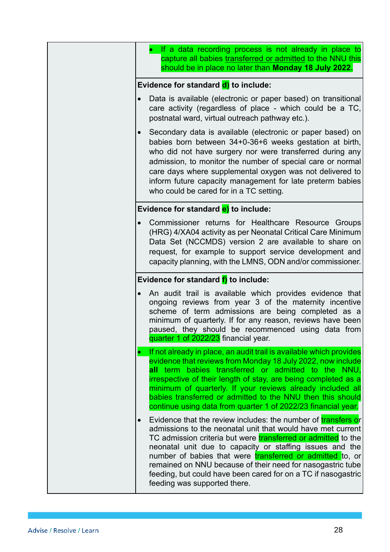| • If a data recording process is not already in place to<br>capture all babies transferred or admitted to the NNU this<br>should be in place no later than Monday 18 July 2022.                                                                                                                                                                                                                                                                                                       |
|---------------------------------------------------------------------------------------------------------------------------------------------------------------------------------------------------------------------------------------------------------------------------------------------------------------------------------------------------------------------------------------------------------------------------------------------------------------------------------------|
| Evidence for standard d) to include:                                                                                                                                                                                                                                                                                                                                                                                                                                                  |
| Data is available (electronic or paper based) on transitional<br>care activity (regardless of place - which could be a TC,<br>postnatal ward, virtual outreach pathway etc.).                                                                                                                                                                                                                                                                                                         |
| Secondary data is available (electronic or paper based) on<br>babies born between 34+0-36+6 weeks gestation at birth,<br>who did not have surgery nor were transferred during any<br>admission, to monitor the number of special care or normal<br>care days where supplemental oxygen was not delivered to<br>inform future capacity management for late preterm babies<br>who could be cared for in a TC setting.                                                                   |
| Evidence for standard e) to include:                                                                                                                                                                                                                                                                                                                                                                                                                                                  |
| Commissioner returns for Healthcare Resource Groups<br>(HRG) 4/XA04 activity as per Neonatal Critical Care Minimum<br>Data Set (NCCMDS) version 2 are available to share on<br>request, for example to support service development and<br>capacity planning, with the LMNS, ODN and/or commissioner.                                                                                                                                                                                  |
| Evidence for standard $f$ ) to include:                                                                                                                                                                                                                                                                                                                                                                                                                                               |
| An audit trail is available which provides evidence that<br>ongoing reviews from year 3 of the maternity incentive<br>scheme of term admissions are being completed as a<br>minimum of quarterly. If for any reason, reviews have been<br>paused, they should be recommenced using data from<br>quarter 1 of 2022/23 financial year.                                                                                                                                                  |
| If not already in place, an audit trail is available which provides<br>evidence that reviews from Monday 18 July 2022, now include<br>all term babies transferred or admitted to the NNU.<br>irrespective of their length of stay, are being completed as a<br>minimum of quarterly. If your reviews already included all<br>babies transferred or admitted to the NNU then this should<br>continue using data from quarter 1 of 2022/23 financial year.                              |
| Evidence that the review includes: the number of transfers or<br>admissions to the neonatal unit that would have met current<br>TC admission criteria but were transferred or admitted to the<br>neonatal unit due to capacity or staffing issues and the<br>number of babies that were transferred or admitted to, or<br>remained on NNU because of their need for nasogastric tube<br>feeding, but could have been cared for on a TC if nasogastric<br>feeding was supported there. |
|                                                                                                                                                                                                                                                                                                                                                                                                                                                                                       |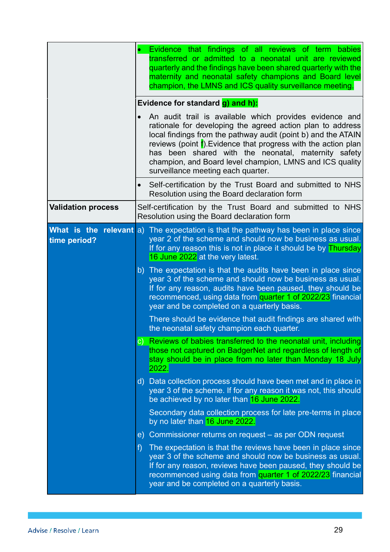|                                         |              | • Evidence that findings of all reviews of term babies<br>transferred or admitted to a neonatal unit are reviewed<br>quarterly and the findings have been shared quarterly with the<br>maternity and neonatal safety champions and Board level<br>champion, the LMNS and ICS quality surveillance meeting.<br>Evidence for standard g) and h):<br>An audit trail is available which provides evidence and<br>rationale for developing the agreed action plan to address<br>local findings from the pathway audit (point b) and the ATAIN<br>reviews (point $\mathbf f$ ). Evidence that progress with the action plan<br>has been shared with the neonatal, maternity safety<br>champion, and Board level champion, LMNS and ICS quality<br>surveillance meeting each quarter. |
|-----------------------------------------|--------------|--------------------------------------------------------------------------------------------------------------------------------------------------------------------------------------------------------------------------------------------------------------------------------------------------------------------------------------------------------------------------------------------------------------------------------------------------------------------------------------------------------------------------------------------------------------------------------------------------------------------------------------------------------------------------------------------------------------------------------------------------------------------------------|
|                                         | $\bullet$    | Self-certification by the Trust Board and submitted to NHS<br>Resolution using the Board declaration form                                                                                                                                                                                                                                                                                                                                                                                                                                                                                                                                                                                                                                                                      |
| <b>Validation process</b>               |              | Self-certification by the Trust Board and submitted to NHS<br>Resolution using the Board declaration form                                                                                                                                                                                                                                                                                                                                                                                                                                                                                                                                                                                                                                                                      |
| What is the relevant a)<br>time period? |              | The expectation is that the pathway has been in place since<br>year 2 of the scheme and should now be business as usual.<br>If for any reason this is not in place it should be by Thursday<br>16 June 2022 at the very latest.<br>b) The expectation is that the audits have been in place since<br>year 3 of the scheme and should now be business as usual.<br>If for any reason, audits have been paused, they should be<br>recommenced, using data from quarter 1 of 2022/23 financial<br>year and be completed on a quarterly basis.                                                                                                                                                                                                                                     |
|                                         | $\mathsf{C}$ | There should be evidence that audit findings are shared with<br>the neonatal safety champion each quarter.<br>Reviews of babies transferred to the neonatal unit, including<br>those not captured on BadgerNet and regardless of length of<br>stay should be in place from no later than Monday 18 July<br>2022.                                                                                                                                                                                                                                                                                                                                                                                                                                                               |
|                                         |              | d) Data collection process should have been met and in place in<br>year 3 of the scheme. If for any reason it was not, this should<br>be achieved by no later than 16 June 2022.<br>Secondary data collection process for late pre-terms in place<br>by no later than 16 June 2022.                                                                                                                                                                                                                                                                                                                                                                                                                                                                                            |
|                                         | e)<br>f      | Commissioner returns on request – as per ODN request<br>The expectation is that the reviews have been in place since<br>year 3 of the scheme and should now be business as usual.<br>If for any reason, reviews have been paused, they should be<br>recommenced using data from quarter 1 of 2022/23 financial<br>year and be completed on a quarterly basis.                                                                                                                                                                                                                                                                                                                                                                                                                  |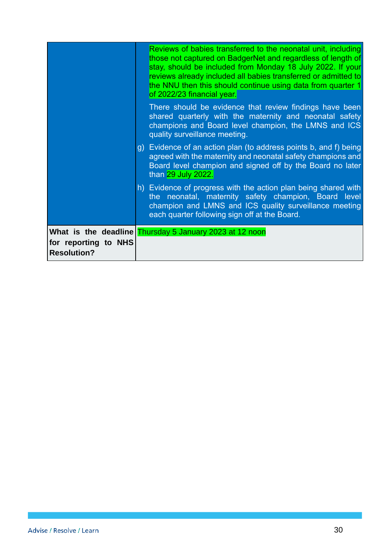|                                            | Reviews of babies transferred to the neonatal unit, including<br>those not captured on BadgerNet and regardless of length of<br>stay, should be included from Monday 18 July 2022. If your<br>reviews already included all babies transferred or admitted to<br>the NNU then this should continue using data from quarter 1<br>of 2022/23 financial year. |
|--------------------------------------------|-----------------------------------------------------------------------------------------------------------------------------------------------------------------------------------------------------------------------------------------------------------------------------------------------------------------------------------------------------------|
|                                            | There should be evidence that review findings have been<br>shared quarterly with the maternity and neonatal safety<br>champions and Board level champion, the LMNS and ICS<br>quality surveillance meeting.                                                                                                                                               |
|                                            | g) Evidence of an action plan (to address points b, and f) being<br>agreed with the maternity and neonatal safety champions and<br>Board level champion and signed off by the Board no later<br>than 29 July 2022.                                                                                                                                        |
|                                            | h) Evidence of progress with the action plan being shared with<br>the neonatal, maternity safety champion, Board level<br>champion and LMNS and ICS quality surveillance meeting<br>each quarter following sign off at the Board.                                                                                                                         |
| for reporting to NHS<br><b>Resolution?</b> | What is the deadline Thursday 5 January 2023 at 12 noon                                                                                                                                                                                                                                                                                                   |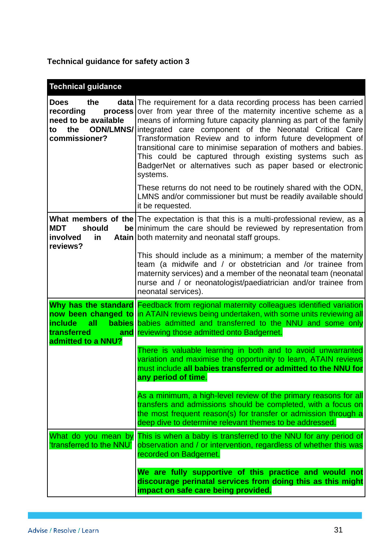**Technical guidance for safety action 3**

| <b>Technical guidance</b>                                                             |                                                                                                                                                                                                                                                                                                                                                                                                                                                                                                                                                                                |
|---------------------------------------------------------------------------------------|--------------------------------------------------------------------------------------------------------------------------------------------------------------------------------------------------------------------------------------------------------------------------------------------------------------------------------------------------------------------------------------------------------------------------------------------------------------------------------------------------------------------------------------------------------------------------------|
| the<br><b>Does</b><br>recording<br>need to be available<br>the<br>to<br>commissioner? | <b>data</b> The requirement for a data recording process has been carried<br><b>process</b> over from year three of the maternity incentive scheme as a<br>means of informing future capacity planning as part of the family<br><b>ODN/LMNS/</b> integrated care component of the Neonatal Critical Care<br>Transformation Review and to inform future development of<br>transitional care to minimise separation of mothers and babies.<br>This could be captured through existing systems such as<br>BadgerNet or alternatives such as paper based or electronic<br>systems. |
|                                                                                       | These returns do not need to be routinely shared with the ODN,<br>LMNS and/or commissioner but must be readily available should<br>it be requested.                                                                                                                                                                                                                                                                                                                                                                                                                            |
| <b>MDT</b><br>should<br>involved<br><b>in</b><br>reviews?                             | What members of the The expectation is that this is a multi-professional review, as a<br>be minimum the care should be reviewed by representation from<br>Atain both maternity and neonatal staff groups.                                                                                                                                                                                                                                                                                                                                                                      |
|                                                                                       | This should include as a minimum; a member of the maternity<br>team (a midwife and / or obstetrician and /or trainee from<br>maternity services) and a member of the neonatal team (neonatal<br>nurse and / or neonatologist/paediatrician and/or trainee from<br>neonatal services).                                                                                                                                                                                                                                                                                          |
| <b>include</b><br>all<br>transferred<br>admitted to a NNU?                            | Why has the standard Feedback from regional maternity colleagues identified variation<br>now been changed to in ATAIN reviews being undertaken, with some units reviewing all<br><b>babies</b> babies admitted and transferred to the NNU and some only<br>and reviewing those admitted onto Badgernet.                                                                                                                                                                                                                                                                        |
|                                                                                       | There is valuable learning in both and to avoid unwarranted<br>variation and maximise the opportunity to learn, ATAIN reviews<br>must include all babies transferred or admitted to the NNU for<br>any period of time.                                                                                                                                                                                                                                                                                                                                                         |
|                                                                                       | As a minimum, a high-level review of the primary reasons for all<br>transfers and admissions should be completed, with a focus on<br>the most frequent reason(s) for transfer or admission through a<br>deep dive to determine relevant themes to be addressed.                                                                                                                                                                                                                                                                                                                |
| 'transferred to the NNU'                                                              | What do you mean by This is when a baby is transferred to the NNU for any period of<br>observation and / or intervention, regardless of whether this was<br>recorded on Badgernet.                                                                                                                                                                                                                                                                                                                                                                                             |
|                                                                                       | We are fully supportive of this practice and would not<br>discourage perinatal services from doing this as this might<br>impact on safe care being provided.                                                                                                                                                                                                                                                                                                                                                                                                                   |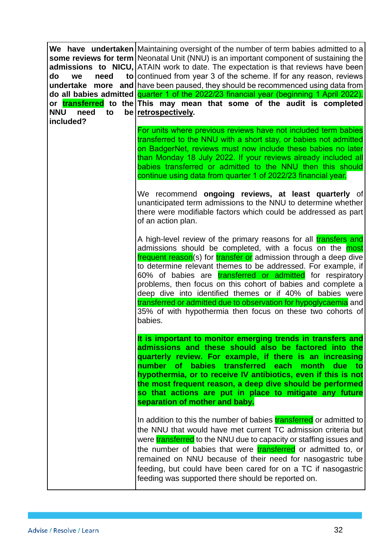| do<br>need<br>we<br><b>NNU</b><br>need<br>to<br>included? | We have undertaken   Maintaining oversight of the number of term babies admitted to a<br>some reviews for term   Neonatal Unit (NNU) is an important component of sustaining the<br>admissions to NICU, ATAIN work to date. The expectation is that reviews have been<br>to continued from year 3 of the scheme. If for any reason, reviews<br>undertake more and have been paused, they should be recommenced using data from<br>do all babies admitted quarter 1 of the 2022/23 financial year (beginning 1 April 2022).<br>or <b>transferred</b> to the This may mean that some of the audit is completed<br>be retrospectively. |
|-----------------------------------------------------------|-------------------------------------------------------------------------------------------------------------------------------------------------------------------------------------------------------------------------------------------------------------------------------------------------------------------------------------------------------------------------------------------------------------------------------------------------------------------------------------------------------------------------------------------------------------------------------------------------------------------------------------|
|                                                           | For units where previous reviews have not included term babies<br>transferred to the NNU with a short stay, or babies not admitted<br>on BadgerNet, reviews must now include these babies no later<br>than Monday 18 July 2022. If your reviews already included all<br>babies transferred or admitted to the NNU then this should<br>continue using data from quarter 1 of 2022/23 financial year.                                                                                                                                                                                                                                 |
|                                                           | We recommend ongoing reviews, at least quarterly of<br>unanticipated term admissions to the NNU to determine whether<br>there were modifiable factors which could be addressed as part<br>of an action plan.                                                                                                                                                                                                                                                                                                                                                                                                                        |
|                                                           | A high-level review of the primary reasons for all transfers and<br>admissions should be completed, with a focus on the most<br>frequent reason(s) for transfer or admission through a deep dive<br>to determine relevant themes to be addressed. For example, if<br>60% of babies are transferred or admitted for respiratory<br>problems, then focus on this cohort of babies and complete a<br>deep dive into identified themes or if 40% of babies were<br>transferred or admitted due to observation for hypoglycaemia and<br>35% of with hypothermia then focus on these two cohorts of<br>babies.                            |
|                                                           | It is important to monitor emerging trends in transfers and<br>admissions and these should also be factored into the<br>quarterly review. For example, if there is an increasing<br>babies transferred each<br>number of<br>month<br>due to<br>hypothermia, or to receive IV antibiotics, even if this is not<br>the most frequent reason, a deep dive should be performed<br>so that actions are put in place to mitigate any future<br>separation of mother and baby.                                                                                                                                                             |
|                                                           | In addition to this the number of babies <b>transferred</b> or admitted to<br>the NNU that would have met current TC admission criteria but<br>were <b>transferred</b> to the NNU due to capacity or staffing issues and<br>the number of babies that were <b>transferred</b> or admitted to, or<br>remained on NNU because of their need for nasogastric tube<br>feeding, but could have been cared for on a TC if nasogastric<br>feeding was supported there should be reported on.                                                                                                                                               |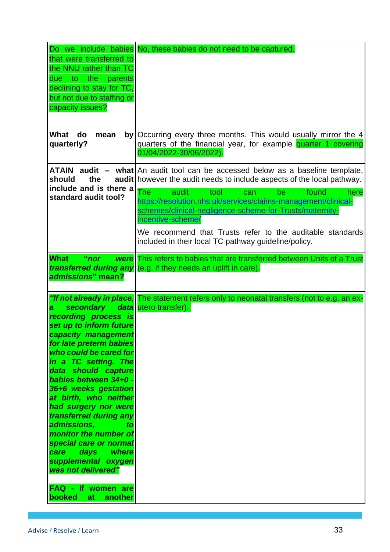| that were transferred to<br>the NNU rather than TC<br>to<br>the<br>due<br>parents<br>declining to stay for TC,<br>but not due to staffing or<br>capacity issues?                                                                                                                                                                                                                                                                                                                                                                                     | Do we include babies No, these babies do not need to be captured.                                                                                                                                                                                                                                                                                                                                                                                                                              |
|------------------------------------------------------------------------------------------------------------------------------------------------------------------------------------------------------------------------------------------------------------------------------------------------------------------------------------------------------------------------------------------------------------------------------------------------------------------------------------------------------------------------------------------------------|------------------------------------------------------------------------------------------------------------------------------------------------------------------------------------------------------------------------------------------------------------------------------------------------------------------------------------------------------------------------------------------------------------------------------------------------------------------------------------------------|
| What<br>do<br>mean<br>quarterly?                                                                                                                                                                                                                                                                                                                                                                                                                                                                                                                     | by Occurring every three months. This would usually mirror the 4<br>quarters of the financial year, for example quarter 1 covering<br>01/04/2022-30/06/2022).                                                                                                                                                                                                                                                                                                                                  |
| <b>ATAIN</b><br>should<br>the<br>include and is there a<br>standard audit tool?                                                                                                                                                                                                                                                                                                                                                                                                                                                                      | <b>audit – what</b> An audit tool can be accessed below as a baseline template,<br><b>audit</b> however the audit needs to include aspects of the local pathway.<br>The<br>audit<br>found<br>tool<br>be<br>here<br>can<br>https://resolution.nhs.uk/services/claims-management/clinical-<br>schemes/clinical-negligence-scheme-for-Trusts/maternity-<br>incentive-scheme/<br>We recommend that Trusts refer to the auditable standards<br>included in their local TC pathway guideline/policy. |
| <b>What</b><br>"nor<br>admissions" mean?                                                                                                                                                                                                                                                                                                                                                                                                                                                                                                             | <b>were</b> This refers to babies that are transferred between Units of a Trust<br><b>transferred during any</b> (e.g. if they needs an uplift in care).                                                                                                                                                                                                                                                                                                                                       |
| secondary<br>$\boldsymbol{a}$<br>recording process is<br>set up to inform future<br>capacity management<br>for late preterm babies<br>who could be cared for<br>in a TC setting. The<br>data should capture<br>babies between 34+0 -<br>36+6 weeks gestation<br>at birth, who neither<br>had surgery nor were<br>transferred during any<br>admissions,<br>to<br>monitor the number of<br>special care or normal<br><b>days</b><br>where<br>care<br>supplemental oxygen<br>was not delivered"<br>FAQ - If women are<br><b>booked</b><br>another<br>at | "If not already in place, The statement refers only to neonatal transfers (not to e.g. an ex-<br>data utero transfer).                                                                                                                                                                                                                                                                                                                                                                         |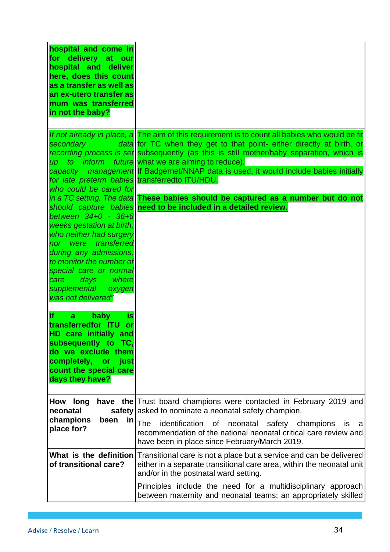| hospital and come in<br><b>delivery</b><br>for l<br>at a<br>our<br>hospital and deliver<br>here, does this count<br>as a transfer as well as<br>an ex-utero transfer as<br>mum was transferred<br>in not the baby?                                                                                                                                                                                                                                                                                                                                              |                                                                                                                                                                                                                                                                                                                                                                                                                                                                                                                                                                           |
|-----------------------------------------------------------------------------------------------------------------------------------------------------------------------------------------------------------------------------------------------------------------------------------------------------------------------------------------------------------------------------------------------------------------------------------------------------------------------------------------------------------------------------------------------------------------|---------------------------------------------------------------------------------------------------------------------------------------------------------------------------------------------------------------------------------------------------------------------------------------------------------------------------------------------------------------------------------------------------------------------------------------------------------------------------------------------------------------------------------------------------------------------------|
| secondary<br>for late preterm babies transferredto ITU/HDU.<br>who could be cared for<br>between 34+0 - 36+6<br>weeks gestation at birth,<br>who neither had surgery<br>transferred<br>nor were<br>during any admissions,<br>to monitor the number of<br>special care or normal<br>days where<br><b>care</b><br>supplemental oxygen<br>was not delivered"<br>If<br><b>baby</b><br>is<br>a<br>transferredfor ITU or<br>HD care initially and<br>subsequently to TC,<br>do we exclude them<br>completely, or<br>just<br>count the special care<br>days they have? | If not already in place, a The aim of this requirement is to count all babies who would be fit<br>data for TC when they get to that point- either directly at birth, or<br>recording process is set subsequently (as this is still mother/baby separation, which is<br>up to inform future what we are aiming to reduce).<br>capacity management If Badgernet/NNAP data is used, it would include babies initially<br>in a TC setting. The data These babies should be captured as a number but do not<br>should capture babies need to be included in a detailed review. |
| How long<br>neonatal<br>champions<br>been<br><u>in l</u><br>place for?                                                                                                                                                                                                                                                                                                                                                                                                                                                                                          | have the Trust board champions were contacted in February 2019 and<br>safety asked to nominate a neonatal safety champion.<br>The<br>identification<br>of<br>neonatal safety champions<br>is a<br>recommendation of the national neonatal critical care review and<br>have been in place since February/March 2019.                                                                                                                                                                                                                                                       |
| of transitional care?                                                                                                                                                                                                                                                                                                                                                                                                                                                                                                                                           | What is the definition Transitional care is not a place but a service and can be delivered<br>either in a separate transitional care area, within the neonatal unit<br>and/or in the postnatal ward setting.<br>Principles include the need for a multidisciplinary approach<br>between maternity and neonatal teams; an appropriately skilled                                                                                                                                                                                                                            |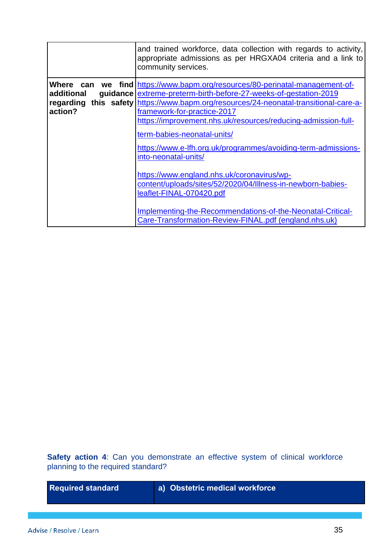|                                    | and trained workforce, data collection with regards to activity,<br>appropriate admissions as per HRGXA04 criteria and a link to<br>community services.                                                                                                                                                                                                                                                                                                                                                                                                                                                                                                                                                                 |
|------------------------------------|-------------------------------------------------------------------------------------------------------------------------------------------------------------------------------------------------------------------------------------------------------------------------------------------------------------------------------------------------------------------------------------------------------------------------------------------------------------------------------------------------------------------------------------------------------------------------------------------------------------------------------------------------------------------------------------------------------------------------|
| Where can<br>additional<br>action? | we find https://www.bapm.org/resources/80-perinatal-management-of-<br>guidance extreme-preterm-birth-before-27-weeks-of-gestation-2019<br>regarding this safety https://www.bapm.org/resources/24-neonatal-transitional-care-a-<br>framework-for-practice-2017<br>https://improvement.nhs.uk/resources/reducing-admission-full-<br>term-babies-neonatal-units/<br>https://www.e-lfh.org.uk/programmes/avoiding-term-admissions-<br>into-neonatal-units/<br>https://www.england.nhs.uk/coronavirus/wp-<br>content/uploads/sites/52/2020/04/Illness-in-newborn-babies-<br>leaflet-FINAL-070420.pdf<br>Implementing-the-Recommendations-of-the-Neonatal-Critical-<br>Care-Transformation-Review-FINAL.pdf (england.nhs.uk) |

<span id="page-34-0"></span>**Safety action 4:** Can you demonstrate an effective system of clinical workforce planning to the required standard?

| <b>Required standard</b> | a) Obstetric medical workforce |
|--------------------------|--------------------------------|
|                          |                                |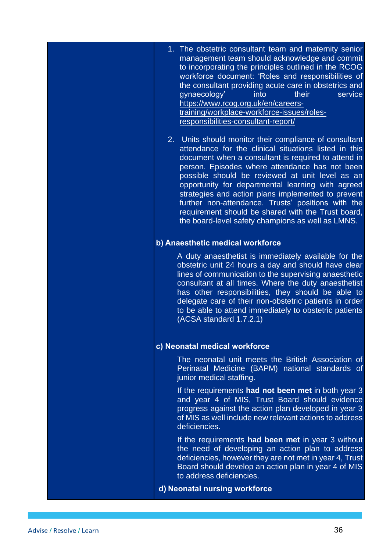- 1. The obstetric consultant team and maternity senior management team should acknowledge and commit to incorporating the principles outlined in the RCOG workforce document: 'Roles and responsibilities of the consultant providing acute care in obstetrics and gynaecology' into their service [https://www.rcog.org.uk/en/careers](https://www.rcog.org.uk/en/careers-training/workplace-workforce-issues/roles-responsibilities-consultant-report/)[training/workplace-workforce-issues/roles](https://www.rcog.org.uk/en/careers-training/workplace-workforce-issues/roles-responsibilities-consultant-report/)[responsibilities-consultant-report/](https://www.rcog.org.uk/en/careers-training/workplace-workforce-issues/roles-responsibilities-consultant-report/)
- 2. Units should monitor their compliance of consultant attendance for the clinical situations listed in this document when a consultant is required to attend in person. Episodes where attendance has not been possible should be reviewed at unit level as an opportunity for departmental learning with agreed strategies and action plans implemented to prevent further non-attendance. Trusts' positions with the requirement should be shared with the Trust board, the board-level safety champions as well as LMNS.

#### **b) Anaesthetic medical workforce**

A duty anaesthetist is immediately available for the obstetric unit 24 hours a day and should have clear lines of communication to the supervising anaesthetic consultant at all times. Where the duty anaesthetist has other responsibilities, they should be able to delegate care of their non-obstetric patients in order to be able to attend immediately to obstetric patients (ACSA standard 1.7.2.1)

#### **c) Neonatal medical workforce**

The neonatal unit meets the British Association of Perinatal Medicine (BAPM) national standards of junior medical staffing.

If the requirements **had not been met** in both year 3 and year 4 of MIS, Trust Board should evidence progress against the action plan developed in year 3 of MIS as well include new relevant actions to address deficiencies.

If the requirements **had been met** in year 3 without the need of developing an action plan to address deficiencies, however they are not met in year 4, Trust Board should develop an action plan in year 4 of MIS to address deficiencies.

#### **d) Neonatal nursing workforce**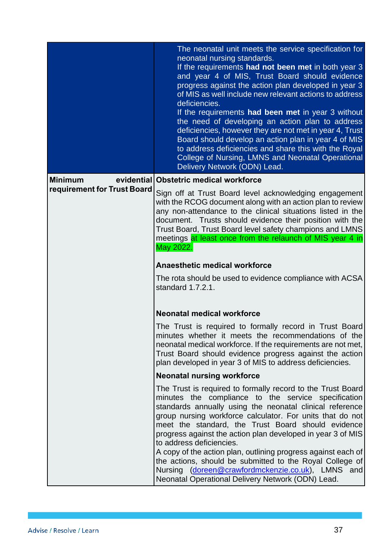|                              | The neonatal unit meets the service specification for<br>neonatal nursing standards.<br>If the requirements had not been met in both year 3<br>and year 4 of MIS, Trust Board should evidence<br>progress against the action plan developed in year 3<br>of MIS as well include new relevant actions to address<br>deficiencies.<br>If the requirements had been met in year 3 without<br>the need of developing an action plan to address<br>deficiencies, however they are not met in year 4, Trust<br>Board should develop an action plan in year 4 of MIS<br>to address deficiencies and share this with the Royal<br>College of Nursing, LMNS and Neonatal Operational<br>Delivery Network (ODN) Lead. |
|------------------------------|-------------------------------------------------------------------------------------------------------------------------------------------------------------------------------------------------------------------------------------------------------------------------------------------------------------------------------------------------------------------------------------------------------------------------------------------------------------------------------------------------------------------------------------------------------------------------------------------------------------------------------------------------------------------------------------------------------------|
| <b>Minimum</b><br>evidential | <b>Obstetric medical workforce</b>                                                                                                                                                                                                                                                                                                                                                                                                                                                                                                                                                                                                                                                                          |
| requirement for Trust Board  | Sign off at Trust Board level acknowledging engagement<br>with the RCOG document along with an action plan to review<br>any non-attendance to the clinical situations listed in the<br>document. Trusts should evidence their position with the<br>Trust Board, Trust Board level safety champions and LMNS<br>meetings at least once from the relaunch of MIS year 4 in<br>May 2022.                                                                                                                                                                                                                                                                                                                       |
|                              | <b>Anaesthetic medical workforce</b>                                                                                                                                                                                                                                                                                                                                                                                                                                                                                                                                                                                                                                                                        |
|                              | The rota should be used to evidence compliance with ACSA<br>standard 1.7.2.1.                                                                                                                                                                                                                                                                                                                                                                                                                                                                                                                                                                                                                               |
|                              | <b>Neonatal medical workforce</b>                                                                                                                                                                                                                                                                                                                                                                                                                                                                                                                                                                                                                                                                           |
|                              | The Trust is required to formally record in Trust Board<br>minutes whether it meets the recommendations of the<br>neonatal medical workforce. If the requirements are not met,<br>Trust Board should evidence progress against the action<br>plan developed in year 3 of MIS to address deficiencies.                                                                                                                                                                                                                                                                                                                                                                                                       |
|                              | <b>Neonatal nursing workforce</b>                                                                                                                                                                                                                                                                                                                                                                                                                                                                                                                                                                                                                                                                           |
|                              | The Trust is required to formally record to the Trust Board<br>minutes the compliance to the service specification<br>standards annually using the neonatal clinical reference<br>group nursing workforce calculator. For units that do not<br>meet the standard, the Trust Board should evidence<br>progress against the action plan developed in year 3 of MIS<br>to address deficiencies.<br>A copy of the action plan, outlining progress against each of<br>the actions, should be submitted to the Royal College of<br>Nursing (doreen@crawfordmckenzie.co.uk), LMNS and<br>Neonatal Operational Delivery Network (ODN) Lead.                                                                         |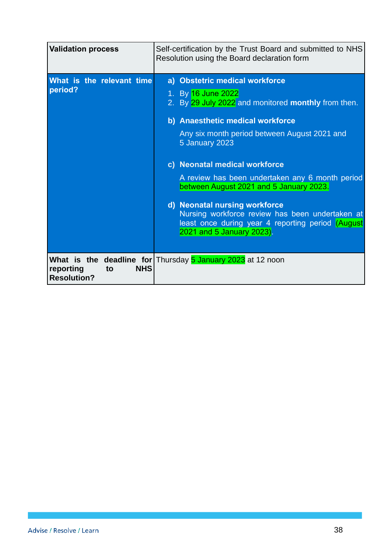| <b>Validation process</b>                           | Self-certification by the Trust Board and submitted to NHS<br>Resolution using the Board declaration form                                                                                                                                                                                                                                                                                                                                                                                                              |
|-----------------------------------------------------|------------------------------------------------------------------------------------------------------------------------------------------------------------------------------------------------------------------------------------------------------------------------------------------------------------------------------------------------------------------------------------------------------------------------------------------------------------------------------------------------------------------------|
| What is the relevant time<br>period?                | a) Obstetric medical workforce<br>1. By 16 June 2022<br>2. By 29 July 2022 and monitored monthly from then.<br>b) Anaesthetic medical workforce<br>Any six month period between August 2021 and<br>5 January 2023<br>c) Neonatal medical workforce<br>A review has been undertaken any 6 month period<br>between August 2021 and 5 January 2023.<br>d) Neonatal nursing workforce<br>Nursing workforce review has been undertaken at<br>least once during year 4 reporting period (August<br>2021 and 5 January 2023). |
| <b>NHS</b><br>reporting<br>to<br><b>Resolution?</b> | What is the deadline for Thursday 5 January 2023 at 12 noon                                                                                                                                                                                                                                                                                                                                                                                                                                                            |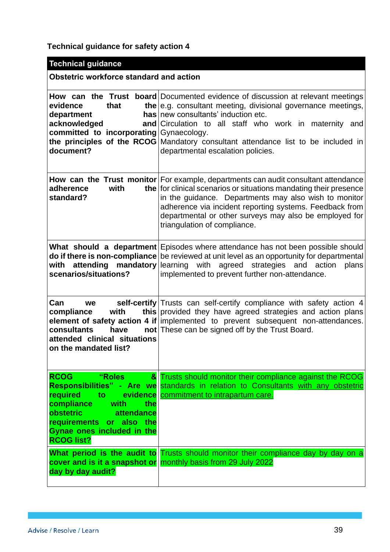# **Technical guidance for safety action 4**

| <b>Technical guidance</b>                                                                                                                                                                          |                                                                                                                                                                                                                                                                                                                                                                           |
|----------------------------------------------------------------------------------------------------------------------------------------------------------------------------------------------------|---------------------------------------------------------------------------------------------------------------------------------------------------------------------------------------------------------------------------------------------------------------------------------------------------------------------------------------------------------------------------|
| <b>Obstetric workforce standard and action</b>                                                                                                                                                     |                                                                                                                                                                                                                                                                                                                                                                           |
| evidence<br>that<br>department<br>acknowledged<br>committed to incorporating Gynaecology.<br>document?                                                                                             | How can the Trust board Documented evidence of discussion at relevant meetings<br>the e.g. consultant meeting, divisional governance meetings,<br>has new consultants' induction etc.<br>and Circulation to all staff who work in maternity and<br>the principles of the RCOG Mandatory consultant attendance list to be included in<br>departmental escalation policies. |
| with<br>adherence<br>standard?                                                                                                                                                                     | How can the Trust monitor For example, departments can audit consultant attendance<br>the for clinical scenarios or situations mandating their presence<br>in the guidance. Departments may also wish to monitor<br>adherence via incident reporting systems. Feedback from<br>departmental or other surveys may also be employed for<br>triangulation of compliance.     |
| do if there is non-compliance<br>with attending mandatory<br>scenarios/situations?                                                                                                                 | What should a department Episodes where attendance has not been possible should<br>be reviewed at unit level as an opportunity for departmental<br>learning with agreed strategies and action<br>plans<br>implemented to prevent further non-attendance.                                                                                                                  |
| Can<br>we<br>compliance<br>with<br>consultants<br>have<br>attended clinical situations<br>on the mandated list?                                                                                    | self-certify Trusts can self-certify compliance with safety action 4<br>this provided they have agreed strategies and action plans<br>element of safety action 4 if implemented to prevent subsequent non-attendances.<br>not These can be signed off by the Trust Board.                                                                                                 |
| "Roles<br><b>RCOG</b><br><b>required</b><br>to to<br>compliance<br>with<br>the<br><b>obstetric</b><br>attendance<br>requirements or also<br>the<br>Gynae ones included in the<br><b>RCOG list?</b> | & Trusts should monitor their compliance against the RCOG<br>Responsibilities" - Are we standards in relation to Consultants with any obstetric<br>evidence commitment to intrapartum care.                                                                                                                                                                               |
| day by day audit?                                                                                                                                                                                  | What period is the audit to Trusts should monitor their compliance day by day on a<br>cover and is it a snapshot or monthly basis from 29 July 2022                                                                                                                                                                                                                       |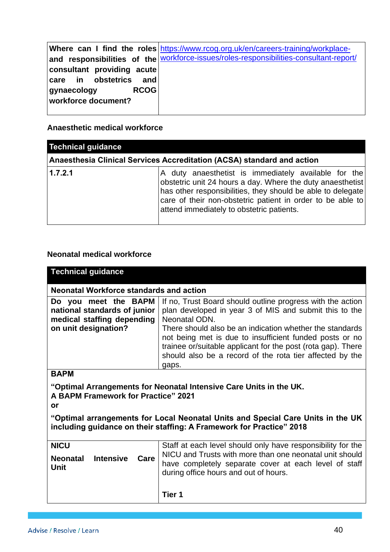|                            | Where can I find the roles https://www.rcog.org.uk/en/careers-training/workplace-      |
|----------------------------|----------------------------------------------------------------------------------------|
|                            | and responsibilities of the workforce-issues/roles-responsibilities-consultant-report/ |
| consultant providing acute |                                                                                        |
| care in obstetrics<br>and  |                                                                                        |
| gynaecology<br><b>RCOG</b> |                                                                                        |
| workforce document?        |                                                                                        |
|                            |                                                                                        |

## **Anaesthetic medical workforce**

| <b>Technical guidance</b>                                              |                                                                                                                                                                                                                                                                                              |
|------------------------------------------------------------------------|----------------------------------------------------------------------------------------------------------------------------------------------------------------------------------------------------------------------------------------------------------------------------------------------|
| Anaesthesia Clinical Services Accreditation (ACSA) standard and action |                                                                                                                                                                                                                                                                                              |
| 1.7.2.1                                                                | A duty anaesthetist is immediately available for the<br>obstetric unit 24 hours a day. Where the duty anaesthetist<br>has other responsibilities, they should be able to delegate<br>care of their non-obstetric patient in order to be able to<br>attend immediately to obstetric patients. |

### **Neonatal medical workforce**

| <b>Technical guidance</b>                                                                                                                                                                                                                                                         |                                                                                                                                                                                                                                                                                                                                                                                          |
|-----------------------------------------------------------------------------------------------------------------------------------------------------------------------------------------------------------------------------------------------------------------------------------|------------------------------------------------------------------------------------------------------------------------------------------------------------------------------------------------------------------------------------------------------------------------------------------------------------------------------------------------------------------------------------------|
| <b>Neonatal Workforce standards and action</b>                                                                                                                                                                                                                                    |                                                                                                                                                                                                                                                                                                                                                                                          |
| Do you meet the BAPM<br>national standards of junior<br>medical staffing depending<br>on unit designation?                                                                                                                                                                        | If no, Trust Board should outline progress with the action<br>plan developed in year 3 of MIS and submit this to the<br>Neonatal ODN.<br>There should also be an indication whether the standards<br>not being met is due to insufficient funded posts or no<br>trainee or/suitable applicant for the post (rota gap). There<br>should also be a record of the rota tier affected by the |
| <b>BAPM</b>                                                                                                                                                                                                                                                                       | gaps.                                                                                                                                                                                                                                                                                                                                                                                    |
| "Optimal Arrangements for Neonatal Intensive Care Units in the UK.<br><b>A BAPM Framework for Practice" 2021</b><br>or<br>"Optimal arrangements for Local Neonatal Units and Special Care Units in the UK<br>including guidance on their staffing: A Framework for Practice" 2018 |                                                                                                                                                                                                                                                                                                                                                                                          |
|                                                                                                                                                                                                                                                                                   |                                                                                                                                                                                                                                                                                                                                                                                          |
| <b>NICU</b>                                                                                                                                                                                                                                                                       | Staff at each level should only have responsibility for the<br>NICU and Trusts with more than one neonatal unit should                                                                                                                                                                                                                                                                   |
| <b>Intensive</b><br><b>Neonatal</b><br>Care<br>Unit                                                                                                                                                                                                                               | have completely separate cover at each level of staff<br>during office hours and out of hours.                                                                                                                                                                                                                                                                                           |
|                                                                                                                                                                                                                                                                                   | Tier 1                                                                                                                                                                                                                                                                                                                                                                                   |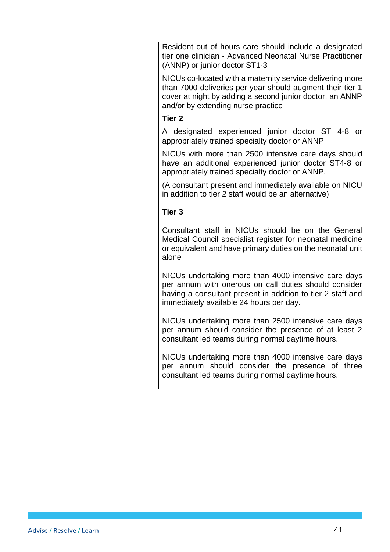| Resident out of hours care should include a designated<br>tier one clinician - Advanced Neonatal Nurse Practitioner<br>(ANNP) or junior doctor ST1-3                                                                     |
|--------------------------------------------------------------------------------------------------------------------------------------------------------------------------------------------------------------------------|
| NICUs co-located with a maternity service delivering more<br>than 7000 deliveries per year should augment their tier 1<br>cover at night by adding a second junior doctor, an ANNP<br>and/or by extending nurse practice |
| Tier <sub>2</sub>                                                                                                                                                                                                        |
| A designated experienced junior doctor ST 4-8 or<br>appropriately trained specialty doctor or ANNP                                                                                                                       |
| NICUs with more than 2500 intensive care days should<br>have an additional experienced junior doctor ST4-8 or<br>appropriately trained specialty doctor or ANNP.                                                         |
| (A consultant present and immediately available on NICU<br>in addition to tier 2 staff would be an alternative)                                                                                                          |
| Tier <sub>3</sub>                                                                                                                                                                                                        |
| Consultant staff in NICUs should be on the General<br>Medical Council specialist register for neonatal medicine<br>or equivalent and have primary duties on the neonatal unit<br>alone                                   |
| NICUs undertaking more than 4000 intensive care days<br>per annum with onerous on call duties should consider<br>having a consultant present in addition to tier 2 staff and<br>immediately available 24 hours per day.  |
| NICUs undertaking more than 2500 intensive care days<br>per annum should consider the presence of at least 2<br>consultant led teams during normal daytime hours.                                                        |
| NICUs undertaking more than 4000 intensive care days<br>per annum should consider the presence of three<br>consultant led teams during normal daytime hours.                                                             |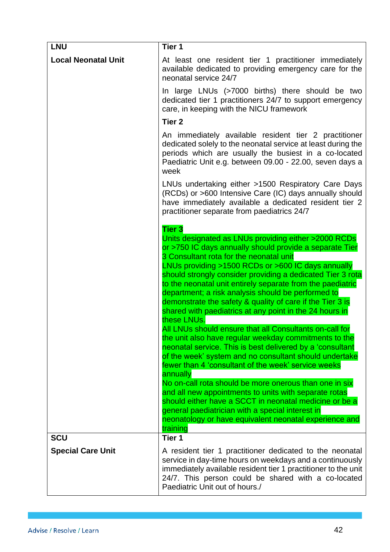| <b>LNU</b>                 | Tier 1                                                                                                                                                                                                                                                                                                                                                                                                                                                                                                                                                                                                                                                                                                                                                                                                                                                                                                                                                                                                                                                                                                                                                                          |
|----------------------------|---------------------------------------------------------------------------------------------------------------------------------------------------------------------------------------------------------------------------------------------------------------------------------------------------------------------------------------------------------------------------------------------------------------------------------------------------------------------------------------------------------------------------------------------------------------------------------------------------------------------------------------------------------------------------------------------------------------------------------------------------------------------------------------------------------------------------------------------------------------------------------------------------------------------------------------------------------------------------------------------------------------------------------------------------------------------------------------------------------------------------------------------------------------------------------|
| <b>Local Neonatal Unit</b> | At least one resident tier 1 practitioner immediately<br>available dedicated to providing emergency care for the<br>neonatal service 24/7                                                                                                                                                                                                                                                                                                                                                                                                                                                                                                                                                                                                                                                                                                                                                                                                                                                                                                                                                                                                                                       |
|                            | In large LNUs (>7000 births) there should be two<br>dedicated tier 1 practitioners 24/7 to support emergency<br>care, in keeping with the NICU framework                                                                                                                                                                                                                                                                                                                                                                                                                                                                                                                                                                                                                                                                                                                                                                                                                                                                                                                                                                                                                        |
|                            | Tier <sub>2</sub>                                                                                                                                                                                                                                                                                                                                                                                                                                                                                                                                                                                                                                                                                                                                                                                                                                                                                                                                                                                                                                                                                                                                                               |
|                            | An immediately available resident tier 2 practitioner<br>dedicated solely to the neonatal service at least during the<br>periods which are usually the busiest in a co-located<br>Paediatric Unit e.g. between 09.00 - 22.00, seven days a<br>week                                                                                                                                                                                                                                                                                                                                                                                                                                                                                                                                                                                                                                                                                                                                                                                                                                                                                                                              |
|                            | LNUs undertaking either >1500 Respiratory Care Days<br>(RCDs) or >600 Intensive Care (IC) days annually should<br>have immediately available a dedicated resident tier 2<br>practitioner separate from paediatrics 24/7                                                                                                                                                                                                                                                                                                                                                                                                                                                                                                                                                                                                                                                                                                                                                                                                                                                                                                                                                         |
|                            | <b>Tier 3</b><br>Units designated as LNUs providing either >2000 RCDs<br>or >750 IC days annually should provide a separate Tier<br>3 Consultant rota for the neonatal unit<br>LNUs providing >1500 RCDs or >600 IC days annually<br>should strongly consider providing a dedicated Tier 3 rota<br>to the neonatal unit entirely separate from the paediatric<br>department; a risk analysis should be performed to<br>demonstrate the safety & quality of care if the Tier 3 is<br>shared with paediatrics at any point in the 24 hours in<br>these LNUs.<br>All LNUs should ensure that all Consultants on-call for<br>the unit also have regular weekday commitments to the<br>neonatal service. This is best delivered by a 'consultant<br>of the week' system and no consultant should undertake<br>fewer than 4 'consultant of the week' service weeks<br>annually<br>No on-call rota should be more onerous than one in six<br>and all new appointments to units with separate rotas<br>should either have a SCCT in neonatal medicine or be a<br>general paediatrician with a special interest in<br>neonatology or have equivalent neonatal experience and<br>training |
| <b>SCU</b>                 | Tier 1                                                                                                                                                                                                                                                                                                                                                                                                                                                                                                                                                                                                                                                                                                                                                                                                                                                                                                                                                                                                                                                                                                                                                                          |
| <b>Special Care Unit</b>   | A resident tier 1 practitioner dedicated to the neonatal<br>service in day-time hours on weekdays and a continuously<br>immediately available resident tier 1 practitioner to the unit<br>24/7. This person could be shared with a co-located<br>Paediatric Unit out of hours./                                                                                                                                                                                                                                                                                                                                                                                                                                                                                                                                                                                                                                                                                                                                                                                                                                                                                                 |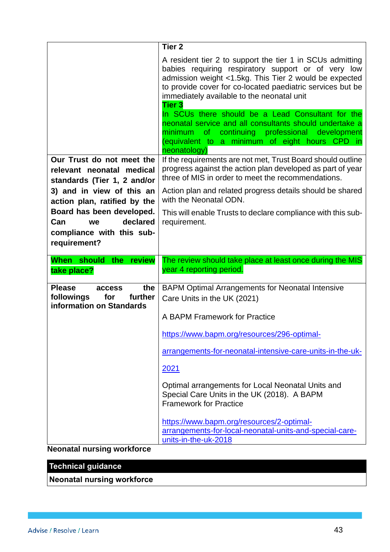|                                   | <b>Tier 2</b>                                                                                                                                                                                                                                                                                           |
|-----------------------------------|---------------------------------------------------------------------------------------------------------------------------------------------------------------------------------------------------------------------------------------------------------------------------------------------------------|
|                                   | A resident tier 2 to support the tier 1 in SCUs admitting<br>babies requiring respiratory support or of very low<br>admission weight <1.5kg. This Tier 2 would be expected<br>to provide cover for co-located paediatric services but be<br>immediately available to the neonatal unit<br><b>Tier 3</b> |
|                                   | In SCUs there should be a Lead Consultant for the<br>neonatal service and all consultants should undertake a<br>of continuing professional<br>minimum<br>development<br>(equivalent to a minimum of eight hours CPD in<br>neonatology)                                                                  |
| Our Trust do not meet the         | If the requirements are not met, Trust Board should outline                                                                                                                                                                                                                                             |
| relevant neonatal medical         | progress against the action plan developed as part of year                                                                                                                                                                                                                                              |
| standards (Tier 1, 2 and/or       | three of MIS in order to meet the recommendations.                                                                                                                                                                                                                                                      |
| 3) and in view of this an         | Action plan and related progress details should be shared                                                                                                                                                                                                                                               |
| action plan, ratified by the      | with the Neonatal ODN.                                                                                                                                                                                                                                                                                  |
| Board has been developed.         | This will enable Trusts to declare compliance with this sub-                                                                                                                                                                                                                                            |
| Can<br>declared<br>we             | requirement.                                                                                                                                                                                                                                                                                            |
| compliance with this sub-         |                                                                                                                                                                                                                                                                                                         |
| requirement?                      |                                                                                                                                                                                                                                                                                                         |
|                                   |                                                                                                                                                                                                                                                                                                         |
| When should the<br>review         | The review should take place at least once during the MIS                                                                                                                                                                                                                                               |
| take place?                       | year 4 reporting period.                                                                                                                                                                                                                                                                                |
| <b>Please</b><br>the<br>access    | <b>BAPM Optimal Arrangements for Neonatal Intensive</b>                                                                                                                                                                                                                                                 |
| further<br>followings<br>for      | Care Units in the UK (2021)                                                                                                                                                                                                                                                                             |
| information on Standards          |                                                                                                                                                                                                                                                                                                         |
|                                   | A BAPM Framework for Practice                                                                                                                                                                                                                                                                           |
|                                   | https://www.bapm.org/resources/296-optimal-                                                                                                                                                                                                                                                             |
|                                   | arrangements-for-neonatal-intensive-care-units-in-the-uk-                                                                                                                                                                                                                                               |
|                                   | 2021                                                                                                                                                                                                                                                                                                    |
|                                   | Optimal arrangements for Local Neonatal Units and<br>Special Care Units in the UK (2018). A BAPM<br><b>Framework for Practice</b>                                                                                                                                                                       |
|                                   |                                                                                                                                                                                                                                                                                                         |
|                                   | https://www.bapm.org/resources/2-optimal-<br>arrangements-for-local-neonatal-units-and-special-care-                                                                                                                                                                                                    |
| <b>Neonatal nursing workforce</b> | units-in-the-uk-2018                                                                                                                                                                                                                                                                                    |

**Technical guidance** 

**Neonatal nursing workforce**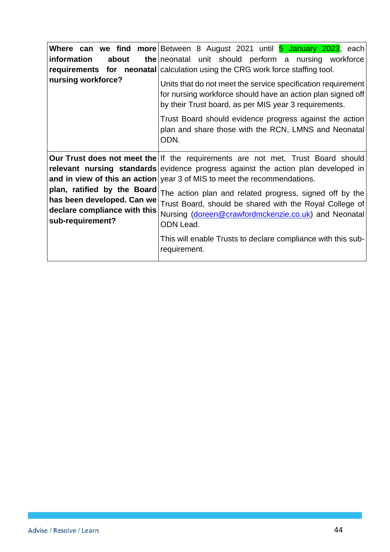| information<br>about<br>nursing workforce?                                    | Where can we find more Between 8 August 2021 until 5 January 2023, each<br>the   neonatal unit should perform a nursing workforce<br>requirements for neonatal calculation using the CRG work force staffing tool.<br>Units that do not meet the service specification requirement<br>for nursing workforce should have an action plan signed off<br>by their Trust board, as per MIS year 3 requirements.<br>Trust Board should evidence progress against the action<br>plan and share those with the RCN, LMNS and Neonatal<br>ODN.                                       |
|-------------------------------------------------------------------------------|-----------------------------------------------------------------------------------------------------------------------------------------------------------------------------------------------------------------------------------------------------------------------------------------------------------------------------------------------------------------------------------------------------------------------------------------------------------------------------------------------------------------------------------------------------------------------------|
| plan, ratified by the Board<br>has been developed. Can we<br>sub-requirement? | Our Trust does not meet the If the requirements are not met, Trust Board should<br>relevant nursing standards evidence progress against the action plan developed in<br>and in view of this an action year 3 of MIS to meet the recommendations.<br>The action plan and related progress, signed off by the<br>Trust Board, should be shared with the Royal College of<br>declare compliance with this $\vert_{\mathsf{Nursing}}$ (doreen@crawfordmckenzie.co.uk) and Neonatal<br>ODN Lead.<br>This will enable Trusts to declare compliance with this sub-<br>requirement. |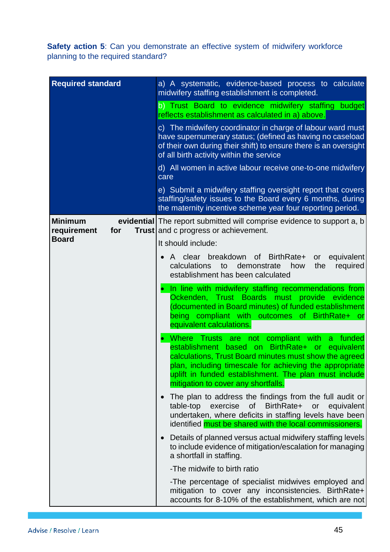**Safety action 5**: Can you demonstrate an effective system of midwifery workforce planning to the required standard?

| <b>Required standard</b>             | a) A systematic, evidence-based process to calculate<br>midwifery staffing establishment is completed.                                                                                                                                                                                                                                      |
|--------------------------------------|---------------------------------------------------------------------------------------------------------------------------------------------------------------------------------------------------------------------------------------------------------------------------------------------------------------------------------------------|
|                                      | b) Trust Board to evidence midwifery staffing budget<br>reflects establishment as calculated in a) above.                                                                                                                                                                                                                                   |
|                                      | c) The midwifery coordinator in charge of labour ward must<br>have supernumerary status; (defined as having no caseload<br>of their own during their shift) to ensure there is an oversight<br>of all birth activity within the service                                                                                                     |
|                                      | d) All women in active labour receive one-to-one midwifery<br>care                                                                                                                                                                                                                                                                          |
|                                      | e) Submit a midwifery staffing oversight report that covers<br>staffing/safety issues to the Board every 6 months, during<br>the maternity incentive scheme year four reporting period.                                                                                                                                                     |
| <b>Minimum</b><br>requirement<br>for | evidential The report submitted will comprise evidence to support a, b<br><b>Trust</b> and c progress or achievement.                                                                                                                                                                                                                       |
| <b>Board</b>                         | It should include:                                                                                                                                                                                                                                                                                                                          |
|                                      | A clear breakdown of BirthRate+<br>equivalent<br>or<br>calculations<br>to<br>demonstrate<br>the<br>required<br>how<br>establishment has been calculated                                                                                                                                                                                     |
|                                      | • In line with midwifery staffing recommendations from<br>Ockenden, Trust Boards must<br>provide<br>evidence<br>(documented in Board minutes) of funded establishment<br>being compliant with outcomes of BirthRate+ or<br>equivalent calculations.                                                                                         |
|                                      | Where Trusts are not compliant with<br>funded<br>a.<br>$\bullet$<br>establishment based on BirthRate+ or<br>equivalent<br>calculations, Trust Board minutes must show the agreed<br>plan, including timescale for achieving the appropriate<br>uplift in funded establishment. The plan must include<br>mitigation to cover any shortfalls. |
|                                      | The plan to address the findings from the full audit or<br>$\bullet$<br>table-top exercise of BirthRate+<br>or<br>equivalent<br>undertaken, where deficits in staffing levels have been<br>identified must be shared with the local commissioners.                                                                                          |
|                                      | Details of planned versus actual midwifery staffing levels<br>$\bullet$<br>to include evidence of mitigation/escalation for managing<br>a shortfall in staffing.                                                                                                                                                                            |
|                                      | -The midwife to birth ratio                                                                                                                                                                                                                                                                                                                 |
|                                      | -The percentage of specialist midwives employed and<br>mitigation to cover any inconsistencies. BirthRate+<br>accounts for 8-10% of the establishment, which are not                                                                                                                                                                        |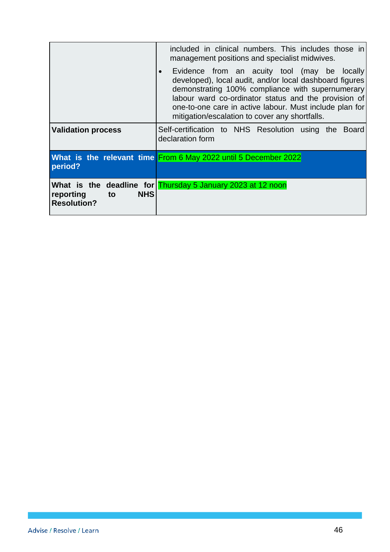|                                                     | included in clinical numbers. This includes those in<br>management positions and specialist midwives.                                                                                                                                                                                                                            |
|-----------------------------------------------------|----------------------------------------------------------------------------------------------------------------------------------------------------------------------------------------------------------------------------------------------------------------------------------------------------------------------------------|
|                                                     | Evidence from an acuity tool (may be locally<br>developed), local audit, and/or local dashboard figures<br>demonstrating 100% compliance with supernumerary<br>labour ward co-ordinator status and the provision of<br>one-to-one care in active labour. Must include plan for<br>mitigation/escalation to cover any shortfalls. |
| <b>Validation process</b>                           | Self-certification to NHS Resolution using the Board<br>declaration form                                                                                                                                                                                                                                                         |
| period?                                             | What is the relevant time From 6 May 2022 until 5 December 2022                                                                                                                                                                                                                                                                  |
| <b>NHS</b><br>reporting<br>to<br><b>Resolution?</b> | What is the deadline for Thursday 5 January 2023 at 12 noon                                                                                                                                                                                                                                                                      |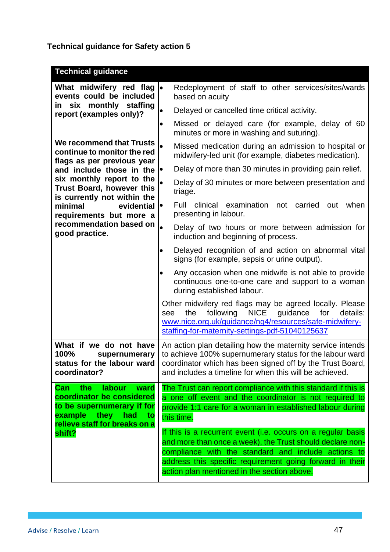| <b>Technical guidance</b>                                                                                                                                                        |                                                                                                                                                                                                                                                                                                                                                                                                                                                                                                   |
|----------------------------------------------------------------------------------------------------------------------------------------------------------------------------------|---------------------------------------------------------------------------------------------------------------------------------------------------------------------------------------------------------------------------------------------------------------------------------------------------------------------------------------------------------------------------------------------------------------------------------------------------------------------------------------------------|
| What midwifery red flag $\bullet$<br>events could be included                                                                                                                    | Redeployment of staff to other services/sites/wards<br>based on acuity                                                                                                                                                                                                                                                                                                                                                                                                                            |
| in six monthly staffing<br>report (examples only)?                                                                                                                               | $\bullet$<br>Delayed or cancelled time critical activity.                                                                                                                                                                                                                                                                                                                                                                                                                                         |
|                                                                                                                                                                                  | Missed or delayed care (for example, delay of 60<br>٠<br>minutes or more in washing and suturing).                                                                                                                                                                                                                                                                                                                                                                                                |
| We recommend that Trusts<br>continue to monitor the red                                                                                                                          | Missed medication during an admission to hospital or<br>midwifery-led unit (for example, diabetes medication).                                                                                                                                                                                                                                                                                                                                                                                    |
| flags as per previous year<br>and include those in the $\vert \cdot \vert$                                                                                                       | Delay of more than 30 minutes in providing pain relief.                                                                                                                                                                                                                                                                                                                                                                                                                                           |
| six monthly report to the<br><b>Trust Board, however this</b>                                                                                                                    | $\bullet$<br>Delay of 30 minutes or more between presentation and<br>triage.                                                                                                                                                                                                                                                                                                                                                                                                                      |
| is currently not within the<br>minimal<br>evidential  <br>requirements but more a<br>recommendation based on<br>good practice.                                                   | Full clinical examination not carried out<br>when<br>presenting in labour.                                                                                                                                                                                                                                                                                                                                                                                                                        |
|                                                                                                                                                                                  | $\bullet$<br>Delay of two hours or more between admission for<br>induction and beginning of process.                                                                                                                                                                                                                                                                                                                                                                                              |
|                                                                                                                                                                                  | Delayed recognition of and action on abnormal vital<br>٠<br>signs (for example, sepsis or urine output).                                                                                                                                                                                                                                                                                                                                                                                          |
|                                                                                                                                                                                  | Any occasion when one midwife is not able to provide<br>continuous one-to-one care and support to a woman<br>during established labour.                                                                                                                                                                                                                                                                                                                                                           |
|                                                                                                                                                                                  | Other midwifery red flags may be agreed locally. Please<br>following<br><b>NICE</b><br>guidance<br>for<br>the<br>details:<br>see<br>www.nice.org.uk/guidance/ng4/resources/safe-midwifery-<br>staffing-for-maternity-settings-pdf-51040125637                                                                                                                                                                                                                                                     |
| What if we do not have<br>100%<br>supernumerary<br>status for the labour ward<br>coordinator?                                                                                    | An action plan detailing how the maternity service intends<br>to achieve 100% supernumerary status for the labour ward<br>coordinator which has been signed off by the Trust Board,<br>and includes a timeline for when this will be achieved.                                                                                                                                                                                                                                                    |
| <b>Can</b><br>the<br><b>labour</b><br>ward<br>coordinator be considered<br>to be supernumerary if for<br>example<br>they<br>had<br>to<br>relieve staff for breaks on a<br>shift? | The Trust can report compliance with this standard if this is<br>a one off event and the coordinator is not required to<br>provide 1:1 care for a woman in established labour during<br>this time.<br>If this is a recurrent event (i.e. occurs on a regular basis<br>and more than once a week), the Trust should declare non-<br>compliance with the standard and include actions to<br>address this specific requirement going forward in their<br>action plan mentioned in the section above. |
|                                                                                                                                                                                  |                                                                                                                                                                                                                                                                                                                                                                                                                                                                                                   |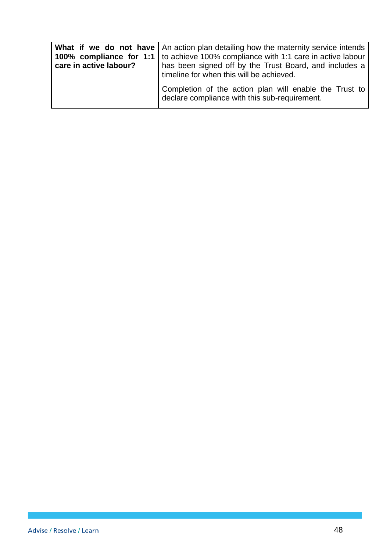| care in active labour? | <b>What if we do not have</b> An action plan detailing how the maternity service intends<br>100% compliance for 1:1   to achieve 100% compliance with 1:1 care in active labour<br>has been signed off by the Trust Board, and includes a<br>timeline for when this will be achieved. |
|------------------------|---------------------------------------------------------------------------------------------------------------------------------------------------------------------------------------------------------------------------------------------------------------------------------------|
|                        | Completion of the action plan will enable the Trust to<br>declare compliance with this sub-requirement.                                                                                                                                                                               |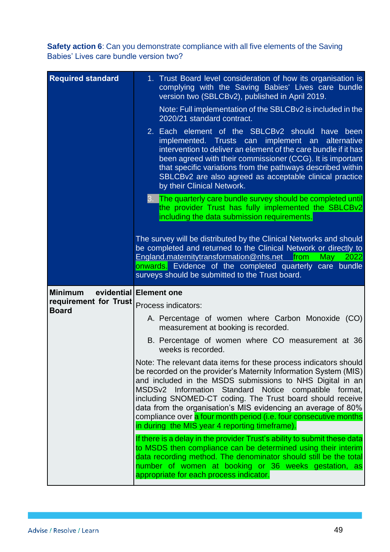**Safety action 6**: Can you demonstrate compliance with all five elements of the Saving Babies' Lives care bundle version two?

| <b>Required standard</b>                 | 1. Trust Board level consideration of how its organisation is<br>complying with the Saving Babies' Lives care bundle<br>version two (SBLCBv2), published in April 2019.                                                                                                                                                                                                                                                                                                                                           |
|------------------------------------------|-------------------------------------------------------------------------------------------------------------------------------------------------------------------------------------------------------------------------------------------------------------------------------------------------------------------------------------------------------------------------------------------------------------------------------------------------------------------------------------------------------------------|
|                                          | Note: Full implementation of the SBLCBv2 is included in the<br>2020/21 standard contract.                                                                                                                                                                                                                                                                                                                                                                                                                         |
|                                          | 2. Each element of the SBLCBv2 should have been<br>implemented. Trusts can implement an alternative<br>intervention to deliver an element of the care bundle if it has<br>been agreed with their commissioner (CCG). It is important<br>that specific variations from the pathways described within<br>SBLCBv2 are also agreed as acceptable clinical practice<br>by their Clinical Network.                                                                                                                      |
|                                          | 3. The quarterly care bundle survey should be completed until<br>the provider Trust has fully implemented the SBLCBv2<br>including the data submission requirements.                                                                                                                                                                                                                                                                                                                                              |
|                                          | The survey will be distributed by the Clinical Networks and should<br>be completed and returned to the Clinical Network or directly to<br>England.maternitytransformation@nhs.net from<br>May<br>2022<br>onwards. Evidence of the completed quarterly care bundle<br>surveys should be submitted to the Trust board.                                                                                                                                                                                              |
| evidential Element one<br><b>Minimum</b> |                                                                                                                                                                                                                                                                                                                                                                                                                                                                                                                   |
|                                          |                                                                                                                                                                                                                                                                                                                                                                                                                                                                                                                   |
| requirement for Trust                    | Process indicators:                                                                                                                                                                                                                                                                                                                                                                                                                                                                                               |
| <b>Board</b>                             | A. Percentage of women where Carbon Monoxide (CO)<br>measurement at booking is recorded.                                                                                                                                                                                                                                                                                                                                                                                                                          |
|                                          | B. Percentage of women where CO measurement at 36<br>weeks is recorded.                                                                                                                                                                                                                                                                                                                                                                                                                                           |
|                                          | Note: The relevant data items for these process indicators should<br>be recorded on the provider's Maternity Information System (MIS)<br>and included in the MSDS submissions to NHS Digital in an<br>MSDSv2 Information Standard Notice compatible format,<br>including SNOMED-CT coding. The Trust board should receive<br>data from the organisation's MIS evidencing an average of 80%<br>compliance over a four month period (i.e. four consecutive months<br>in during the MIS year 4 reporting timeframe). |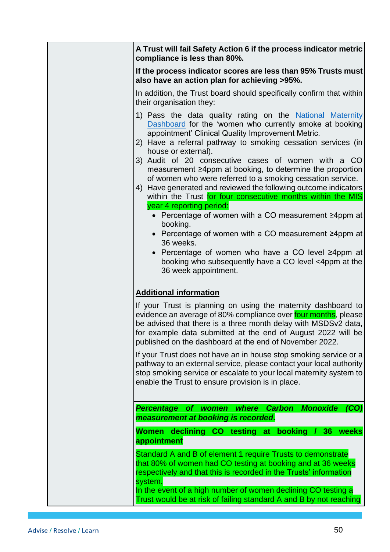| A Trust will fail Safety Action 6 if the process indicator metric<br>compliance is less than 80%.                                                                                                                                                                                                                                                                                                                                                                                                                                                                                                                                                                                                                                                                                                                                                                                                                                                                                                                |
|------------------------------------------------------------------------------------------------------------------------------------------------------------------------------------------------------------------------------------------------------------------------------------------------------------------------------------------------------------------------------------------------------------------------------------------------------------------------------------------------------------------------------------------------------------------------------------------------------------------------------------------------------------------------------------------------------------------------------------------------------------------------------------------------------------------------------------------------------------------------------------------------------------------------------------------------------------------------------------------------------------------|
| If the process indicator scores are less than 95% Trusts must<br>also have an action plan for achieving >95%.                                                                                                                                                                                                                                                                                                                                                                                                                                                                                                                                                                                                                                                                                                                                                                                                                                                                                                    |
| In addition, the Trust board should specifically confirm that within<br>their organisation they:                                                                                                                                                                                                                                                                                                                                                                                                                                                                                                                                                                                                                                                                                                                                                                                                                                                                                                                 |
| 1) Pass the data quality rating on the National Maternity<br>Dashboard for the 'women who currently smoke at booking<br>appointment' Clinical Quality Improvement Metric.<br>2) Have a referral pathway to smoking cessation services (in<br>house or external).<br>3) Audit of 20 consecutive cases of women with a CO<br>measurement ≥4ppm at booking, to determine the proportion<br>of women who were referred to a smoking cessation service.<br>4) Have generated and reviewed the following outcome indicators<br>within the Trust for four consecutive months within the MIS<br>year 4 reporting period:<br>• Percentage of women with a CO measurement ≥4ppm at<br>booking.<br>• Percentage of women with a CO measurement $\geq 4$ ppm at<br>36 weeks.<br>• Percentage of women who have a CO level $\geq 4$ ppm at<br>booking who subsequently have a CO level <4ppm at the<br>36 week appointment.<br><b>Additional information</b><br>If your Trust is planning on using the maternity dashboard to |
| evidence an average of 80% compliance over four months, please<br>be advised that there is a three month delay with MSDSv2 data,<br>for example data submitted at the end of August 2022 will be<br>published on the dashboard at the end of November 2022.                                                                                                                                                                                                                                                                                                                                                                                                                                                                                                                                                                                                                                                                                                                                                      |
| If your Trust does not have an in house stop smoking service or a<br>pathway to an external service, please contact your local authority<br>stop smoking service or escalate to your local maternity system to<br>enable the Trust to ensure provision is in place.                                                                                                                                                                                                                                                                                                                                                                                                                                                                                                                                                                                                                                                                                                                                              |
| <b>Monoxide (CO)</b><br>women where Carbon<br><b>Percentage of</b><br>measurement at booking is recorded.                                                                                                                                                                                                                                                                                                                                                                                                                                                                                                                                                                                                                                                                                                                                                                                                                                                                                                        |
| Women declining CO testing at booking /<br>36 <sub>2</sub><br>weeks<br>appointment                                                                                                                                                                                                                                                                                                                                                                                                                                                                                                                                                                                                                                                                                                                                                                                                                                                                                                                               |
| Standard A and B of element 1 require Trusts to demonstrate<br>that 80% of women had CO testing at booking and at 36 weeks<br>respectively and that this is recorded in the Trusts' information<br>system.<br>In the event of a high number of women declining CO testing a                                                                                                                                                                                                                                                                                                                                                                                                                                                                                                                                                                                                                                                                                                                                      |
| Trust would be at risk of failing standard A and B by not reaching                                                                                                                                                                                                                                                                                                                                                                                                                                                                                                                                                                                                                                                                                                                                                                                                                                                                                                                                               |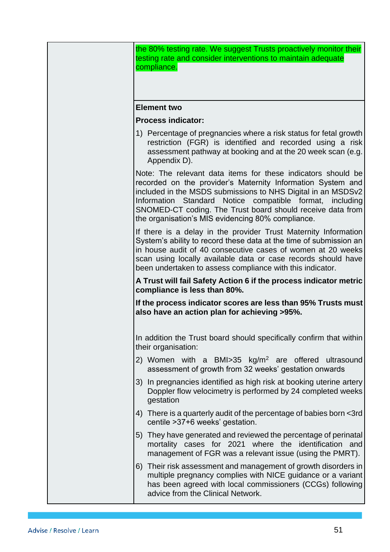the 80% testing rate. We suggest Trusts proactively monitor their testing rate and consider interventions to maintain adequate compliance.

#### **Element two**

#### **Process indicator:**

1) Percentage of pregnancies where a risk status for fetal growth restriction (FGR) is identified and recorded using a risk assessment pathway at booking and at the 20 week scan (e.g. Appendix D).

Note: The relevant data items for these indicators should be recorded on the provider's Maternity Information System and included in the MSDS submissions to NHS Digital in an MSDSv2 Information Standard Notice compatible format, including SNOMED-CT coding. The Trust board should receive data from the organisation's MIS evidencing 80% compliance.

If there is a delay in the provider Trust Maternity Information System's ability to record these data at the time of submission an in house audit of 40 consecutive cases of women at 20 weeks scan using locally available data or case records should have been undertaken to assess compliance with this indicator.

**A Trust will fail Safety Action 6 if the process indicator metric compliance is less than 80%.**

**If the process indicator scores are less than 95% Trusts must also have an action plan for achieving >95%.**

In addition the Trust board should specifically confirm that within their organisation:

- 2) Women with a BMI $>35$  kg/m<sup>2</sup> are offered ultrasound assessment of growth from 32 weeks' gestation onwards
- 3) In pregnancies identified as high risk at booking uterine artery Doppler flow velocimetry is performed by 24 completed weeks gestation
- 4) There is a quarterly audit of the percentage of babies born <3rd centile >37+6 weeks' gestation.
- 5) They have generated and reviewed the percentage of perinatal mortality cases for 2021 where the identification and management of FGR was a relevant issue (using the PMRT).
- 6) Their risk assessment and management of growth disorders in multiple pregnancy complies with NICE guidance or a variant has been agreed with local commissioners (CCGs) following advice from the Clinical Network.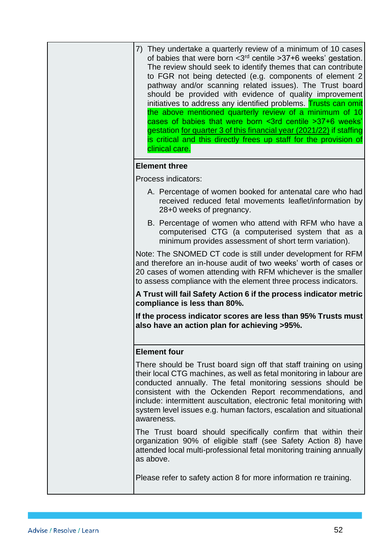| 7) They undertake a quarterly review of a minimum of 10 cases<br>of babies that were born $<$ 3 <sup>rd</sup> centile >37+6 weeks' gestation.<br>The review should seek to identify themes that can contribute<br>to FGR not being detected (e.g. components of element 2<br>pathway and/or scanning related issues). The Trust board<br>should be provided with evidence of quality improvement<br>initiatives to address any identified problems. Trusts can omit<br>the above mentioned quarterly review of a minimum of 10<br>cases of babies that were born <3rd centile >37+6 weeks'<br>gestation for quarter 3 of this financial year (2021/22) if staffing<br>is critical and this directly frees up staff for the provision of<br>clinical care. |
|-----------------------------------------------------------------------------------------------------------------------------------------------------------------------------------------------------------------------------------------------------------------------------------------------------------------------------------------------------------------------------------------------------------------------------------------------------------------------------------------------------------------------------------------------------------------------------------------------------------------------------------------------------------------------------------------------------------------------------------------------------------|
| <b>Element three</b>                                                                                                                                                                                                                                                                                                                                                                                                                                                                                                                                                                                                                                                                                                                                      |
| Process indicators:                                                                                                                                                                                                                                                                                                                                                                                                                                                                                                                                                                                                                                                                                                                                       |
| A. Percentage of women booked for antenatal care who had<br>received reduced fetal movements leaflet/information by<br>28+0 weeks of pregnancy.                                                                                                                                                                                                                                                                                                                                                                                                                                                                                                                                                                                                           |
| B. Percentage of women who attend with RFM who have a<br>computerised CTG (a computerised system that as a<br>minimum provides assessment of short term variation).                                                                                                                                                                                                                                                                                                                                                                                                                                                                                                                                                                                       |
| Note: The SNOMED CT code is still under development for RFM<br>and therefore an in-house audit of two weeks' worth of cases or<br>20 cases of women attending with RFM whichever is the smaller<br>to assess compliance with the element three process indicators.                                                                                                                                                                                                                                                                                                                                                                                                                                                                                        |
| A Trust will fail Safety Action 6 if the process indicator metric<br>compliance is less than 80%.                                                                                                                                                                                                                                                                                                                                                                                                                                                                                                                                                                                                                                                         |
| If the process indicator scores are less than 95% Trusts must<br>also have an action plan for achieving >95%.                                                                                                                                                                                                                                                                                                                                                                                                                                                                                                                                                                                                                                             |
| <b>Element four</b>                                                                                                                                                                                                                                                                                                                                                                                                                                                                                                                                                                                                                                                                                                                                       |
| There should be Trust board sign off that staff training on using<br>their local CTG machines, as well as fetal monitoring in labour are<br>conducted annually. The fetal monitoring sessions should be<br>consistent with the Ockenden Report recommendations, and<br>include: intermittent auscultation, electronic fetal monitoring with<br>system level issues e.g. human factors, escalation and situational<br>awareness.                                                                                                                                                                                                                                                                                                                           |
| The Trust board should specifically confirm that within their<br>organization 90% of eligible staff (see Safety Action 8) have<br>attended local multi-professional fetal monitoring training annually<br>as above.                                                                                                                                                                                                                                                                                                                                                                                                                                                                                                                                       |
| Please refer to safety action 8 for more information re training.                                                                                                                                                                                                                                                                                                                                                                                                                                                                                                                                                                                                                                                                                         |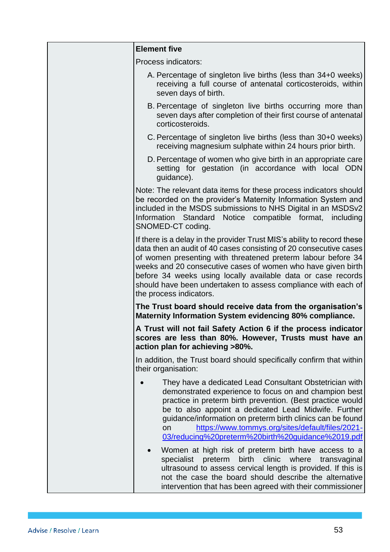| <b>Element five</b>                                                                                                                                                                                                                                                                                                                                                                                                                      |
|------------------------------------------------------------------------------------------------------------------------------------------------------------------------------------------------------------------------------------------------------------------------------------------------------------------------------------------------------------------------------------------------------------------------------------------|
| Process indicators:                                                                                                                                                                                                                                                                                                                                                                                                                      |
| A. Percentage of singleton live births (less than 34+0 weeks)<br>receiving a full course of antenatal corticosteroids, within<br>seven days of birth.                                                                                                                                                                                                                                                                                    |
| B. Percentage of singleton live births occurring more than<br>seven days after completion of their first course of antenatal<br>corticosteroids.                                                                                                                                                                                                                                                                                         |
| C. Percentage of singleton live births (less than 30+0 weeks)<br>receiving magnesium sulphate within 24 hours prior birth.                                                                                                                                                                                                                                                                                                               |
| D. Percentage of women who give birth in an appropriate care<br>setting for gestation (in accordance with local ODN<br>quidance).                                                                                                                                                                                                                                                                                                        |
| Note: The relevant data items for these process indicators should<br>be recorded on the provider's Maternity Information System and<br>included in the MSDS submissions to NHS Digital in an MSDSv2<br>Information Standard Notice compatible format,<br>including<br>SNOMED-CT coding.                                                                                                                                                  |
| If there is a delay in the provider Trust MIS's ability to record these<br>data then an audit of 40 cases consisting of 20 consecutive cases<br>of women presenting with threatened preterm labour before 34<br>weeks and 20 consecutive cases of women who have given birth<br>before 34 weeks using locally available data or case records<br>should have been undertaken to assess compliance with each of<br>the process indicators. |
| The Trust board should receive data from the organisation's<br><b>Maternity Information System evidencing 80% compliance.</b>                                                                                                                                                                                                                                                                                                            |
| A Trust will not fail Safety Action 6 if the process indicator<br>scores are less than 80%. However, Trusts must have an<br>action plan for achieving >80%.                                                                                                                                                                                                                                                                              |
| In addition, the Trust board should specifically confirm that within<br>their organisation:                                                                                                                                                                                                                                                                                                                                              |
| They have a dedicated Lead Consultant Obstetrician with<br>demonstrated experience to focus on and champion best<br>practice in preterm birth prevention. (Best practice would<br>be to also appoint a dedicated Lead Midwife. Further<br>guidance/information on preterm birth clinics can be found<br>https://www.tommys.org/sites/default/files/2021-<br><b>on</b><br>03/reducing%20preterm%20birth%20guidance%2019.pdf               |
| Women at high risk of preterm birth have access to a<br>birth clinic where<br>specialist preterm<br>transvaginal<br>ultrasound to assess cervical length is provided. If this is<br>not the case the board should describe the alternative<br>intervention that has been agreed with their commissioner                                                                                                                                  |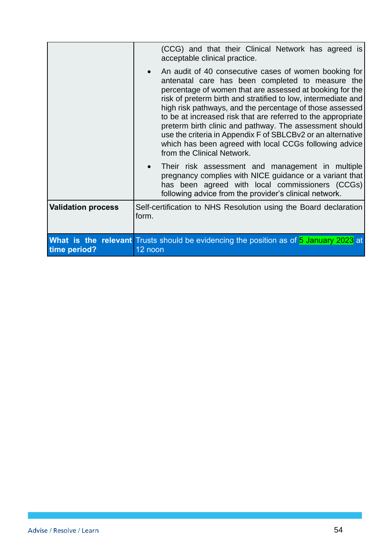|                           | (CCG) and that their Clinical Network has agreed is<br>acceptable clinical practice.                                                                                                                                                                                                                                                                                                                                                                                                                                                                                                              |
|---------------------------|---------------------------------------------------------------------------------------------------------------------------------------------------------------------------------------------------------------------------------------------------------------------------------------------------------------------------------------------------------------------------------------------------------------------------------------------------------------------------------------------------------------------------------------------------------------------------------------------------|
|                           | An audit of 40 consecutive cases of women booking for<br>$\bullet$<br>antenatal care has been completed to measure the<br>percentage of women that are assessed at booking for the<br>risk of preterm birth and stratified to low, intermediate and<br>high risk pathways, and the percentage of those assessed<br>to be at increased risk that are referred to the appropriate<br>preterm birth clinic and pathway. The assessment should<br>use the criteria in Appendix F of SBLCBv2 or an alternative<br>which has been agreed with local CCGs following advice<br>from the Clinical Network. |
|                           | Their risk assessment and management in multiple<br>pregnancy complies with NICE guidance or a variant that<br>has been agreed with local commissioners (CCGs)<br>following advice from the provider's clinical network.                                                                                                                                                                                                                                                                                                                                                                          |
| <b>Validation process</b> | Self-certification to NHS Resolution using the Board declaration<br>form.                                                                                                                                                                                                                                                                                                                                                                                                                                                                                                                         |
| time period?              | What is the relevant Trusts should be evidencing the position as of 5 January 2023 at<br>12 noon                                                                                                                                                                                                                                                                                                                                                                                                                                                                                                  |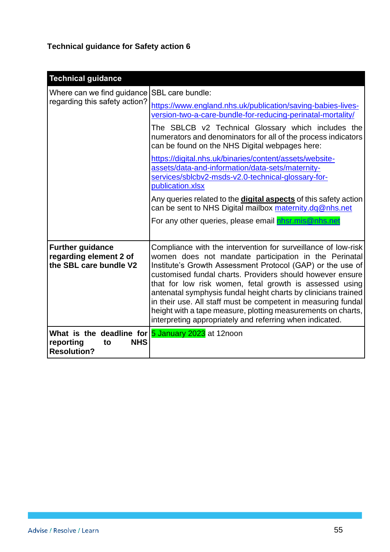## **Technical guidance for Safety action 6**

| <b>Technical guidance</b>                                                                                |                                                                                                                                                                                                                                                                                                                                                                                                                                                                                                                                                                             |
|----------------------------------------------------------------------------------------------------------|-----------------------------------------------------------------------------------------------------------------------------------------------------------------------------------------------------------------------------------------------------------------------------------------------------------------------------------------------------------------------------------------------------------------------------------------------------------------------------------------------------------------------------------------------------------------------------|
| Where can we find guidance<br>regarding this safety action?                                              | SBL care bundle:                                                                                                                                                                                                                                                                                                                                                                                                                                                                                                                                                            |
|                                                                                                          | https://www.england.nhs.uk/publication/saving-babies-lives-<br>version-two-a-care-bundle-for-reducing-perinatal-mortality/                                                                                                                                                                                                                                                                                                                                                                                                                                                  |
|                                                                                                          | The SBLCB v2 Technical Glossary which includes the<br>numerators and denominators for all of the process indicators<br>can be found on the NHS Digital webpages here:                                                                                                                                                                                                                                                                                                                                                                                                       |
|                                                                                                          | https://digital.nhs.uk/binaries/content/assets/website-<br>assets/data-and-information/data-sets/maternity-<br>services/sblcbv2-msds-v2.0-technical-glossary-for-<br>publication.xlsx                                                                                                                                                                                                                                                                                                                                                                                       |
|                                                                                                          | Any queries related to the <b>digital aspects</b> of this safety action<br>can be sent to NHS Digital mailbox maternity.dq@nhs.net                                                                                                                                                                                                                                                                                                                                                                                                                                          |
|                                                                                                          | For any other queries, please email nhsr.mis@nhs.net                                                                                                                                                                                                                                                                                                                                                                                                                                                                                                                        |
| <b>Further guidance</b><br>regarding element 2 of<br>the SBL care bundle V2                              | Compliance with the intervention for surveillance of low-risk<br>women does not mandate participation in the Perinatal<br>Institute's Growth Assessment Protocol (GAP) or the use of<br>customised fundal charts. Providers should however ensure<br>that for low risk women, fetal growth is assessed using<br>antenatal symphysis fundal height charts by clinicians trained<br>in their use. All staff must be competent in measuring fundal<br>height with a tape measure, plotting measurements on charts,<br>interpreting appropriately and referring when indicated. |
| What is the deadline for 5 January 2023 at 12noon<br><b>NHS</b><br>reporting<br>to<br><b>Resolution?</b> |                                                                                                                                                                                                                                                                                                                                                                                                                                                                                                                                                                             |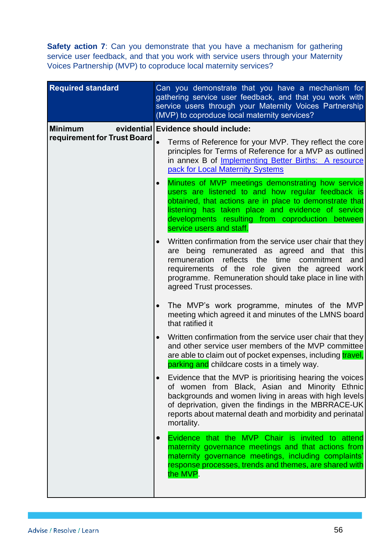**Safety action 7:** Can you demonstrate that you have a mechanism for gathering service user feedback, and that you work with service users through your Maternity Voices Partnership (MVP) to coproduce local maternity services?

| <b>Required standard</b>     | Can you demonstrate that you have a mechanism for<br>gathering service user feedback, and that you work with<br>service users through your Maternity Voices Partnership<br>(MVP) to coproduce local maternity services?                                                                                             |
|------------------------------|---------------------------------------------------------------------------------------------------------------------------------------------------------------------------------------------------------------------------------------------------------------------------------------------------------------------|
| <b>Minimum</b><br>evidential | <b>Evidence should include:</b>                                                                                                                                                                                                                                                                                     |
| requirement for Trust Board  | Terms of Reference for your MVP. They reflect the core<br>$\bullet$<br>principles for Terms of Reference for a MVP as outlined<br>in annex B of Implementing Better Births: A resource<br>pack for Local Maternity Systems                                                                                          |
|                              | Minutes of MVP meetings demonstrating how service<br>$\bullet$<br>users are listened to and how regular feedback is<br>obtained, that actions are in place to demonstrate that<br>listening has taken place and evidence of service<br>developments resulting from coproduction between<br>service users and staff. |
|                              | Written confirmation from the service user chair that they<br>are being remunerated as agreed and that this<br>reflects the time commitment<br>remuneration<br>and<br>requirements of the role given the agreed work<br>programme. Remuneration should take place in line with<br>agreed Trust processes.           |
|                              | The MVP's work programme, minutes of the MVP<br>$\bullet$<br>meeting which agreed it and minutes of the LMNS board<br>that ratified it                                                                                                                                                                              |
|                              | Written confirmation from the service user chair that they<br>and other service user members of the MVP committee<br>are able to claim out of pocket expenses, including travel,<br>parking and childcare costs in a timely way.                                                                                    |
|                              | Evidence that the MVP is prioritising hearing the voices<br>of women from Black, Asian and Minority Ethnic<br>backgrounds and women living in areas with high levels<br>of deprivation, given the findings in the MBRRACE-UK<br>reports about maternal death and morbidity and perinatal<br>mortality.              |
|                              | Evidence that the MVP Chair is invited to attend<br>maternity governance meetings and that actions from<br>maternity governance meetings, including complaints'<br>response processes, trends and themes, are shared with<br>the MVP.                                                                               |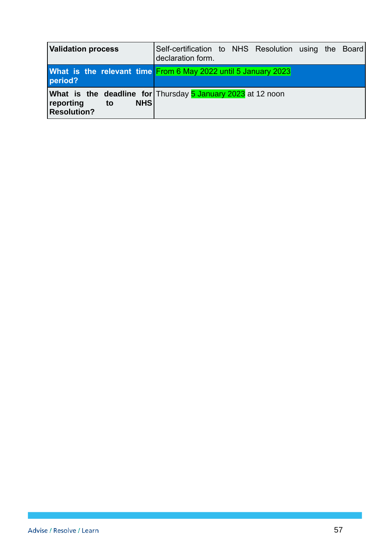| <b>Validation process</b>                           | Self-certification to NHS Resolution using the Board<br>declaration form. |
|-----------------------------------------------------|---------------------------------------------------------------------------|
| period?                                             | What is the relevant time From 6 May 2022 until 5 January 2023            |
| <b>NHS</b><br>reporting<br>to<br><b>Resolution?</b> | <b>What is the deadline for</b> Thursday 5 January 2023 at 12 noon        |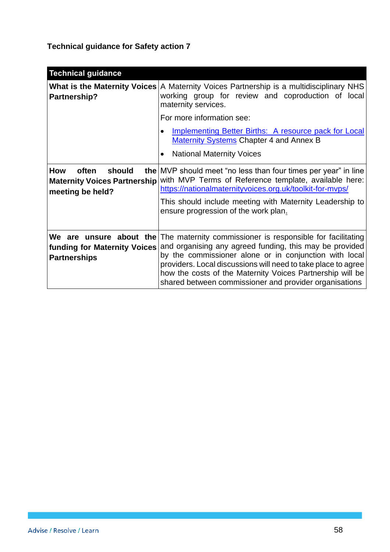## **Technical guidance for Safety action 7**

| <b>Technical guidance</b>                                                                       |                                                                                                                                                                                                                                                                                                                                                                         |
|-------------------------------------------------------------------------------------------------|-------------------------------------------------------------------------------------------------------------------------------------------------------------------------------------------------------------------------------------------------------------------------------------------------------------------------------------------------------------------------|
| Partnership?                                                                                    | <b>What is the Maternity Voices</b> A Maternity Voices Partnership is a multidisciplinary NHS<br>working group for review and coproduction of local<br>maternity services.                                                                                                                                                                                              |
|                                                                                                 | For more information see:                                                                                                                                                                                                                                                                                                                                               |
|                                                                                                 | Implementing Better Births: A resource pack for Local<br><b>Maternity Systems Chapter 4 and Annex B</b><br><b>National Maternity Voices</b><br>$\bullet$                                                                                                                                                                                                                |
|                                                                                                 |                                                                                                                                                                                                                                                                                                                                                                         |
| <b>How</b><br>should<br>often<br>the<br><b>Maternity Voices Partnership</b><br>meeting be held? | MVP should meet "no less than four times per year" in line<br>with MVP Terms of Reference template, available here:<br>https://nationalmaternityvoices.org.uk/toolkit-for-myps/                                                                                                                                                                                         |
|                                                                                                 | This should include meeting with Maternity Leadership to<br>ensure progression of the work plan.                                                                                                                                                                                                                                                                        |
| We are unsure about the<br>funding for Maternity Voices<br><b>Partnerships</b>                  | The maternity commissioner is responsible for facilitating<br>and organising any agreed funding, this may be provided<br>by the commissioner alone or in conjunction with local<br>providers. Local discussions will need to take place to agree<br>how the costs of the Maternity Voices Partnership will be<br>shared between commissioner and provider organisations |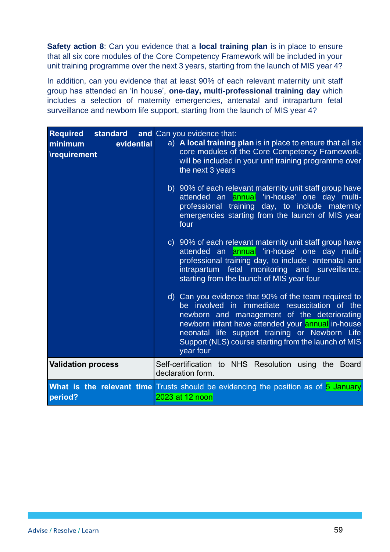**Safety action 8**: Can you evidence that a **local training plan** is in place to ensure that all six core modules of the Core Competency Framework will be included in your unit training programme over the next 3 years, starting from the launch of MIS year 4?

In addition, can you evidence that at least 90% of each relevant maternity unit staff group has attended an 'in house', **one-day, multi-professional training day** which includes a selection of maternity emergencies, antenatal and intrapartum fetal surveillance and newborn life support, starting from the launch of MIS year 4?

| <b>Required</b><br>evidential<br>minimum<br><b>\requirement</b> | standard and Can you evidence that:<br>a) A local training plan is in place to ensure that all six<br>core modules of the Core Competency Framework,<br>will be included in your unit training programme over<br>the next 3 years                                                                                                |
|-----------------------------------------------------------------|----------------------------------------------------------------------------------------------------------------------------------------------------------------------------------------------------------------------------------------------------------------------------------------------------------------------------------|
|                                                                 | b) 90% of each relevant maternity unit staff group have<br>attended an <b>annual</b> 'in-house' one day multi-<br>professional training day, to include maternity<br>emergencies starting from the launch of MIS year<br>four                                                                                                    |
|                                                                 | c) 90% of each relevant maternity unit staff group have<br>attended an <b>annual</b> 'in-house' one day multi-<br>professional training day, to include antenatal and<br>intrapartum fetal monitoring and surveillance,<br>starting from the launch of MIS year four                                                             |
|                                                                 | d) Can you evidence that 90% of the team required to<br>be involved in immediate resuscitation of the<br>newborn and management of the deteriorating<br>newborn infant have attended your annual in-house<br>neonatal life support training or Newborn Life<br>Support (NLS) course starting from the launch of MIS<br>year four |
| <b>Validation process</b>                                       | Self-certification to NHS Resolution using the Board<br>declaration form.                                                                                                                                                                                                                                                        |
| period?                                                         | What is the relevant time Trusts should be evidencing the position as of 5 January<br>2023 at 12 noon                                                                                                                                                                                                                            |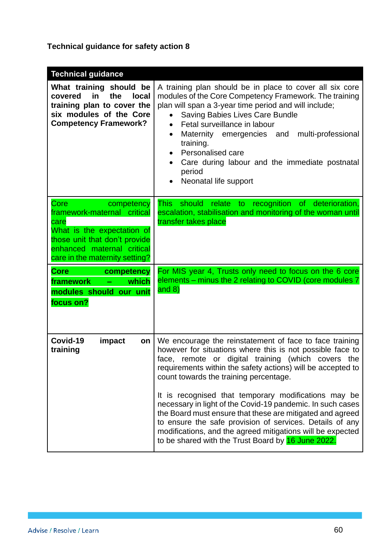## **Technical guidance for safety action 8**

| <b>Technical guidance</b>                                                                                                                                                                |                                                                                                                                                                                                                                                                                                                                                                                                                                                    |
|------------------------------------------------------------------------------------------------------------------------------------------------------------------------------------------|----------------------------------------------------------------------------------------------------------------------------------------------------------------------------------------------------------------------------------------------------------------------------------------------------------------------------------------------------------------------------------------------------------------------------------------------------|
| What training should be<br>in<br>the<br>covered<br><b>local</b><br>training plan to cover the<br>six modules of the Core<br><b>Competency Framework?</b>                                 | A training plan should be in place to cover all six core<br>modules of the Core Competency Framework. The training<br>plan will span a 3-year time period and will include;<br>Saving Babies Lives Care Bundle<br>Fetal surveillance in labour<br>$\bullet$<br>multi-professional<br>Maternity emergencies and<br>training.<br>Personalised care<br>$\bullet$<br>Care during labour and the immediate postnatal<br>period<br>Neonatal life support |
| Core<br>competency<br>framework-maternal critical<br>care<br>What is the expectation of<br>those unit that don't provide<br>enhanced maternal critical<br>care in the maternity setting? | should relate to recognition of deterioration,<br>This -<br>escalation, stabilisation and monitoring of the woman until<br>transfer takes place                                                                                                                                                                                                                                                                                                    |
| <b>Core</b><br>competency<br>framework<br>which<br>$\equiv$<br>modules should our unit<br>focus on?                                                                                      | For MIS year 4, Trusts only need to focus on the 6 core<br>elements – minus the 2 relating to COVID (core modules 7<br>and 8)                                                                                                                                                                                                                                                                                                                      |
| Covid-19<br>impact<br>on<br>training                                                                                                                                                     | We encourage the reinstatement of face to face training<br>however for situations where this is not possible face to<br>face, remote or digital training (which covers the<br>requirements within the safety actions) will be accepted to<br>count towards the training percentage.                                                                                                                                                                |
|                                                                                                                                                                                          | It is recognised that temporary modifications may be<br>necessary in light of the Covid-19 pandemic. In such cases<br>the Board must ensure that these are mitigated and agreed<br>to ensure the safe provision of services. Details of any<br>modifications, and the agreed mitigations will be expected<br>to be shared with the Trust Board by 16 June 2022.                                                                                    |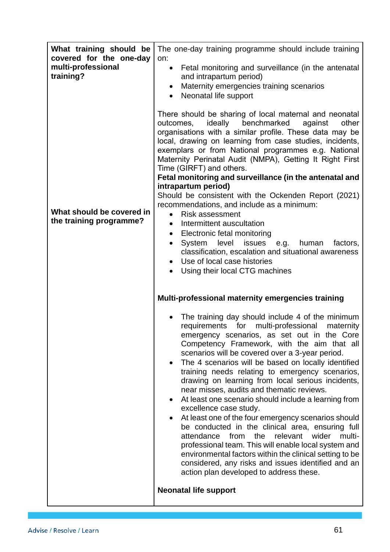| What training should be<br>covered for the one-day<br>multi-professional<br>training? | The one-day training programme should include training<br>on:<br>Fetal monitoring and surveillance (in the antenatal<br>$\bullet$<br>and intrapartum period)<br>Maternity emergencies training scenarios<br>$\bullet$<br>Neonatal life support<br>There should be sharing of local maternal and neonatal<br>ideally benchmarked<br>outcomes,<br>other<br>against<br>organisations with a similar profile. These data may be<br>local, drawing on learning from case studies, incidents,<br>exemplars or from National programmes e.g. National<br>Maternity Perinatal Audit (NMPA), Getting It Right First                                                                                                                                                                                                                                                                                                                                                            |
|---------------------------------------------------------------------------------------|-----------------------------------------------------------------------------------------------------------------------------------------------------------------------------------------------------------------------------------------------------------------------------------------------------------------------------------------------------------------------------------------------------------------------------------------------------------------------------------------------------------------------------------------------------------------------------------------------------------------------------------------------------------------------------------------------------------------------------------------------------------------------------------------------------------------------------------------------------------------------------------------------------------------------------------------------------------------------|
|                                                                                       | Time (GIRFT) and others.<br>Fetal monitoring and surveillance (in the antenatal and<br>intrapartum period)<br>Should be consistent with the Ockenden Report (2021)                                                                                                                                                                                                                                                                                                                                                                                                                                                                                                                                                                                                                                                                                                                                                                                                    |
| What should be covered in<br>the training programme?                                  | recommendations, and include as a minimum:<br><b>Risk assessment</b><br>$\bullet$<br>Intermittent auscultation<br>$\bullet$<br>Electronic fetal monitoring<br>$\bullet$<br>System level issues<br>e.g.<br>human<br>factors,<br>$\bullet$<br>classification, escalation and situational awareness<br>• Use of local case histories<br>Using their local CTG machines<br>$\bullet$                                                                                                                                                                                                                                                                                                                                                                                                                                                                                                                                                                                      |
|                                                                                       | Multi-professional maternity emergencies training                                                                                                                                                                                                                                                                                                                                                                                                                                                                                                                                                                                                                                                                                                                                                                                                                                                                                                                     |
|                                                                                       | The training day should include 4 of the minimum<br>$\bullet$<br>requirements for multi-professional<br>maternity<br>emergency scenarios, as set out in the Core<br>Competency Framework, with the aim that all<br>scenarios will be covered over a 3-year period.<br>The 4 scenarios will be based on locally identified<br>$\bullet$<br>training needs relating to emergency scenarios,<br>drawing on learning from local serious incidents,<br>near misses, audits and thematic reviews.<br>At least one scenario should include a learning from<br>excellence case study.<br>At least one of the four emergency scenarios should<br>be conducted in the clinical area, ensuring full<br>relevant<br>wider<br>attendance from<br>the<br>multi-<br>professional team. This will enable local system and<br>environmental factors within the clinical setting to be<br>considered, any risks and issues identified and an<br>action plan developed to address these. |
|                                                                                       | <b>Neonatal life support</b>                                                                                                                                                                                                                                                                                                                                                                                                                                                                                                                                                                                                                                                                                                                                                                                                                                                                                                                                          |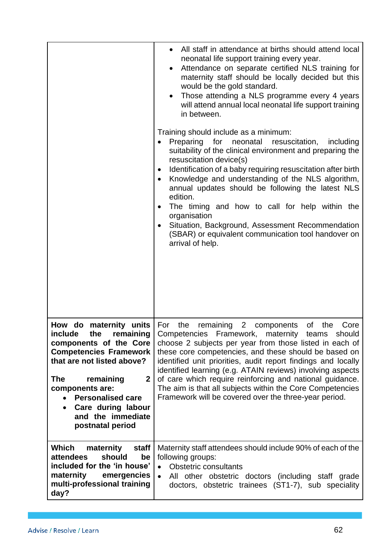|                                                                                                                                                                                                                                                                                                            | All staff in attendance at births should attend local<br>neonatal life support training every year.<br>Attendance on separate certified NLS training for<br>maternity staff should be locally decided but this<br>would be the gold standard.<br>Those attending a NLS programme every 4 years<br>will attend annual local neonatal life support training<br>in between.<br>Training should include as a minimum:<br>Preparing for neonatal resuscitation,<br>including<br>$\bullet$<br>suitability of the clinical environment and preparing the<br>resuscitation device(s)<br>Identification of a baby requiring resuscitation after birth<br>$\bullet$<br>Knowledge and understanding of the NLS algorithm,<br>$\bullet$<br>annual updates should be following the latest NLS<br>edition.<br>The timing and how to call for help within the<br>$\bullet$<br>organisation<br>Situation, Background, Assessment Recommendation<br>$\bullet$<br>(SBAR) or equivalent communication tool handover on<br>arrival of help. |
|------------------------------------------------------------------------------------------------------------------------------------------------------------------------------------------------------------------------------------------------------------------------------------------------------------|-------------------------------------------------------------------------------------------------------------------------------------------------------------------------------------------------------------------------------------------------------------------------------------------------------------------------------------------------------------------------------------------------------------------------------------------------------------------------------------------------------------------------------------------------------------------------------------------------------------------------------------------------------------------------------------------------------------------------------------------------------------------------------------------------------------------------------------------------------------------------------------------------------------------------------------------------------------------------------------------------------------------------|
| <b>How do maternity units</b> For the<br>components of the Core<br><b>Competencies Framework</b><br>that are not listed above?<br>The<br>remaining<br>$\mathbf{2}$<br>components are:<br><b>Personalised care</b><br>$\bullet$<br>Care during labour<br>$\bullet$<br>and the immediate<br>postnatal period | $2\overline{ }$<br>remaining<br>components<br>of<br>the<br>Core<br>include the remaining   Competencies Framework, maternity teams should<br>choose 2 subjects per year from those listed in each of<br>these core competencies, and these should be based on<br>identified unit priorities, audit report findings and locally<br>identified learning (e.g. ATAIN reviews) involving aspects<br>of care which require reinforcing and national guidance.<br>The aim is that all subjects within the Core Competencies<br>Framework will be covered over the three-year period.                                                                                                                                                                                                                                                                                                                                                                                                                                          |
| Which<br>maternity<br>staff<br>attendees<br>should<br>be<br>included for the 'in house'<br>maternity emergencies<br>multi-professional training<br>day?                                                                                                                                                    | Maternity staff attendees should include 90% of each of the<br>following groups:<br><b>Obstetric consultants</b><br>$\bullet$<br>All other obstetric doctors (including staff grade<br>$\bullet$<br>doctors, obstetric trainees (ST1-7), sub speciality                                                                                                                                                                                                                                                                                                                                                                                                                                                                                                                                                                                                                                                                                                                                                                 |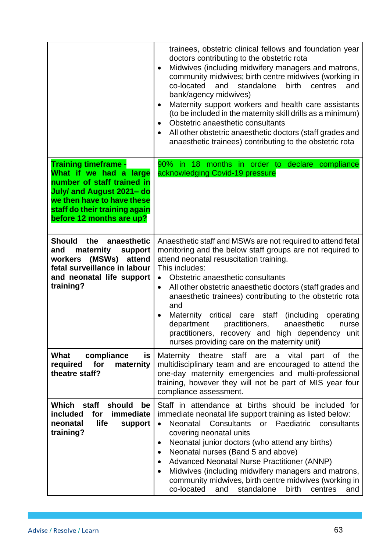|                                                                                                                                                                                                             | trainees, obstetric clinical fellows and foundation year<br>doctors contributing to the obstetric rota<br>Midwives (including midwifery managers and matrons,<br>$\bullet$<br>community midwives; birth centre midwives (working in<br>and<br>standalone birth<br>co-located<br>centres<br>and<br>bank/agency midwives)<br>Maternity support workers and health care assistants<br>$\bullet$<br>(to be included in the maternity skill drills as a minimum)<br>Obstetric anaesthetic consultants<br>$\bullet$<br>All other obstetric anaesthetic doctors (staff grades and<br>anaesthetic trainees) contributing to the obstetric rota |
|-------------------------------------------------------------------------------------------------------------------------------------------------------------------------------------------------------------|----------------------------------------------------------------------------------------------------------------------------------------------------------------------------------------------------------------------------------------------------------------------------------------------------------------------------------------------------------------------------------------------------------------------------------------------------------------------------------------------------------------------------------------------------------------------------------------------------------------------------------------|
| <b>Training timeframe -</b><br>What if we had a large<br>number of staff trained in<br>July/ and August 2021- do<br>we then have to have these<br>staff do their training again<br>before 12 months are up? | 90% in 18 months in order to declare compliance<br>acknowledging Covid-19 pressure                                                                                                                                                                                                                                                                                                                                                                                                                                                                                                                                                     |
| Should the anaesthetic<br>maternity<br>and<br>support<br>(MSWs)<br>attend<br>workers<br>fetal surveillance in labour<br>and neonatal life support<br>training?                                              | Anaesthetic staff and MSWs are not required to attend fetal<br>monitoring and the below staff groups are not required to<br>attend neonatal resuscitation training.<br>This includes:<br>Obstetric anaesthetic consultants<br>$\bullet$<br>All other obstetric anaesthetic doctors (staff grades and<br>$\bullet$<br>anaesthetic trainees) contributing to the obstetric rota<br>and<br>Maternity critical care staff<br>(including operating<br>$\bullet$<br>department<br>practitioners,<br>anaesthetic<br>nurse<br>practitioners, recovery and high dependency unit<br>nurses providing care on the maternity unit)                 |
| What<br>compliance<br>is<br>required<br>for<br>maternity<br>theatre staff?                                                                                                                                  | Maternity theatre staff are a vital part of<br>the<br>multidisciplinary team and are encouraged to attend the<br>one-day maternity emergencies and multi-professional<br>training, however they will not be part of MIS year four<br>compliance assessment.                                                                                                                                                                                                                                                                                                                                                                            |
| should<br>Which<br>staff<br>be<br>for<br>immediate<br>included<br>life<br>neonatal<br>support<br>training?                                                                                                  | Staff in attendance at births should be included for<br>immediate neonatal life support training as listed below:<br>Neonatal<br><b>Consultants</b><br>Paediatric<br>consultants<br>or<br>$\bullet$<br>covering neonatal units<br>Neonatal junior doctors (who attend any births)<br>$\bullet$<br>Neonatal nurses (Band 5 and above)<br>٠<br>Advanced Neonatal Nurse Practitioner (ANNP)<br>٠<br>Midwives (including midwifery managers and matrons,<br>$\bullet$<br>community midwives, birth centre midwives (working in<br>co-located<br>and<br>standalone<br>birth<br>centres<br>and                                               |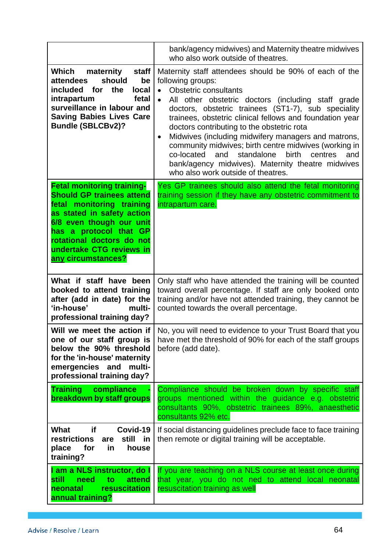|                                                                                                                                                                                                                                                                       | bank/agency midwives) and Maternity theatre midwives<br>who also work outside of theatres.                                                                                                                                                                                                                                                                                                                                                                                                                                                                                                                                                                |
|-----------------------------------------------------------------------------------------------------------------------------------------------------------------------------------------------------------------------------------------------------------------------|-----------------------------------------------------------------------------------------------------------------------------------------------------------------------------------------------------------------------------------------------------------------------------------------------------------------------------------------------------------------------------------------------------------------------------------------------------------------------------------------------------------------------------------------------------------------------------------------------------------------------------------------------------------|
| Which maternity<br>staff<br>should<br><b>attendees</b><br>be<br>included<br>the<br>for<br><b>local</b><br>intrapartum<br>fetal<br>surveillance in labour and<br><b>Saving Babies Lives Care</b><br><b>Bundle (SBLCBv2)?</b>                                           | Maternity staff attendees should be 90% of each of the<br>following groups:<br><b>Obstetric consultants</b><br>$\bullet$<br>All other obstetric doctors (including staff grade<br>$\bullet$<br>doctors, obstetric trainees (ST1-7), sub speciality<br>trainees, obstetric clinical fellows and foundation year<br>doctors contributing to the obstetric rota<br>Midwives (including midwifery managers and matrons,<br>$\bullet$<br>community midwives; birth centre midwives (working in<br>standalone<br>co-located<br>and<br><b>birth</b><br>centres<br>and<br>bank/agency midwives). Maternity theatre midwives<br>who also work outside of theatres. |
| <b>Fetal monitoring training-</b><br><b>Should GP trainees attend</b><br>fetal monitoring training<br>as stated in safety action<br>6/8 even though our unit<br>has a protocol that GP<br>rotational doctors do not<br>undertake CTG reviews in<br>any circumstances? | Yes GP trainees should also attend the fetal monitoring<br>training session if they have any obstetric commitment to<br>intrapartum care.                                                                                                                                                                                                                                                                                                                                                                                                                                                                                                                 |
| What if staff have been<br>booked to attend training<br>after (add in date) for the<br>'in-house'<br>multi-<br>professional training day?                                                                                                                             | Only staff who have attended the training will be counted<br>toward overall percentage. If staff are only booked onto<br>training and/or have not attended training, they cannot be<br>counted towards the overall percentage.                                                                                                                                                                                                                                                                                                                                                                                                                            |
| Will we meet the action if<br>one of our staff group is<br>below the 90% threshold<br>for the 'in-house' maternity<br>emergencies and<br>multi-<br>professional training day?                                                                                         | No, you will need to evidence to your Trust Board that you<br>have met the threshold of 90% for each of the staff groups<br>before (add date).                                                                                                                                                                                                                                                                                                                                                                                                                                                                                                            |
| compliance<br><b>Training</b><br>breakdown by staff groups                                                                                                                                                                                                            | Compliance should be broken down by specific staff<br>groups mentioned within the guidance e.g. obstetric<br>consultants 90%, obstetric trainees 89%, anaesthetic<br>consultants 92% etc.                                                                                                                                                                                                                                                                                                                                                                                                                                                                 |
| What<br>if<br>Covid-19<br>still<br><b>restrictions</b><br>in<br>are<br>place<br>for<br>in<br>house<br>training?                                                                                                                                                       | If social distancing guidelines preclude face to face training<br>then remote or digital training will be acceptable.                                                                                                                                                                                                                                                                                                                                                                                                                                                                                                                                     |
| I am a NLS instructor, do I<br>still<br>attend<br>need<br>to<br>resuscitation<br>neonatal<br>annual training?                                                                                                                                                         | If you are teaching on a NLS course at least once during<br>that year, you do not ned to attend local neonatal<br>resuscitation training as well                                                                                                                                                                                                                                                                                                                                                                                                                                                                                                          |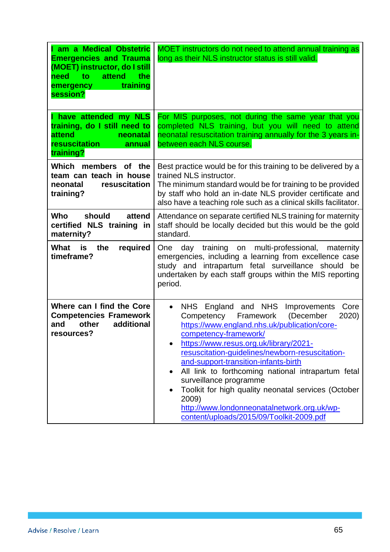| am a Medical Obstetric<br><b>Emergencies and Trauma</b><br>(MOET) instructor, do I still<br>to<br>the<br>attend<br>need<br>training<br>emergency<br>session? | MOET instructors do not need to attend annual training as<br>long as their NLS instructor status is still valid.                                                                                                                                                                                                                                                                                                                                                                                                                                                |
|--------------------------------------------------------------------------------------------------------------------------------------------------------------|-----------------------------------------------------------------------------------------------------------------------------------------------------------------------------------------------------------------------------------------------------------------------------------------------------------------------------------------------------------------------------------------------------------------------------------------------------------------------------------------------------------------------------------------------------------------|
| have attended my NLS<br>training, do I still need to<br>attend<br>neonatal<br><b>resuscitation</b><br>annual<br>training?                                    | For MIS purposes, not during the same year that you<br>completed NLS training, but you will need to attend<br>neonatal resuscitation training annually for the 3 years in-<br>between each NLS course.                                                                                                                                                                                                                                                                                                                                                          |
| Which members of the<br>team can teach in house<br>resuscitation<br>neonatal<br>training?                                                                    | Best practice would be for this training to be delivered by a<br>trained NLS instructor.<br>The minimum standard would be for training to be provided<br>by staff who hold an in-date NLS provider certificate and<br>also have a teaching role such as a clinical skills facilitator.                                                                                                                                                                                                                                                                          |
| <b>Who</b><br>should<br>attend<br>certified NLS training in<br>maternity?                                                                                    | Attendance on separate certified NLS training for maternity<br>staff should be locally decided but this would be the gold<br>standard.                                                                                                                                                                                                                                                                                                                                                                                                                          |
| <b>What</b><br>the<br>required<br>is<br>timeframe?                                                                                                           | training on<br>multi-professional,<br><b>One</b><br>maternity<br>day<br>emergencies, including a learning from excellence case<br>study and intrapartum fetal surveillance should be<br>undertaken by each staff groups within the MIS reporting<br>period.                                                                                                                                                                                                                                                                                                     |
| Where can I find the Core<br><b>Competencies Framework</b><br>additional<br>other<br>and<br>resources?                                                       | England and NHS<br><b>NHS</b><br>Improvements<br>Core<br>(December<br>2020)<br>Competency<br>Framework<br>https://www.england.nhs.uk/publication/core-<br>competency-framework/<br>https://www.resus.org.uk/library/2021-<br>resuscitation-guidelines/newborn-resuscitation-<br>and-support-transition-infants-birth<br>All link to forthcoming national intrapartum fetal<br>surveillance programme<br>Toolkit for high quality neonatal services (October<br>2009)<br>http://www.londonneonatalnetwork.org.uk/wp-<br>content/uploads/2015/09/Toolkit-2009.pdf |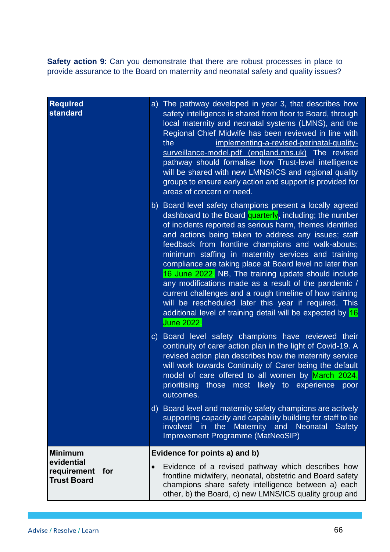**Safety action 9**: Can you demonstrate that there are robust processes in place to provide assurance to the Board on maternity and neonatal safety and quality issues?

| <b>Required</b><br>standard                            |           | a) The pathway developed in year 3, that describes how<br>safety intelligence is shared from floor to Board, through<br>local maternity and neonatal systems (LMNS), and the<br>Regional Chief Midwife has been reviewed in line with<br>implementing-a-revised-perinatal-quality-<br>the<br>surveillance-model.pdf (england.nhs.uk) The revised<br>pathway should formalise how Trust-level intelligence<br>will be shared with new LMNS/ICS and regional quality<br>groups to ensure early action and support is provided for<br>areas of concern or need.                                                                                                                                                                            |
|--------------------------------------------------------|-----------|-----------------------------------------------------------------------------------------------------------------------------------------------------------------------------------------------------------------------------------------------------------------------------------------------------------------------------------------------------------------------------------------------------------------------------------------------------------------------------------------------------------------------------------------------------------------------------------------------------------------------------------------------------------------------------------------------------------------------------------------|
|                                                        |           | b) Board level safety champions present a locally agreed<br>dashboard to the Board quarterly, including; the number<br>of incidents reported as serious harm, themes identified<br>and actions being taken to address any issues; staff<br>feedback from frontline champions and walk-abouts;<br>minimum staffing in maternity services and training<br>compliance are taking place at Board level no later than<br>16 June 2022. NB, The training update should include<br>any modifications made as a result of the pandemic /<br>current challenges and a rough timeline of how training<br>will be rescheduled later this year if required. This<br>additional level of training detail will be expected by 16<br><b>June 2022.</b> |
|                                                        | C)        | Board level safety champions have reviewed their<br>continuity of carer action plan in the light of Covid-19. A<br>revised action plan describes how the maternity service<br>will work towards Continuity of Carer being the default<br>model of care offered to all women by March 2024,<br>prioritising those most likely to experience poor<br>outcomes.                                                                                                                                                                                                                                                                                                                                                                            |
|                                                        |           | d) Board level and maternity safety champions are actively<br>supporting capacity and capability building for staff to be<br>involved in the Maternity and Neonatal Safety<br>Improvement Programme (MatNeoSIP)                                                                                                                                                                                                                                                                                                                                                                                                                                                                                                                         |
| <b>Minimum</b>                                         |           | Evidence for points a) and b)                                                                                                                                                                                                                                                                                                                                                                                                                                                                                                                                                                                                                                                                                                           |
| evidential<br>requirement<br>for<br><b>Trust Board</b> | $\bullet$ | Evidence of a revised pathway which describes how<br>frontline midwifery, neonatal, obstetric and Board safety<br>champions share safety intelligence between a) each<br>other, b) the Board, c) new LMNS/ICS quality group and                                                                                                                                                                                                                                                                                                                                                                                                                                                                                                         |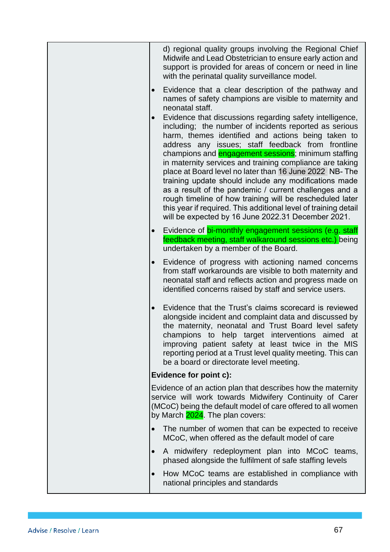| d) regional quality groups involving the Regional Chief<br>Midwife and Lead Obstetrician to ensure early action and<br>support is provided for areas of concern or need in line<br>with the perinatal quality surveillance model.                                                                                                                                                                                                                                                                                                                                                                                                                                                                                                                                                                                                                                            |
|------------------------------------------------------------------------------------------------------------------------------------------------------------------------------------------------------------------------------------------------------------------------------------------------------------------------------------------------------------------------------------------------------------------------------------------------------------------------------------------------------------------------------------------------------------------------------------------------------------------------------------------------------------------------------------------------------------------------------------------------------------------------------------------------------------------------------------------------------------------------------|
| Evidence that a clear description of the pathway and<br>$\bullet$<br>names of safety champions are visible to maternity and<br>neonatal staff.<br>Evidence that discussions regarding safety intelligence,<br>including; the number of incidents reported as serious<br>harm, themes identified and actions being taken to<br>address any issues; staff feedback from frontline<br>champions and <b>engagement sessions</b> ; minimum staffing<br>in maternity services and training compliance are taking<br>place at Board level no later than 16 June 2022 NB-The<br>training update should include any modifications made<br>as a result of the pandemic / current challenges and a<br>rough timeline of how training will be rescheduled later<br>this year if required. This additional level of training detail<br>will be expected by 16 June 2022.31 December 2021. |
| Evidence of bi-monthly engagement sessions (e.g. staff<br>feedback meeting, staff walkaround sessions etc.) being<br>undertaken by a member of the Board.                                                                                                                                                                                                                                                                                                                                                                                                                                                                                                                                                                                                                                                                                                                    |
| Evidence of progress with actioning named concerns<br>$\bullet$<br>from staff workarounds are visible to both maternity and<br>neonatal staff and reflects action and progress made on<br>identified concerns raised by staff and service users.                                                                                                                                                                                                                                                                                                                                                                                                                                                                                                                                                                                                                             |
| Evidence that the Trust's claims scorecard is reviewed<br>alongside incident and complaint data and discussed by<br>the maternity, neonatal and Trust Board level safety<br>champions to help target interventions aimed at<br>improving patient safety at least twice in the MIS<br>reporting period at a Trust level quality meeting. This can<br>be a board or directorate level meeting.                                                                                                                                                                                                                                                                                                                                                                                                                                                                                 |
| Evidence for point c):                                                                                                                                                                                                                                                                                                                                                                                                                                                                                                                                                                                                                                                                                                                                                                                                                                                       |
| Evidence of an action plan that describes how the maternity<br>service will work towards Midwifery Continuity of Carer<br>(MCoC) being the default model of care offered to all women<br>by March 2024. The plan covers:                                                                                                                                                                                                                                                                                                                                                                                                                                                                                                                                                                                                                                                     |
| The number of women that can be expected to receive<br>$\bullet$<br>MCoC, when offered as the default model of care                                                                                                                                                                                                                                                                                                                                                                                                                                                                                                                                                                                                                                                                                                                                                          |
| A midwifery redeployment plan into MCoC teams,<br>$\bullet$<br>phased alongside the fulfilment of safe staffing levels                                                                                                                                                                                                                                                                                                                                                                                                                                                                                                                                                                                                                                                                                                                                                       |
| How MCoC teams are established in compliance with<br>$\bullet$<br>national principles and standards                                                                                                                                                                                                                                                                                                                                                                                                                                                                                                                                                                                                                                                                                                                                                                          |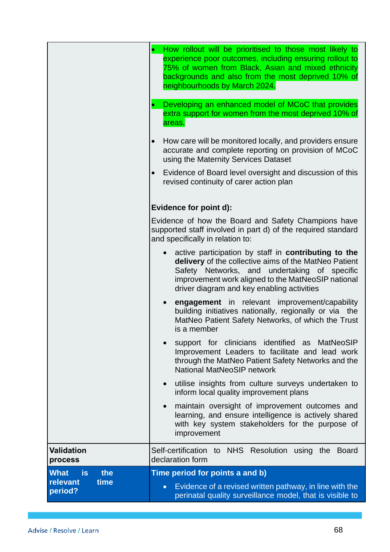|                                                                | How rollout will be prioritised to those most likely to<br>$\bullet$<br>experience poor outcomes, including ensuring rollout to<br>75% of women from Black, Asian and mixed ethnicity<br>backgrounds and also from the most deprived 10% of<br>neighbourhoods by March 2024.<br>Developing an enhanced model of MCoC that provides<br>extra support for women from the most deprived 10% of<br>areas.<br>How care will be monitored locally, and providers ensure<br>$\bullet$<br>accurate and complete reporting on provision of MCoC<br>using the Maternity Services Dataset<br>Evidence of Board level oversight and discussion of this<br>$\bullet$<br>revised continuity of carer action plan |
|----------------------------------------------------------------|----------------------------------------------------------------------------------------------------------------------------------------------------------------------------------------------------------------------------------------------------------------------------------------------------------------------------------------------------------------------------------------------------------------------------------------------------------------------------------------------------------------------------------------------------------------------------------------------------------------------------------------------------------------------------------------------------|
|                                                                | Evidence for point d):                                                                                                                                                                                                                                                                                                                                                                                                                                                                                                                                                                                                                                                                             |
|                                                                | Evidence of how the Board and Safety Champions have<br>supported staff involved in part d) of the required standard<br>and specifically in relation to:                                                                                                                                                                                                                                                                                                                                                                                                                                                                                                                                            |
|                                                                | active participation by staff in contributing to the<br>delivery of the collective aims of the MatNeo Patient<br>Safety Networks, and undertaking of specific<br>improvement work aligned to the MatNeoSIP national<br>driver diagram and key enabling activities                                                                                                                                                                                                                                                                                                                                                                                                                                  |
|                                                                | engagement in relevant improvement/capability<br>building initiatives nationally, regionally or via the<br>MatNeo Patient Safety Networks, of which the Trust<br>is a member                                                                                                                                                                                                                                                                                                                                                                                                                                                                                                                       |
|                                                                | support for clinicians identified as MatNeoSIP<br>Improvement Leaders to facilitate and lead work<br>through the MatNeo Patient Safety Networks and the<br>National MatNeoSIP network                                                                                                                                                                                                                                                                                                                                                                                                                                                                                                              |
|                                                                | utilise insights from culture surveys undertaken to<br>$\bullet$<br>inform local quality improvement plans                                                                                                                                                                                                                                                                                                                                                                                                                                                                                                                                                                                         |
|                                                                | maintain oversight of improvement outcomes and<br>$\bullet$<br>learning, and ensure intelligence is actively shared<br>with key system stakeholders for the purpose of<br>improvement                                                                                                                                                                                                                                                                                                                                                                                                                                                                                                              |
| <b>Validation</b><br>process                                   | Self-certification to NHS Resolution using the Board<br>declaration form                                                                                                                                                                                                                                                                                                                                                                                                                                                                                                                                                                                                                           |
| <b>What</b><br><b>is</b><br>the<br>relevant<br>time<br>period? | Time period for points a and b)<br>Evidence of a revised written pathway, in line with the<br>$\bullet$<br>perinatal quality surveillance model, that is visible to                                                                                                                                                                                                                                                                                                                                                                                                                                                                                                                                |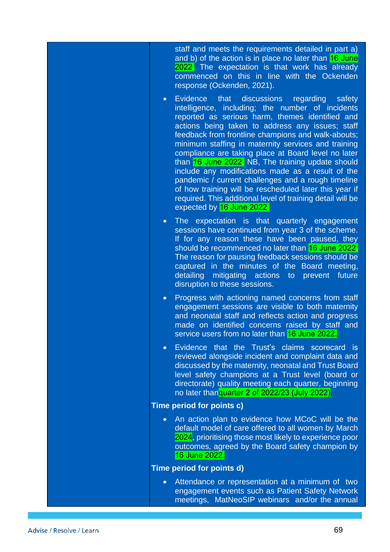staff and meets the requirements detailed in part a) and b) of the action is in place no later than 16 June 2022. The expectation is that work has already commenced on this in line with the Ockenden response (Ockenden, 2021).

- Evidence that discussions regarding safety intelligence, including; the number of incidents reported as serious harm, themes identified and actions being taken to address any issues; staff feedback from frontline champions and walk-abouts; minimum staffing in maternity services and training compliance are taking place at Board level no later than 16 June 2022. NB, The training update should include any modifications made as a result of the pandemic / current challenges and a rough timeline of how training will be rescheduled later this year if required. This additional level of training detail will be expected by 16 June 2022.
- The expectation is that quarterly engagement sessions have continued from year 3 of the scheme. If for any reason these have been paused, they should be recommenced no later than 16 June 2022. The reason for pausing feedback sessions should be captured in the minutes of the Board meeting, detailing mitigating actions to prevent future disruption to these sessions.
- Progress with actioning named concerns from staff engagement sessions are visible to both maternity and neonatal staff and reflects action and progress made on identified concerns raised by staff and service users from no later than 16 June 2022.
- Evidence that the Trust's claims scorecard is reviewed alongside incident and complaint data and discussed by the maternity, neonatal and Trust Board level safety champions at a Trust level (board or directorate) quality meeting each quarter, beginning no later thanquarter 2 of 2022/23 (July 2022).

#### **Time period for points c)**

An action plan to evidence how MCoC will be the default model of care offered to all women by March 2024, prioritising those most likely to experience poor outcomes, agreed by the Board safety champion by 16 June 2022.

#### **Time period for points d)**

• Attendance or representation at a minimum of two engagement events such as Patient Safety Network meetings, MatNeoSIP webinars and/or the annual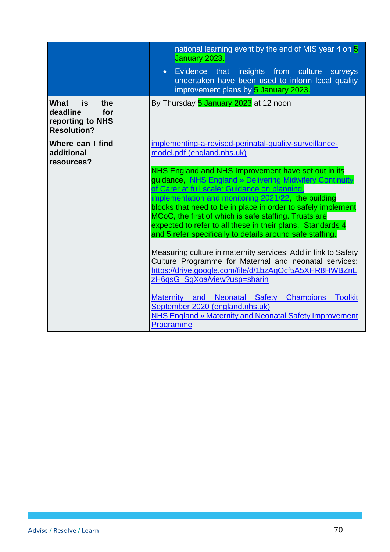|                                                                                       | national learning event by the end of MIS year 4 on 5<br>January 2023.<br>Evidence that insights from culture<br>surveys<br>$\bullet$<br>undertaken have been used to inform local quality<br>improvement plans by 5 January 2023.                                                                                                                                                                                                                                                                                                                                                                                                                                                            |
|---------------------------------------------------------------------------------------|-----------------------------------------------------------------------------------------------------------------------------------------------------------------------------------------------------------------------------------------------------------------------------------------------------------------------------------------------------------------------------------------------------------------------------------------------------------------------------------------------------------------------------------------------------------------------------------------------------------------------------------------------------------------------------------------------|
| <b>What</b><br>is<br>the<br>deadline<br>for<br>reporting to NHS<br><b>Resolution?</b> | By Thursday 5 January 2023 at 12 noon                                                                                                                                                                                                                                                                                                                                                                                                                                                                                                                                                                                                                                                         |
| Where can I find<br>additional<br>resources?                                          | implementing-a-revised-perinatal-quality-surveillance-<br>model.pdf (england.nhs.uk)<br>NHS England and NHS Improvement have set out in its<br>guidance, NHS England » Delivering Midwifery Continuity<br>of Carer at full scale: Guidance on planning,<br>implementation and monitoring 2021/22, the building<br>blocks that need to be in place in order to safely implement<br>MCoC, the first of which is safe staffing. Trusts are<br>expected to refer to all these in their plans. Standards 4<br>and 5 refer specifically to details around safe staffing.<br>Measuring culture in maternity services: Add in link to Safety<br>Culture Programme for Maternal and neonatal services: |
|                                                                                       | https://drive.google.com/file/d/1bzAqOcf5A5XHR8HWBZnL<br>zH6qsG_SgXoa/view?usp=sharin<br>Maternity and Neonatal Safety<br><b>Champions</b><br><b>Toolkit</b><br>September 2020 (england.nhs.uk)<br>NHS England » Maternity and Neonatal Safety Improvement<br>Programme                                                                                                                                                                                                                                                                                                                                                                                                                       |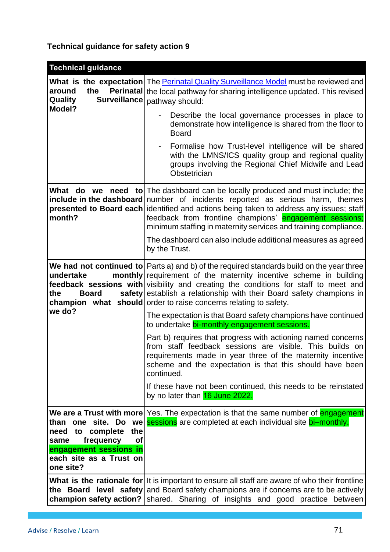# **Technical guidance for safety action 9**

| <b>Technical guidance</b>                                                                                                   |                                                                                                                                                                                                                                                                                                                                                                                                                   |
|-----------------------------------------------------------------------------------------------------------------------------|-------------------------------------------------------------------------------------------------------------------------------------------------------------------------------------------------------------------------------------------------------------------------------------------------------------------------------------------------------------------------------------------------------------------|
| What is the expectation<br><b>Perinatal</b><br>around<br>the<br><b>Surveillance</b><br>Quality                              | The Perinatal Quality Surveillance Model must be reviewed and<br>the local pathway for sharing intelligence updated. This revised<br>pathway should:                                                                                                                                                                                                                                                              |
| <b>Model?</b>                                                                                                               | Describe the local governance processes in place to<br>demonstrate how intelligence is shared from the floor to<br><b>Board</b>                                                                                                                                                                                                                                                                                   |
|                                                                                                                             | Formalise how Trust-level intelligence will be shared<br>with the LMNS/ICS quality group and regional quality<br>groups involving the Regional Chief Midwife and Lead<br>Obstetrician                                                                                                                                                                                                                             |
| What<br>do<br>month?                                                                                                        | we need to The dashboard can be locally produced and must include; the<br><b>include in the dashboard</b> number of incidents reported as serious harm, themes<br>presented to Board each dentified and actions being taken to address any issues; staff<br>feedback from frontline champions' engagement sessions;<br>minimum staffing in maternity services and training compliance.                            |
|                                                                                                                             | The dashboard can also include additional measures as agreed<br>by the Trust.                                                                                                                                                                                                                                                                                                                                     |
| undertake<br><b>Board</b><br>the                                                                                            | We had not continued to $\text{Parts}$ a) and b) of the required standards build on the year three<br>monthly requirement of the maternity incentive scheme in building<br>feedback sessions with visibility and creating the conditions for staff to meet and<br>safety establish a relationship with their Board safety champions in<br><b>champion</b> what should order to raise concerns relating to safety. |
| we do?                                                                                                                      | The expectation is that Board safety champions have continued<br>to undertake bi-monthly engagement sessions.                                                                                                                                                                                                                                                                                                     |
|                                                                                                                             | Part b) requires that progress with actioning named concerns<br>from staff feedback sessions are visible. This builds on<br>requirements made in year three of the maternity incentive<br>scheme and the expectation is that this should have been<br>continued.                                                                                                                                                  |
|                                                                                                                             | If these have not been continued, this needs to be reinstated<br>by no later than <b>16 June 2022.</b>                                                                                                                                                                                                                                                                                                            |
| need to complete<br>the<br>frequency<br>same<br><b>of</b><br>engagement sessions in<br>each site as a Trust on<br>one site? | We are a Trust with more Yes. The expectation is that the same number of engagement<br>than one site. Do we sessions are completed at each individual site bi-monthly.                                                                                                                                                                                                                                            |
|                                                                                                                             | What is the rationale for It is important to ensure all staff are aware of who their frontline<br>the Board level safety and Board safety champions are if concerns are to be actively<br><b>champion safety action?</b> Shared. Sharing of insights and good practice between                                                                                                                                    |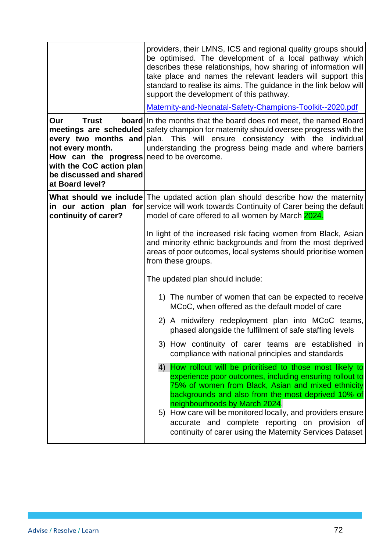|                                                                                                                                                                | providers, their LMNS, ICS and regional quality groups should<br>be optimised. The development of a local pathway which<br>describes these relationships, how sharing of information will<br>take place and names the relevant leaders will support this<br>standard to realise its aims. The guidance in the link below will<br>support the development of this pathway.                                                                        |
|----------------------------------------------------------------------------------------------------------------------------------------------------------------|--------------------------------------------------------------------------------------------------------------------------------------------------------------------------------------------------------------------------------------------------------------------------------------------------------------------------------------------------------------------------------------------------------------------------------------------------|
|                                                                                                                                                                | Maternity-and-Neonatal-Safety-Champions-Toolkit--2020.pdf                                                                                                                                                                                                                                                                                                                                                                                        |
| Our<br><b>Trust</b><br>not every month.<br>How can the progress need to be overcome.<br>with the CoC action plan<br>be discussed and shared<br>at Board level? | <b>board</b> In the months that the board does not meet, the named Board<br>meetings are scheduled safety champion for maternity should oversee progress with the<br>every two months and plan. This will ensure consistency with the individual<br>understanding the progress being made and where barriers                                                                                                                                     |
| continuity of carer?                                                                                                                                           | What should we include The updated action plan should describe how the maternity<br>in our action plan for service will work towards Continuity of Carer being the default<br>model of care offered to all women by March 2024.                                                                                                                                                                                                                  |
|                                                                                                                                                                | In light of the increased risk facing women from Black, Asian<br>and minority ethnic backgrounds and from the most deprived<br>areas of poor outcomes, local systems should prioritise women<br>from these groups.                                                                                                                                                                                                                               |
|                                                                                                                                                                | The updated plan should include:                                                                                                                                                                                                                                                                                                                                                                                                                 |
|                                                                                                                                                                | 1) The number of women that can be expected to receive<br>MCoC, when offered as the default model of care                                                                                                                                                                                                                                                                                                                                        |
|                                                                                                                                                                | 2) A midwifery redeployment plan into MCoC teams,<br>phased alongside the fulfilment of safe staffing levels                                                                                                                                                                                                                                                                                                                                     |
|                                                                                                                                                                | 3) How continuity of carer teams are established in<br>compliance with national principles and standards                                                                                                                                                                                                                                                                                                                                         |
|                                                                                                                                                                | 4) How rollout will be prioritised to those most likely to<br>experience poor outcomes, including ensuring rollout to<br>75% of women from Black, Asian and mixed ethnicity<br>backgrounds and also from the most deprived 10% of<br>neighbourhoods by March 2024.<br>5) How care will be monitored locally, and providers ensure<br>accurate and complete reporting on provision of<br>continuity of carer using the Maternity Services Dataset |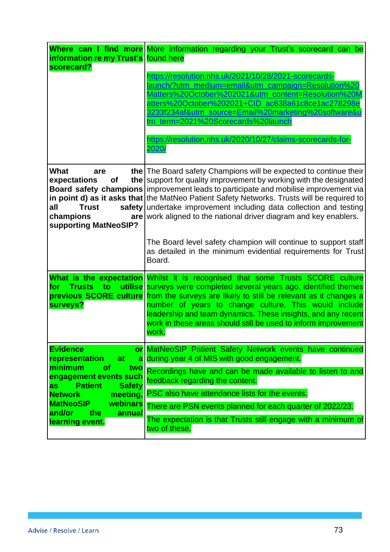| information re my Trust's found here<br>scorecard?                                                                                                                                                                                                           | Where can I find more More information regarding your Trust's scorecard can be<br>https://resolution.nhs.uk/2021/10/28/2021-scorecards-<br>launch/?utm_medium=email&utm_campaign=Resolution%20<br>Matters%20October%202021&utm_content=Resolution%20M<br>atters%20October%202021+CID_ac638a61c8ce1ac278298e<br>3233f234af&utm_source=Email%20marketing%20software&<br>tm term=2021%20Scorecards%20launch<br>https://resolution.nhs.uk/2020/10/27/claims-scorecards-for-<br>2020/                                                                  |
|--------------------------------------------------------------------------------------------------------------------------------------------------------------------------------------------------------------------------------------------------------------|---------------------------------------------------------------------------------------------------------------------------------------------------------------------------------------------------------------------------------------------------------------------------------------------------------------------------------------------------------------------------------------------------------------------------------------------------------------------------------------------------------------------------------------------------|
| <b>What</b><br>are<br>expectations<br><b>of</b><br>all<br><b>Trust</b><br>champions<br>supporting MatNeoSIP?                                                                                                                                                 | the The Board safety Champions will be expected to continue their<br>the support for quality improvement by working with the designated<br><b>Board safety champions</b> improvement leads to participate and mobilise improvement via<br>in point d) as it asks that the MatNeo Patient Safety Networks. Trusts will be required to<br>safety undertake improvement including data collection and testing<br>are work aligned to the national driver diagram and key enablers.<br>The Board level safety champion will continue to support staff |
| for<br><b>Trusts</b><br>to<br>surveys?                                                                                                                                                                                                                       | as detailed in the minimum evidential requirements for Trust<br>Board.<br>What is the expectation Whilst it is recognised that some Trusts SCORE culture<br>utilise surveys were completed several years ago, identified themes<br>previous SCORE culture from the surveys are likely to still be relevant as it changes a<br>number of years to change culture. This would include<br>leadership and team dynamics. These insights, and any recent<br>work in these areas should still be used to inform improvement<br>work.                    |
| <b>Evidence</b><br>representation<br>at<br>minimum<br><b>of</b><br>two<br>engagement events such<br><b>Patient</b><br><b>Safety</b><br><b>as</b><br><b>Network</b><br>meeting,<br><b>MatNeoSIP</b><br>webinars<br>and/or<br>the<br>annual<br>learning event. | or MatNeoSIP Patient Safety Network events have continued<br>a during year 4 of MIS with good engagement.<br>Recordings have and can be made available to listen to and<br>feedback regarding the content.<br>PSC also have attendance lists for the events.<br>There are PSN events planned for each quarter of 2022/23.<br>The expectation is that Trusts still engage with a minimum of<br>two of these.                                                                                                                                       |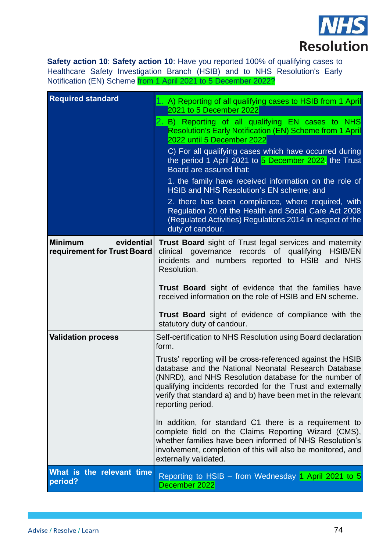

**Safety action 10**: **Safety action 10**: Have you reported 100% of qualifying cases to Healthcare Safety Investigation Branch (HSIB) and to NHS Resolution's Early Notification (EN) Scheme from 1 April 2021 to 5 December 2022?

| <b>Required standard</b>                                    | 1. A) Reporting of all qualifying cases to HSIB from 1 April<br>2021 to 5 December 2022                                                                                                                                                                                                                                         |
|-------------------------------------------------------------|---------------------------------------------------------------------------------------------------------------------------------------------------------------------------------------------------------------------------------------------------------------------------------------------------------------------------------|
|                                                             | 2. B) Reporting of all qualifying EN cases to NHS<br><b>Resolution's Early Notification (EN) Scheme from 1 April</b><br>2022 until 5 December 2022                                                                                                                                                                              |
|                                                             | C) For all qualifying cases which have occurred during<br>the period 1 April 2021 to $5$ December 2022, the Trust<br>Board are assured that:                                                                                                                                                                                    |
|                                                             | 1. the family have received information on the role of<br>HSIB and NHS Resolution's EN scheme; and                                                                                                                                                                                                                              |
|                                                             | 2. there has been compliance, where required, with<br>Regulation 20 of the Health and Social Care Act 2008<br>(Regulated Activities) Regulations 2014 in respect of the<br>duty of candour.                                                                                                                                     |
| evidential<br><b>Minimum</b><br>requirement for Trust Board | <b>Trust Board</b> sight of Trust legal services and maternity<br>clinical governance records of qualifying HSIB/EN<br>incidents and numbers reported to HSIB and NHS<br>Resolution.                                                                                                                                            |
|                                                             | <b>Trust Board</b> sight of evidence that the families have<br>received information on the role of HSIB and EN scheme.                                                                                                                                                                                                          |
|                                                             | Trust Board sight of evidence of compliance with the<br>statutory duty of candour.                                                                                                                                                                                                                                              |
| <b>Validation process</b>                                   | Self-certification to NHS Resolution using Board declaration<br>form.                                                                                                                                                                                                                                                           |
|                                                             | Trusts' reporting will be cross-referenced against the HSIB<br>database and the National Neonatal Research Database<br>(NNRD), and NHS Resolution database for the number of<br>qualifying incidents recorded for the Trust and externally<br>verify that standard a) and b) have been met in the relevant<br>reporting period. |
|                                                             | In addition, for standard C1 there is a requirement to<br>complete field on the Claims Reporting Wizard (CMS),<br>whether families have been informed of NHS Resolution's<br>involvement, completion of this will also be monitored, and<br>externally validated.                                                               |
| What is the relevant time<br>period?                        | Reporting to HSIB – from Wednesday 1 April 2021 to 5<br>December 2022                                                                                                                                                                                                                                                           |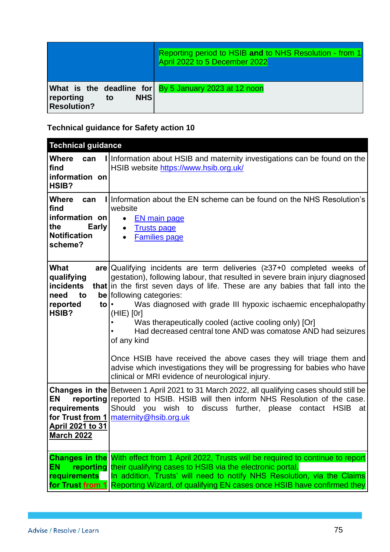|                                                     | Reporting period to HSIB and to NHS Resolution - from 1<br>April 2022 to 5 December 2022 |
|-----------------------------------------------------|------------------------------------------------------------------------------------------|
| <b>NHS</b><br>reporting<br>to<br><b>Resolution?</b> | What is the deadline for $By 5$ January 2023 at 12 noon                                  |

# **Technical guidance for Safety action 10**

| <b>Technical guidance</b>                                                                              |                                                                                                                                                                                                                                                                                                                                                                                                                                                                                                                                                                                                                                                                                                        |
|--------------------------------------------------------------------------------------------------------|--------------------------------------------------------------------------------------------------------------------------------------------------------------------------------------------------------------------------------------------------------------------------------------------------------------------------------------------------------------------------------------------------------------------------------------------------------------------------------------------------------------------------------------------------------------------------------------------------------------------------------------------------------------------------------------------------------|
| <b>Where</b><br>can<br>find<br>information on<br>HSIB?                                                 | I Information about HSIB and maternity investigations can be found on the<br>HSIB website https://www.hsib.org.uk/                                                                                                                                                                                                                                                                                                                                                                                                                                                                                                                                                                                     |
| <b>Where</b><br>can<br>find<br>information on<br><b>Early</b><br>the<br><b>Notification</b><br>scheme? | Information about the EN scheme can be found on the NHS Resolution's<br>website<br><b>EN main page</b><br>$\bullet$<br><b>Trusts page</b><br>$\bullet$<br><b>Families page</b><br>$\bullet$                                                                                                                                                                                                                                                                                                                                                                                                                                                                                                            |
| What<br>qualifying<br>incidents<br>need<br>to<br>reported<br>$to$ $\cdot$<br>HSIB?                     | are Qualifying incidents are term deliveries ( $\geq 37+0$ completed weeks of<br>gestation), following labour, that resulted in severe brain injury diagnosed<br>that in the first seven days of life. These are any babies that fall into the<br>be following categories:<br>Was diagnosed with grade III hypoxic ischaemic encephalopathy<br>(HIE) [0r]<br>Was therapeutically cooled (active cooling only) [Or]<br>Had decreased central tone AND was comatose AND had seizures<br>of any kind<br>Once HSIB have received the above cases they will triage them and<br>advise which investigations they will be progressing for babies who have<br>clinical or MRI evidence of neurological injury. |
| EN<br>reporting<br>requirements<br>for Trust from 1<br><b>April 2021 to 31</b><br><b>March 2022</b>    | <b>Changes in the Between 1 April 2021 to 31 March 2022, all qualifying cases should still be</b><br>reported to HSIB. HSIB will then inform NHS Resolution of the case.<br>Should you wish to<br>discuss<br>further, please contact<br>HSIB<br>at<br>maternity@hsib.org.uk                                                                                                                                                                                                                                                                                                                                                                                                                            |
| EN<br>requirements<br>for Trust from 1                                                                 | <b>Changes in the With effect from 1 April 2022, Trusts will be required to continue to report</b><br>reporting their qualifying cases to HSIB via the electronic portal.<br>In addition, Trusts' will need to notify NHS Resolution, via the Claims<br>Reporting Wizard, of qualifying EN cases once HSIB have confirmed they                                                                                                                                                                                                                                                                                                                                                                         |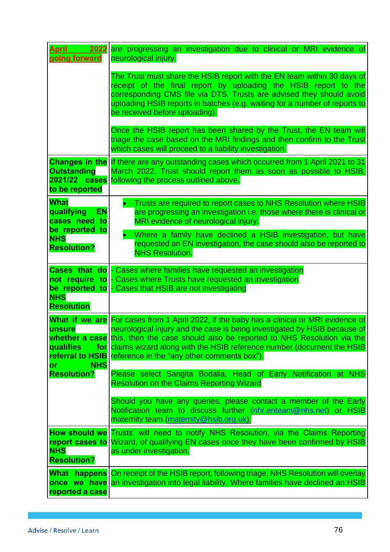| <u>April</u><br>2022<br><u>going forward</u>                                                           | are progressing an investigation due to clinical or MRI evidence of<br>neurological injury.                                                                                                                                                                                                                                                                                                                                                                                                                                                |
|--------------------------------------------------------------------------------------------------------|--------------------------------------------------------------------------------------------------------------------------------------------------------------------------------------------------------------------------------------------------------------------------------------------------------------------------------------------------------------------------------------------------------------------------------------------------------------------------------------------------------------------------------------------|
|                                                                                                        | The Trust must share the HSIB report with the EN team within 30 days of<br>receipt of the final report by uploading the HSIB report to the<br>corresponding CMS file via DTS. Trusts are advised they should avoid<br>uploading HSIB reports in batches (e.g. waiting for a number of reports to<br>be received before uploading).                                                                                                                                                                                                         |
|                                                                                                        | Once the HSIB report has been shared by the Trust, the EN team will<br>triage the case based on the MRI findings and then confirm to the Trust<br>which cases will proceed to a liability investigation.                                                                                                                                                                                                                                                                                                                                   |
| <b>Outstanding</b><br>2021/22<br>to be reported                                                        | Changes in the If there are any outstanding cases which occurred from 1 April 2021 to 31<br>March 2022, Trust should report them as soon as possible to HSIB,<br>cases following the process outlined above.                                                                                                                                                                                                                                                                                                                               |
| What<br><b>EN</b><br>qualifying<br>cases need to<br>be reported to<br><b>NHS</b><br><b>Resolution?</b> | Trusts are required to report cases to NHS Resolution where HSIB<br>are progressing an investigation i.e. those where there is clinical or<br>MRI evidence of neurological injury.<br>Where a family have declined a HSIB investigation, but have<br>requested an EN investigation, the case should also be reported to<br><b>NHS Resolution.</b>                                                                                                                                                                                          |
| <b>NHS</b><br><b>Resolution</b>                                                                        | <b>Cases that do</b> - Cases where families have requested an investigation<br>not require to - Cases where Trusts have requested an investigation<br><b>be reported to</b>  - Cases that HSIB are not investigating                                                                                                                                                                                                                                                                                                                       |
| unsure<br>qualifies<br><b>NHS</b><br><u>or</u><br><b>Resolution?</b>                                   | What if we are For cases from 1 April 2022, if the baby has a clinical or MRI evidence of<br>neurological injury and the case is being investigated by HSIB because of<br>whether a case this, then the case should also be reported to NHS Resolution via the<br>for claims wizard along with the HSIB reference number (document the HSIB<br><b>referral to HSIB</b> reference in the "any other comments box").<br>Please select Sangita Bodalia, Head of Early Notification at NHS<br><b>Resolution on the Claims Reporting Wizard</b> |
|                                                                                                        | Should you have any queries, please contact a member of the Early<br>Notification team to discuss further (nhr.enteam@nhs.net) or HSIB<br>maternity team (maternity@hsib.org.uk).                                                                                                                                                                                                                                                                                                                                                          |
| <b>NHS</b><br><b>Resolution?</b>                                                                       | How should we Trusts' will need to notify NHS Resolution, via the Claims Reporting<br><b>report cases to</b> Wizard, of qualifying EN cases once they have been confirmed by HSIB<br>as under investigation.                                                                                                                                                                                                                                                                                                                               |
| reported a case                                                                                        | <b>What happens</b> On receipt of the HSIB report, following triage, NHS Resolution will overlay<br><b>once we have</b> an investigation into legal liability. Where families have declined an HSIB                                                                                                                                                                                                                                                                                                                                        |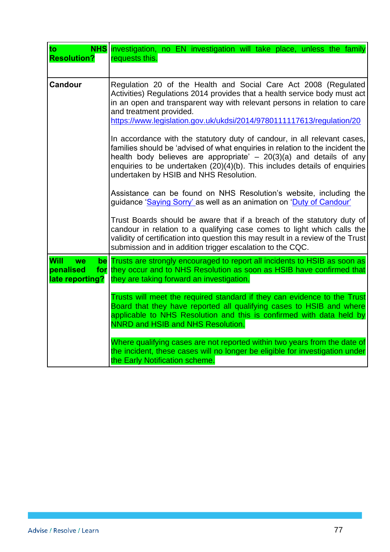| to<br><b>Resolution?</b>       | NHS investigation, no EN investigation will take place, unless the family<br>requests this.                                                                                                                                                                                                                                                              |
|--------------------------------|----------------------------------------------------------------------------------------------------------------------------------------------------------------------------------------------------------------------------------------------------------------------------------------------------------------------------------------------------------|
| <b>Candour</b>                 | Regulation 20 of the Health and Social Care Act 2008 (Regulated<br>Activities) Regulations 2014 provides that a health service body must act<br>in an open and transparent way with relevant persons in relation to care<br>and treatment provided.<br>https://www.legislation.gov.uk/ukdsi/2014/9780111117613/regulation/20                             |
|                                | In accordance with the statutory duty of candour, in all relevant cases,<br>families should be 'advised of what enquiries in relation to the incident the<br>health body believes are appropriate' $-20(3)(a)$ and details of any<br>enquiries to be undertaken (20)(4)(b). This includes details of enquiries<br>undertaken by HSIB and NHS Resolution. |
|                                | Assistance can be found on NHS Resolution's website, including the<br>guidance 'Saying Sorry' as well as an animation on 'Duty of Candour'                                                                                                                                                                                                               |
|                                | Trust Boards should be aware that if a breach of the statutory duty of<br>candour in relation to a qualifying case comes to light which calls the<br>validity of certification into question this may result in a review of the Trust<br>submission and in addition trigger escalation to the CQC.                                                       |
| <b>Will</b><br>we<br>penalised | be Trusts are strongly encouraged to report all incidents to HSIB as soon as<br>for they occur and to NHS Resolution as soon as HSIB have confirmed that<br><b>late reporting?</b> they are taking forward an investigation.                                                                                                                             |
|                                | Trusts will meet the required standard if they can evidence to the Trust<br>Board that they have reported all qualifying cases to HSIB and where<br>applicable to NHS Resolution and this is confirmed with data held by<br><b>NNRD and HSIB and NHS Resolution.</b>                                                                                     |
|                                | Where qualifying cases are not reported within two years from the date of<br>the incident, these cases will no longer be eligible for investigation under<br>the Early Notification scheme.                                                                                                                                                              |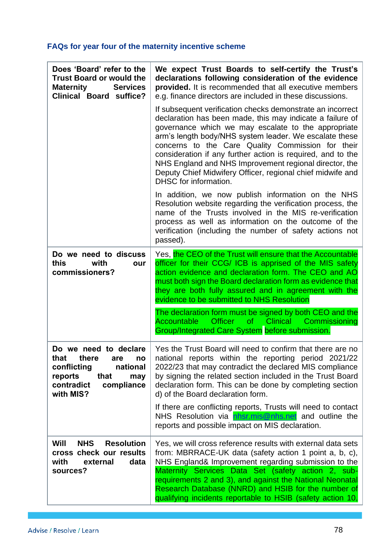## **FAQs for year four of the maternity incentive scheme**

| Does 'Board' refer to the<br><b>Trust Board or would the</b><br><b>Maternity</b><br><b>Services</b><br><b>Clinical Board suffice?</b>          | We expect Trust Boards to self-certify the Trust's<br>declarations following consideration of the evidence<br>provided. It is recommended that all executive members<br>e.g. finance directors are included in these discussions.                                                                                                                                                                                                                                                                             |
|------------------------------------------------------------------------------------------------------------------------------------------------|---------------------------------------------------------------------------------------------------------------------------------------------------------------------------------------------------------------------------------------------------------------------------------------------------------------------------------------------------------------------------------------------------------------------------------------------------------------------------------------------------------------|
|                                                                                                                                                | If subsequent verification checks demonstrate an incorrect<br>declaration has been made, this may indicate a failure of<br>governance which we may escalate to the appropriate<br>arm's length body/NHS system leader. We escalate these<br>concerns to the Care Quality Commission for their<br>consideration if any further action is required, and to the<br>NHS England and NHS Improvement regional director, the<br>Deputy Chief Midwifery Officer, regional chief midwife and<br>DHSC for information. |
|                                                                                                                                                | In addition, we now publish information on the NHS<br>Resolution website regarding the verification process, the<br>name of the Trusts involved in the MIS re-verification<br>process as well as information on the outcome of the<br>verification (including the number of safety actions not<br>passed).                                                                                                                                                                                                    |
| Do we need to discuss<br>this<br>with<br>our<br>commissioners?                                                                                 | Yes, the CEO of the Trust will ensure that the Accountable<br>officer for their CCG/ ICB is apprised of the MIS safety<br>action evidence and declaration form. The CEO and AO<br>must both sign the Board declaration form as evidence that<br>they are both fully assured and in agreement with the<br>evidence to be submitted to NHS Resolution                                                                                                                                                           |
|                                                                                                                                                | The declaration form must be signed by both CEO and the<br>Officer of<br><b>Clinical</b><br>Commissioning<br><b>Accountable</b><br>Group/Integrated Care System before submission.                                                                                                                                                                                                                                                                                                                            |
| Do we need to declare<br>that there<br>are<br>no<br>conflicting<br>national<br>that<br>reports<br>may<br>contradict<br>compliance<br>with MIS? | Yes the Trust Board will need to confirm that there are no<br>national reports within the reporting period 2021/22<br>2022/23 that may contradict the declared MIS compliance<br>by signing the related section included in the Trust Board<br>declaration form. This can be done by completing section<br>d) of the Board declaration form.                                                                                                                                                                  |
|                                                                                                                                                | If there are conflicting reports, Trusts will need to contact<br>NHS Resolution via nhsr.mis@nhs.net and outline the<br>reports and possible impact on MIS declaration.                                                                                                                                                                                                                                                                                                                                       |
| Will<br><b>NHS</b><br><b>Resolution</b><br>cross check our results<br>with<br>external<br>data<br>sources?                                     | Yes, we will cross reference results with external data sets<br>from: MBRRACE-UK data (safety action 1 point a, b, c),<br>NHS England& Improvement regarding submission to the<br>Maternity Services Data Set (safety action 2, sub-<br>requirements 2 and 3), and against the National Neonatal<br>Research Database (NNRD) and HSIB for the number of<br>qualifying incidents reportable to HSIB (safety action 10,                                                                                         |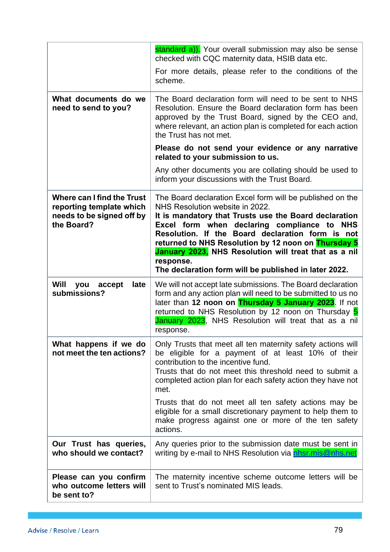|                                                                                                   | standard a)). Your overall submission may also be sense<br>checked with CQC maternity data, HSIB data etc.                                                                                                                                                                                                                                                                                                                                                                          |
|---------------------------------------------------------------------------------------------------|-------------------------------------------------------------------------------------------------------------------------------------------------------------------------------------------------------------------------------------------------------------------------------------------------------------------------------------------------------------------------------------------------------------------------------------------------------------------------------------|
|                                                                                                   | For more details, please refer to the conditions of the<br>scheme.                                                                                                                                                                                                                                                                                                                                                                                                                  |
| What documents do we<br>need to send to you?                                                      | The Board declaration form will need to be sent to NHS<br>Resolution. Ensure the Board declaration form has been<br>approved by the Trust Board, signed by the CEO and,<br>where relevant, an action plan is completed for each action<br>the Trust has not met.                                                                                                                                                                                                                    |
|                                                                                                   | Please do not send your evidence or any narrative<br>related to your submission to us.                                                                                                                                                                                                                                                                                                                                                                                              |
|                                                                                                   | Any other documents you are collating should be used to<br>inform your discussions with the Trust Board.                                                                                                                                                                                                                                                                                                                                                                            |
| Where can I find the Trust<br>reporting template which<br>needs to be signed off by<br>the Board? | The Board declaration Excel form will be published on the<br>NHS Resolution website in 2022.<br>It is mandatory that Trusts use the Board declaration<br>Excel form when declaring compliance to NHS<br>Resolution. If the Board declaration form is not<br>returned to NHS Resolution by 12 noon on Thursday 5<br><b>January 2023, NHS Resolution will treat that as a nil</b><br>response.<br>The declaration form will be published in later 2022.                               |
| Will<br>late<br>you<br>accept<br>submissions?                                                     | We will not accept late submissions. The Board declaration<br>form and any action plan will need to be submitted to us no<br>later than 12 noon on Thursday 5 January 2023. If not<br>returned to NHS Resolution by 12 noon on Thursday 5<br>January 2023, NHS Resolution will treat that as a nil<br>response.                                                                                                                                                                     |
| What happens if we do<br>not meet the ten actions?                                                | Only Trusts that meet all ten maternity safety actions will<br>be eligible for a payment of at least 10% of their<br>contribution to the incentive fund.<br>Trusts that do not meet this threshold need to submit a<br>completed action plan for each safety action they have not<br>met.<br>Trusts that do not meet all ten safety actions may be<br>eligible for a small discretionary payment to help them to<br>make progress against one or more of the ten safety<br>actions. |
| Our Trust has queries,<br>who should we contact?                                                  | Any queries prior to the submission date must be sent in<br>writing by e-mail to NHS Resolution via nhsr.mis@nhs.net                                                                                                                                                                                                                                                                                                                                                                |
|                                                                                                   |                                                                                                                                                                                                                                                                                                                                                                                                                                                                                     |
| Please can you confirm<br>who outcome letters will<br>be sent to?                                 | The maternity incentive scheme outcome letters will be<br>sent to Trust's nominated MIS leads.                                                                                                                                                                                                                                                                                                                                                                                      |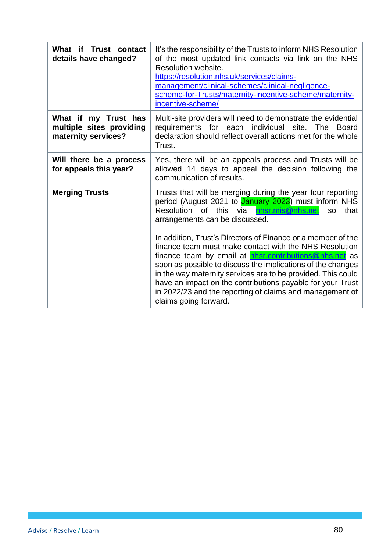| What if Trust contact<br>details have changed?                          | It's the responsibility of the Trusts to inform NHS Resolution<br>of the most updated link contacts via link on the NHS<br>Resolution website.<br>https://resolution.nhs.uk/services/claims-<br>management/clinical-schemes/clinical-negligence-<br>scheme-for-Trusts/maternity-incentive-scheme/maternity-<br>incentive-scheme/                                                                                                                                                                                                                                                                                                                                                                  |
|-------------------------------------------------------------------------|---------------------------------------------------------------------------------------------------------------------------------------------------------------------------------------------------------------------------------------------------------------------------------------------------------------------------------------------------------------------------------------------------------------------------------------------------------------------------------------------------------------------------------------------------------------------------------------------------------------------------------------------------------------------------------------------------|
| What if my Trust has<br>multiple sites providing<br>maternity services? | Multi-site providers will need to demonstrate the evidential<br>requirements for each individual site. The<br><b>Board</b><br>declaration should reflect overall actions met for the whole<br>Trust.                                                                                                                                                                                                                                                                                                                                                                                                                                                                                              |
| Will there be a process<br>for appeals this year?                       | Yes, there will be an appeals process and Trusts will be<br>allowed 14 days to appeal the decision following the<br>communication of results.                                                                                                                                                                                                                                                                                                                                                                                                                                                                                                                                                     |
| <b>Merging Trusts</b>                                                   | Trusts that will be merging during the year four reporting<br>period (August 2021 to January 2023) must inform NHS<br>Resolution of this via <b>nhsr.mis@nhs.net</b><br>that<br><b>SO</b><br>arrangements can be discussed.<br>In addition, Trust's Directors of Finance or a member of the<br>finance team must make contact with the NHS Resolution<br>finance team by email at nhsr.contributions@nhs.net as<br>soon as possible to discuss the implications of the changes<br>in the way maternity services are to be provided. This could<br>have an impact on the contributions payable for your Trust<br>in 2022/23 and the reporting of claims and management of<br>claims going forward. |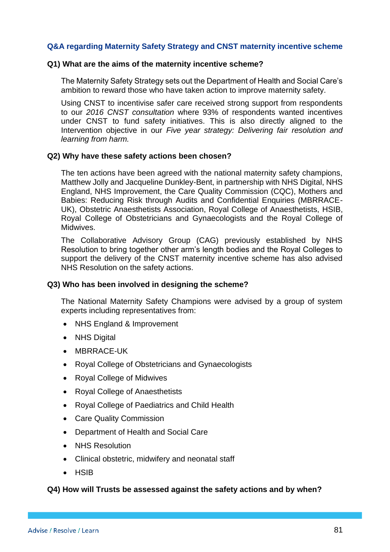### **Q&A regarding Maternity Safety Strategy and CNST maternity incentive scheme**

#### **Q1) What are the aims of the maternity incentive scheme?**

The Maternity Safety Strategy sets out the Department of Health and Social Care's ambition to reward those who have taken action to improve maternity safety.

Using CNST to incentivise safer care received strong support from respondents to our *2016 CNST consultation* where 93% of respondents wanted incentives under CNST to fund safety initiatives. This is also directly aligned to the Intervention objective in our *Five year strategy: Delivering fair resolution and learning from harm.*

#### **Q2) Why have these safety actions been chosen?**

The ten actions have been agreed with the national maternity safety champions, Matthew Jolly and Jacqueline Dunkley-Bent, in partnership with NHS Digital, NHS England, NHS Improvement, the Care Quality Commission (CQC), Mothers and Babies: Reducing Risk through Audits and Confidential Enquiries (MBRRACE-UK), Obstetric Anaesthetists Association, Royal College of Anaesthetists, HSIB, Royal College of Obstetricians and Gynaecologists and the Royal College of Midwives.

The Collaborative Advisory Group (CAG) previously established by NHS Resolution to bring together other arm's length bodies and the Royal Colleges to support the delivery of the CNST maternity incentive scheme has also advised NHS Resolution on the safety actions.

#### **Q3) Who has been involved in designing the scheme?**

The National Maternity Safety Champions were advised by a group of system experts including representatives from:

- NHS England & Improvement
- NHS Digital
- MBRRACE-UK
- Royal College of Obstetricians and Gynaecologists
- Royal College of Midwives
- Royal College of Anaesthetists
- Royal College of Paediatrics and Child Health
- Care Quality Commission
- Department of Health and Social Care
- NHS Resolution
- Clinical obstetric, midwifery and neonatal staff
- HSIB

#### **Q4) How will Trusts be assessed against the safety actions and by when?**